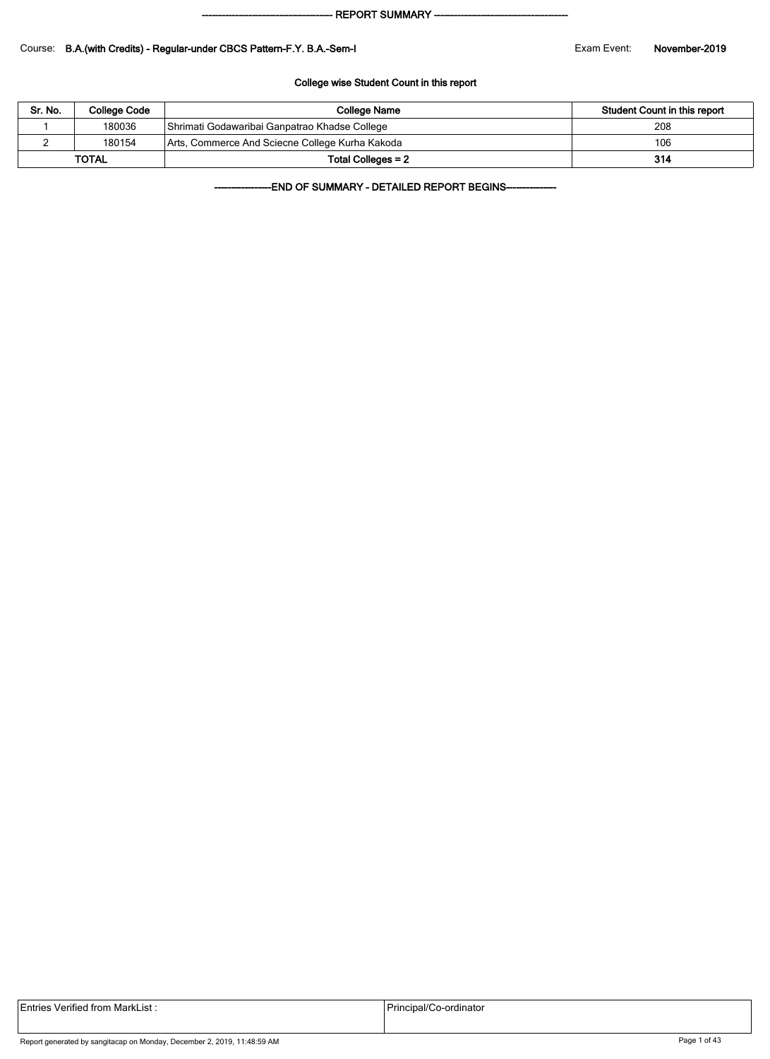#### - REPORT SUMMARY --

#### Course: B.A.(with Credits) - Regular-under CBCS Pattern-F.Y. B.A.-Sem-I Exam Exam Event: November-2019

#### College wise Student Count in this report

| Sr. No. | College Code | College Name                                    | Student Count in this report |
|---------|--------------|-------------------------------------------------|------------------------------|
|         | 180036       | Shrimati Godawaribai Ganpatrao Khadse College   | 208                          |
|         | 180154       | Arts, Commerce And Sciecne College Kurha Kakoda | 106                          |
|         | <b>TOTAL</b> | Total Colleges = 2                              | 314                          |

-END OF SUMMARY - DETAILED REPORT BEGINS-

| <b>Entries Verified from MarkList:</b> | Principal/Co-ordinator |
|----------------------------------------|------------------------|
|                                        |                        |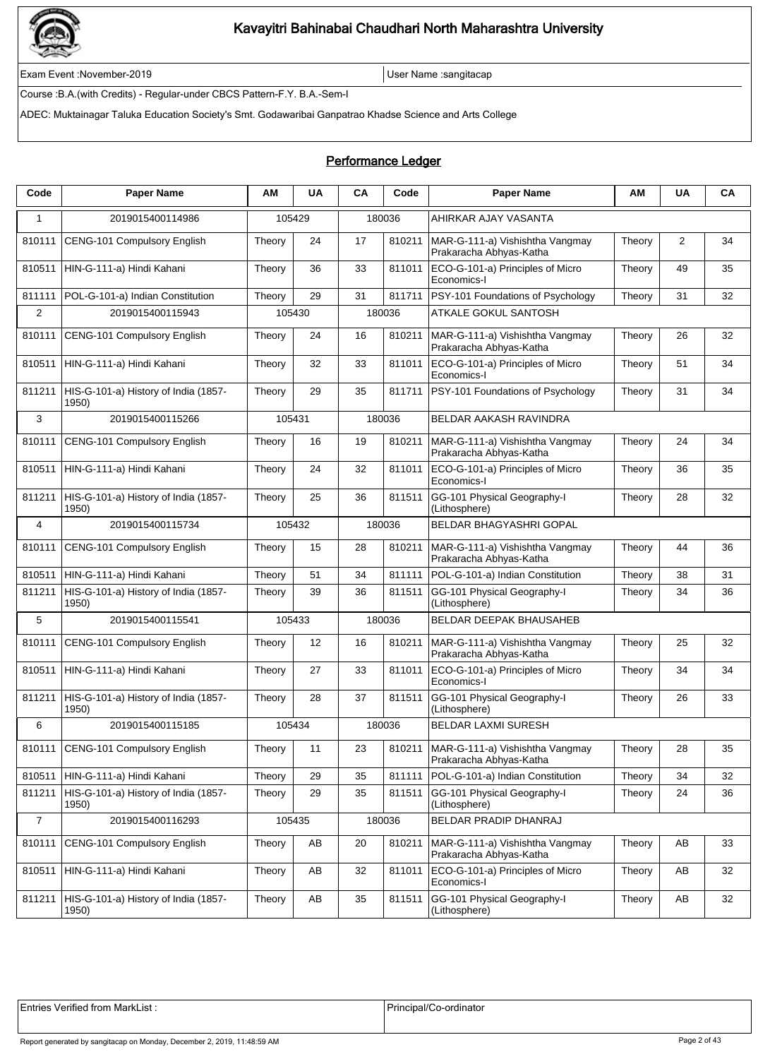

Exam Event :November-2019 User Name :sangitacap

Course :B.A.(with Credits) - Regular-under CBCS Pattern-F.Y. B.A.-Sem-I

ADEC: Muktainagar Taluka Education Society's Smt. Godawaribai Ganpatrao Khadse Science and Arts College

### Performance Ledger

| Code           | <b>Paper Name</b>                             | ΑМ     | <b>UA</b>         | CA | Code   | <b>Paper Name</b>                                                   | ΑМ     | UA | CA |
|----------------|-----------------------------------------------|--------|-------------------|----|--------|---------------------------------------------------------------------|--------|----|----|
| 1              | 2019015400114986                              |        | 105429            |    | 180036 | AHIRKAR AJAY VASANTA                                                |        |    |    |
| 810111         | CENG-101 Compulsory English                   | Theory | 24                | 17 | 810211 | MAR-G-111-a) Vishishtha Vangmay<br>Prakaracha Abhyas-Katha          | Theory | 2  | 34 |
| 810511         | HIN-G-111-a) Hindi Kahani                     | Theory | 36                | 33 | 811011 | ECO-G-101-a) Principles of Micro<br>Economics-I                     | Theory | 49 | 35 |
| 811111         | POL-G-101-a) Indian Constitution              | Theory | 29                | 31 | 811711 | PSY-101 Foundations of Psychology                                   | Theory | 31 | 32 |
| $\overline{2}$ | 2019015400115943                              |        | 105430            |    | 180036 | <b>ATKALE GOKUL SANTOSH</b>                                         |        |    |    |
| 810111         | CENG-101 Compulsory English                   | Theory | 24                | 16 | 810211 | MAR-G-111-a) Vishishtha Vangmay<br>Prakaracha Abhyas-Katha          | Theory | 26 | 32 |
| 810511         | HIN-G-111-a) Hindi Kahani                     | Theory | 32                | 33 | 811011 | ECO-G-101-a) Principles of Micro<br>Economics-I                     | Theory | 51 | 34 |
| 811211         | HIS-G-101-a) History of India (1857-<br>1950) | Theory | 29                | 35 | 811711 | PSY-101 Foundations of Psychology                                   | Theory | 31 | 34 |
| 3              | 2019015400115266                              | 105431 |                   |    | 180036 | BELDAR AAKASH RAVINDRA                                              |        |    |    |
| 810111         | CENG-101 Compulsory English                   | Theory | 16                | 19 | 810211 | MAR-G-111-a) Vishishtha Vangmay<br>Prakaracha Abhyas-Katha          | Theory | 24 | 34 |
| 810511         | HIN-G-111-a) Hindi Kahani                     | Theory | 24                | 32 | 811011 | ECO-G-101-a) Principles of Micro<br>Economics-I                     | Theory | 36 | 35 |
| 811211         | HIS-G-101-a) History of India (1857-<br>1950) | Theory | 25                | 36 | 811511 | GG-101 Physical Geography-I<br>(Lithosphere)                        | Theory | 28 | 32 |
| 4              | 2019015400115734                              | 105432 |                   |    | 180036 | BELDAR BHAGYASHRI GOPAL                                             |        |    |    |
| 810111         | CENG-101 Compulsory English                   | Theory | 15                | 28 | 810211 | MAR-G-111-a) Vishishtha Vangmay<br>Prakaracha Abhyas-Katha          | Theory | 44 | 36 |
| 810511         | HIN-G-111-a) Hindi Kahani                     | Theory | 51                | 34 | 811111 | POL-G-101-a) Indian Constitution                                    | Theory | 38 | 31 |
| 811211         | HIS-G-101-a) History of India (1857-<br>1950) | Theory | 39                | 36 | 811511 | GG-101 Physical Geography-I<br>(Lithosphere)                        | Theory | 34 | 36 |
| 5              | 2019015400115541                              | 105433 |                   |    | 180036 | BELDAR DEEPAK BHAUSAHEB                                             |        |    |    |
| 810111         | CENG-101 Compulsory English                   | Theory | $12 \overline{ }$ | 16 | 810211 | MAR-G-111-a) Vishishtha Vangmay<br>Prakaracha Abhyas-Katha          | Theory | 25 | 32 |
| 810511         | HIN-G-111-a) Hindi Kahani                     | Theory | 27                | 33 | 811011 | ECO-G-101-a) Principles of Micro<br>Economics-I                     | Theory | 34 | 34 |
| 811211         | HIS-G-101-a) History of India (1857-<br>1950) | Theory | 28                | 37 | 811511 | GG-101 Physical Geography-I<br>(Lithosphere)                        | Theory | 26 | 33 |
| 6              | 2019015400115185                              | 105434 |                   |    | 180036 | <b>BELDAR LAXMI SURESH</b>                                          |        |    |    |
| 810111         | CENG-101 Compulsory English                   | Theory | 11                | 23 |        | 810211   MAR-G-111-a) Vishishtha Vangmay<br>Prakaracha Abhyas-Katha | Theory | 28 | 35 |
| 810511         | HIN-G-111-a) Hindi Kahani                     | Theory | 29                | 35 | 811111 | POL-G-101-a) Indian Constitution                                    | Theory | 34 | 32 |
| 811211         | HIS-G-101-a) History of India (1857-<br>1950) | Theory | 29                | 35 | 811511 | GG-101 Physical Geography-I<br>(Lithosphere)                        | Theory | 24 | 36 |
| $\overline{7}$ | 2019015400116293                              | 105435 |                   |    | 180036 | BELDAR PRADIP DHANRAJ                                               |        |    |    |
| 810111         | CENG-101 Compulsory English                   | Theory | AB                | 20 | 810211 | MAR-G-111-a) Vishishtha Vangmay<br>Prakaracha Abhyas-Katha          | Theory | AB | 33 |
| 810511         | HIN-G-111-a) Hindi Kahani                     | Theory | AB                | 32 | 811011 | ECO-G-101-a) Principles of Micro<br>Economics-I                     | Theory | AB | 32 |
| 811211         | HIS-G-101-a) History of India (1857-<br>1950) | Theory | AB                | 35 | 811511 | GG-101 Physical Geography-I<br>(Lithosphere)                        | Theory | AB | 32 |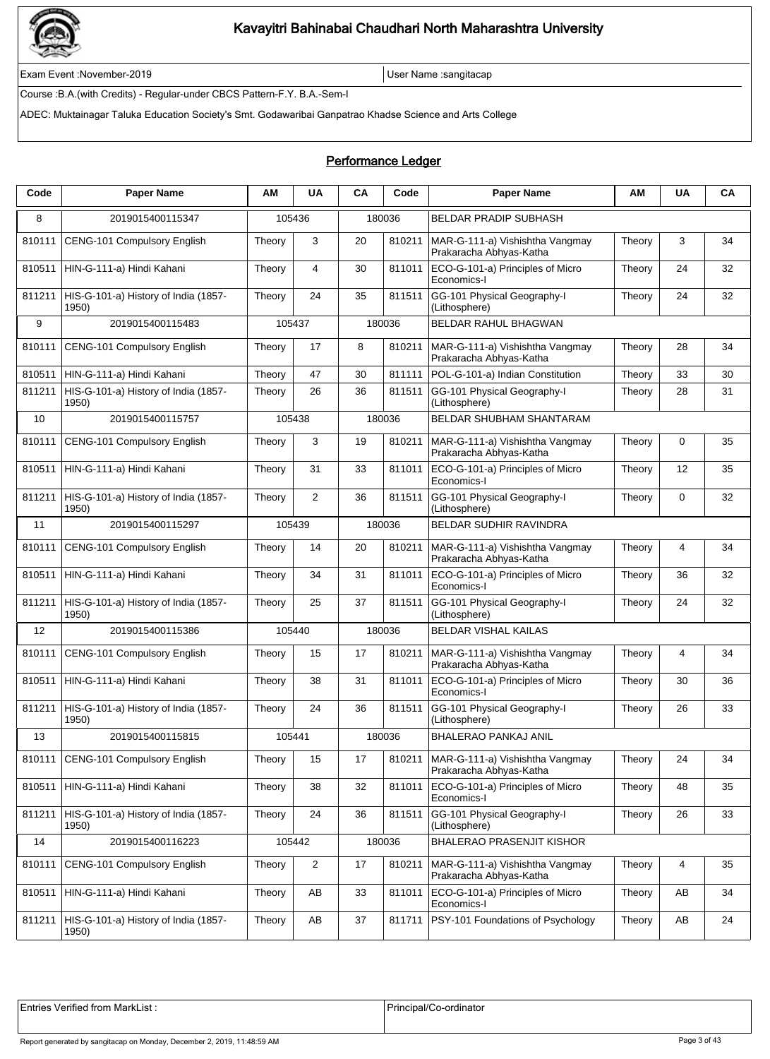

Exam Event :November-2019 User Name :sangitacap

Course :B.A.(with Credits) - Regular-under CBCS Pattern-F.Y. B.A.-Sem-I

ADEC: Muktainagar Taluka Education Society's Smt. Godawaribai Ganpatrao Khadse Science and Arts College

### Performance Ledger

| Code   | <b>Paper Name</b>                             | ΑМ     | <b>UA</b>      | CA     | Code   | <b>Paper Name</b>                                          | ΑМ     | <b>UA</b> | CA |
|--------|-----------------------------------------------|--------|----------------|--------|--------|------------------------------------------------------------|--------|-----------|----|
| 8      | 2019015400115347                              |        | 105436         |        | 180036 | <b>BELDAR PRADIP SUBHASH</b>                               |        |           |    |
| 810111 | CENG-101 Compulsory English                   | Theory | 3              | 20     | 810211 | MAR-G-111-a) Vishishtha Vangmay<br>Prakaracha Abhyas-Katha | Theory | 3         | 34 |
| 810511 | HIN-G-111-a) Hindi Kahani                     | Theory | 4              | 30     | 811011 | ECO-G-101-a) Principles of Micro<br>Economics-I            | Theory | 24        | 32 |
| 811211 | HIS-G-101-a) History of India (1857-<br>1950) | Theory | 24             | 35     | 811511 | GG-101 Physical Geography-I<br>(Lithosphere)               | Theory | 24        | 32 |
| 9      | 2019015400115483                              |        | 105437         |        | 180036 | <b>BELDAR RAHUL BHAGWAN</b>                                |        |           |    |
| 810111 | CENG-101 Compulsory English                   | Theory | 17             | 8      | 810211 | MAR-G-111-a) Vishishtha Vangmay<br>Prakaracha Abhyas-Katha | Theory | 28        | 34 |
| 810511 | HIN-G-111-a) Hindi Kahani                     | Theory | 47             | 30     | 811111 | POL-G-101-a) Indian Constitution                           | Theory | 33        | 30 |
| 811211 | HIS-G-101-a) History of India (1857-<br>1950) | Theory | 26             | 36     | 811511 | GG-101 Physical Geography-I<br>(Lithosphere)               | Theory | 28        | 31 |
| 10     | 2019015400115757                              |        | 105438         |        | 180036 | <b>BELDAR SHUBHAM SHANTARAM</b>                            |        |           |    |
| 810111 | <b>CENG-101 Compulsory English</b>            | Theory | 3              | 19     | 810211 | MAR-G-111-a) Vishishtha Vangmay<br>Prakaracha Abhyas-Katha | Theory | 0         | 35 |
| 810511 | HIN-G-111-a) Hindi Kahani                     | Theory | 31             | 33     | 811011 | ECO-G-101-a) Principles of Micro<br>Economics-I            | Theory | 12        | 35 |
| 811211 | HIS-G-101-a) History of India (1857-<br>1950) | Theory | 2              | 36     | 811511 | GG-101 Physical Geography-I<br>(Lithosphere)               | Theory | 0         | 32 |
| 11     | 2019015400115297                              |        | 105439         | 180036 |        | <b>BELDAR SUDHIR RAVINDRA</b>                              |        |           |    |
| 810111 | CENG-101 Compulsory English                   | Theory | 14             | 20     | 810211 | MAR-G-111-a) Vishishtha Vangmay<br>Prakaracha Abhyas-Katha | Theory | 4         | 34 |
| 810511 | HIN-G-111-a) Hindi Kahani                     | Theory | 34             | 31     | 811011 | ECO-G-101-a) Principles of Micro<br>Economics-I            | Theory | 36        | 32 |
| 811211 | HIS-G-101-a) History of India (1857-<br>1950) | Theory | 25             | 37     | 811511 | GG-101 Physical Geography-I<br>(Lithosphere)               | Theory | 24        | 32 |
| 12     | 2019015400115386                              |        | 105440         |        | 180036 | <b>BELDAR VISHAL KAILAS</b>                                |        |           |    |
| 810111 | CENG-101 Compulsory English                   | Theory | 15             | 17     | 810211 | MAR-G-111-a) Vishishtha Vangmay<br>Prakaracha Abhyas-Katha | Theory | 4         | 34 |
| 810511 | HIN-G-111-a) Hindi Kahani                     | Theory | 38             | 31     | 811011 | ECO-G-101-a) Principles of Micro<br>Economics-I            | Theory | 30        | 36 |
| 811211 | HIS-G-101-a) History of India (1857-<br>1950) | Theory | 24             | 36     | 811511 | GG-101 Physical Geography-I<br>(Lithosphere)               | Theory | 26        | 33 |
| 13     | 2019015400115815                              |        | 105441         |        | 180036 | <b>BHALERAO PANKAJ ANIL</b>                                |        |           |    |
| 810111 | CENG-101 Compulsory English                   | Theory | 15             | 17     | 810211 | MAR-G-111-a) Vishishtha Vangmay<br>Prakaracha Abhyas-Katha | Theory | 24        | 34 |
| 810511 | HIN-G-111-a) Hindi Kahani                     | Theory | 38             | 32     | 811011 | ECO-G-101-a) Principles of Micro<br>Economics-I            | Theory | 48        | 35 |
| 811211 | HIS-G-101-a) History of India (1857-<br>1950) | Theory | 24             | 36     | 811511 | GG-101 Physical Geography-I<br>(Lithosphere)               | Theory | 26        | 33 |
| 14     | 2019015400116223                              |        | 105442         |        | 180036 | <b>BHALERAO PRASENJIT KISHOR</b>                           |        |           |    |
| 810111 | CENG-101 Compulsory English                   | Theory | $\overline{2}$ | 17     | 810211 | MAR-G-111-a) Vishishtha Vangmay<br>Prakaracha Abhyas-Katha | Theory | 4         | 35 |
| 810511 | HIN-G-111-a) Hindi Kahani                     | Theory | AB             | 33     | 811011 | ECO-G-101-a) Principles of Micro<br>Economics-I            | Theory | AB        | 34 |
| 811211 | HIS-G-101-a) History of India (1857-<br>1950) | Theory | AB             | 37     | 811711 | PSY-101 Foundations of Psychology                          | Theory | AB        | 24 |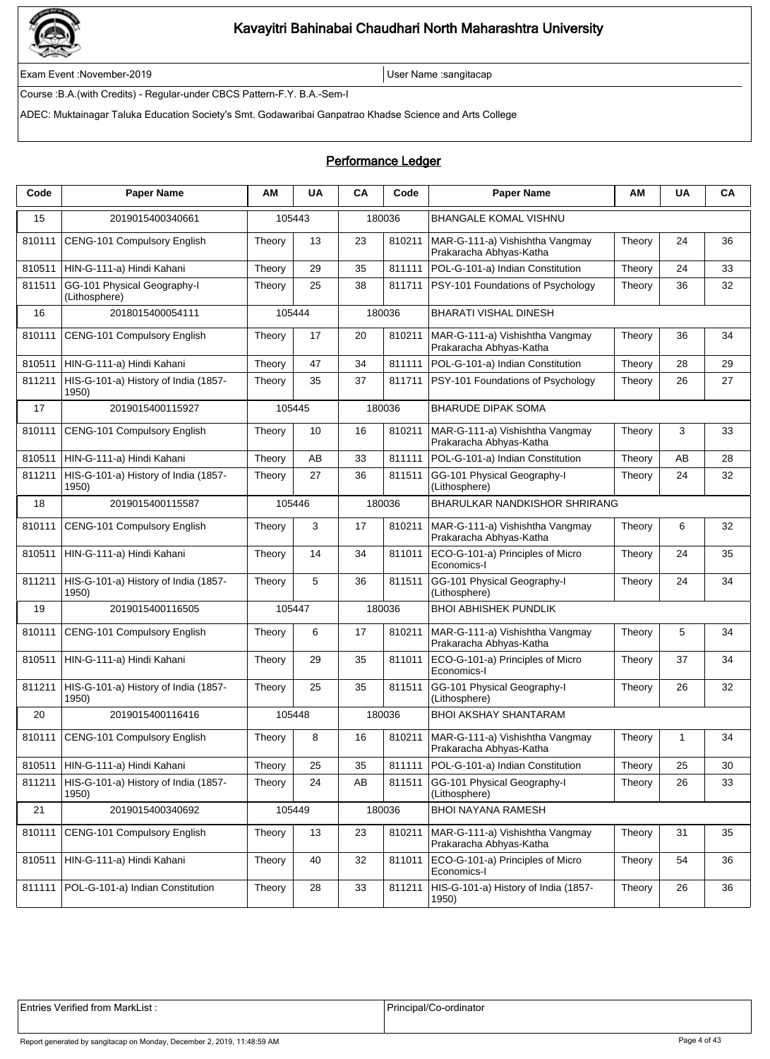

Exam Event :November-2019 User Name :sangitacap

Course :B.A.(with Credits) - Regular-under CBCS Pattern-F.Y. B.A.-Sem-I

ADEC: Muktainagar Taluka Education Society's Smt. Godawaribai Ganpatrao Khadse Science and Arts College

### Performance Ledger

| Code   | <b>Paper Name</b>                             | ΑM     | <b>UA</b> | CA | Code   | <b>Paper Name</b>                                          | AM     | <b>UA</b> | CА |
|--------|-----------------------------------------------|--------|-----------|----|--------|------------------------------------------------------------|--------|-----------|----|
| 15     | 2019015400340661                              |        | 105443    |    | 180036 | <b>BHANGALE KOMAL VISHNU</b>                               |        |           |    |
| 810111 | CENG-101 Compulsory English                   | Theory | 13        | 23 | 810211 | MAR-G-111-a) Vishishtha Vangmay<br>Prakaracha Abhyas-Katha | Theory | 24        | 36 |
| 810511 | HIN-G-111-a) Hindi Kahani                     | Theory | 29        | 35 | 811111 | POL-G-101-a) Indian Constitution                           | Theory | 24        | 33 |
| 811511 | GG-101 Physical Geography-I<br>(Lithosphere)  | Theory | 25        | 38 | 811711 | PSY-101 Foundations of Psychology                          | Theory | 36        | 32 |
| 16     | 2018015400054111                              |        | 105444    |    | 180036 | <b>BHARATI VISHAL DINESH</b>                               |        |           |    |
| 810111 | CENG-101 Compulsory English                   | Theory | 17        | 20 | 810211 | MAR-G-111-a) Vishishtha Vangmay<br>Prakaracha Abhyas-Katha | Theory | 36        | 34 |
| 810511 | HIN-G-111-a) Hindi Kahani                     | Theory | 47        | 34 | 811111 | POL-G-101-a) Indian Constitution                           | Theory | 28        | 29 |
| 811211 | HIS-G-101-a) History of India (1857-<br>1950) | Theory | 35        | 37 | 811711 | PSY-101 Foundations of Psychology                          | Theory | 26        | 27 |
| 17     | 2019015400115927                              |        | 105445    |    | 180036 | <b>BHARUDE DIPAK SOMA</b>                                  |        |           |    |
| 810111 | CENG-101 Compulsory English                   | Theory | 10        | 16 | 810211 | MAR-G-111-a) Vishishtha Vangmay<br>Prakaracha Abhyas-Katha | Theory | 3         | 33 |
| 810511 | HIN-G-111-a) Hindi Kahani                     | Theory | AB        | 33 | 811111 | POL-G-101-a) Indian Constitution                           | Theory | AB        | 28 |
| 811211 | HIS-G-101-a) History of India (1857-<br>1950) | Theory | 27        | 36 | 811511 | GG-101 Physical Geography-I<br>(Lithosphere)               | Theory | 24        | 32 |
| 18     | 2019015400115587                              |        | 105446    |    | 180036 | BHARULKAR NANDKISHOR SHRIRANG                              |        |           |    |
| 810111 | CENG-101 Compulsory English                   | Theory | 3         | 17 | 810211 | MAR-G-111-a) Vishishtha Vangmay<br>Prakaracha Abhyas-Katha | Theory | 6         | 32 |
| 810511 | HIN-G-111-a) Hindi Kahani                     | Theory | 14        | 34 | 811011 | ECO-G-101-a) Principles of Micro<br>Economics-I            | Theory | 24        | 35 |
| 811211 | HIS-G-101-a) History of India (1857-<br>1950) | Theory | 5         | 36 | 811511 | GG-101 Physical Geography-I<br>(Lithosphere)               | Theory | 24        | 34 |
| 19     | 2019015400116505                              |        | 105447    |    | 180036 | <b>BHOI ABHISHEK PUNDLIK</b>                               |        |           |    |
| 810111 | CENG-101 Compulsory English                   | Theory | 6         | 17 | 810211 | MAR-G-111-a) Vishishtha Vangmay<br>Prakaracha Abhyas-Katha | Theory | 5         | 34 |
| 810511 | HIN-G-111-a) Hindi Kahani                     | Theory | 29        | 35 | 811011 | ECO-G-101-a) Principles of Micro<br>Economics-I            | Theory | 37        | 34 |
| 811211 | HIS-G-101-a) History of India (1857-<br>1950) | Theory | 25        | 35 | 811511 | GG-101 Physical Geography-I<br>(Lithosphere)               | Theory | 26        | 32 |
| 20     | 2019015400116416                              |        | 105448    |    | 180036 | <b>BHOI AKSHAY SHANTARAM</b>                               |        |           |    |
| 810111 | CENG-101 Compulsory English                   | Theory | 8         | 16 | 810211 | MAR-G-111-a) Vishishtha Vangmay<br>Prakaracha Abhyas-Katha | Theory | 1         | 34 |
| 810511 | HIN-G-111-a) Hindi Kahani                     | Theory | 25        | 35 | 811111 | POL-G-101-a) Indian Constitution                           | Theory | 25        | 30 |
| 811211 | HIS-G-101-a) History of India (1857-<br>1950) | Theory | 24        | AB | 811511 | GG-101 Physical Geography-I<br>(Lithosphere)               | Theory | 26        | 33 |
| 21     | 2019015400340692                              |        | 105449    |    | 180036 | BHOI NAYANA RAMESH                                         |        |           |    |
| 810111 | CENG-101 Compulsory English                   | Theory | 13        | 23 | 810211 | MAR-G-111-a) Vishishtha Vangmay<br>Prakaracha Abhyas-Katha | Theory | 31        | 35 |
| 810511 | HIN-G-111-a) Hindi Kahani                     | Theory | 40        | 32 | 811011 | ECO-G-101-a) Principles of Micro<br>Economics-I            | Theory | 54        | 36 |
| 811111 | POL-G-101-a) Indian Constitution              | Theory | 28        | 33 | 811211 | HIS-G-101-a) History of India (1857-<br>1950)              | Theory | 26        | 36 |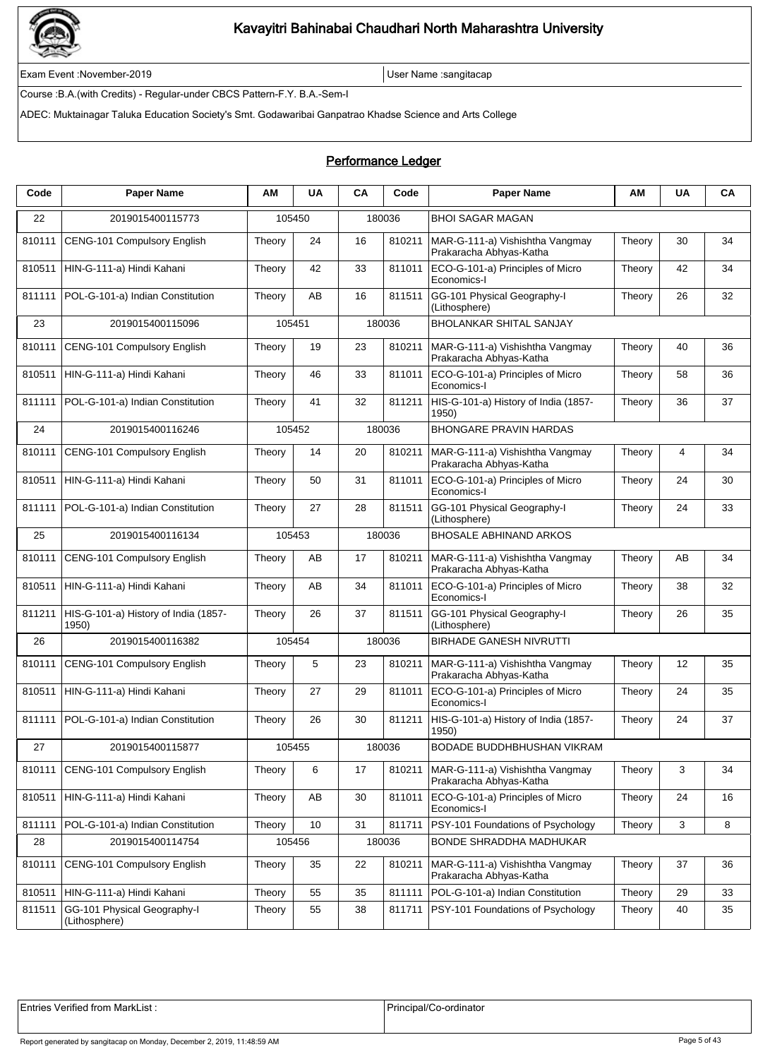

Exam Event :November-2019 User Name :sangitacap

Course :B.A.(with Credits) - Regular-under CBCS Pattern-F.Y. B.A.-Sem-I

ADEC: Muktainagar Taluka Education Society's Smt. Godawaribai Ganpatrao Khadse Science and Arts College

### Performance Ledger

| Code   | <b>Paper Name</b>                             | ΑM     | <b>UA</b> | CA | Code   | <b>Paper Name</b>                                          | ΑМ     | <b>UA</b> | CA |
|--------|-----------------------------------------------|--------|-----------|----|--------|------------------------------------------------------------|--------|-----------|----|
| 22     | 2019015400115773                              |        | 105450    |    | 180036 | <b>BHOI SAGAR MAGAN</b>                                    |        |           |    |
| 810111 | CENG-101 Compulsory English                   | Theory | 24        | 16 | 810211 | MAR-G-111-a) Vishishtha Vangmay<br>Prakaracha Abhyas-Katha | Theory | 30        | 34 |
| 810511 | HIN-G-111-a) Hindi Kahani                     | Theory | 42        | 33 | 811011 | ECO-G-101-a) Principles of Micro<br>Economics-I            | Theory | 42        | 34 |
| 811111 | POL-G-101-a) Indian Constitution              | Theory | AB        | 16 | 811511 | GG-101 Physical Geography-I<br>(Lithosphere)               | Theory | 26        | 32 |
| 23     | 2019015400115096                              |        | 105451    |    | 180036 | <b>BHOLANKAR SHITAL SANJAY</b>                             |        |           |    |
| 810111 | CENG-101 Compulsory English                   | Theory | 19        | 23 | 810211 | MAR-G-111-a) Vishishtha Vangmay<br>Prakaracha Abhyas-Katha | Theory | 40        | 36 |
| 810511 | HIN-G-111-a) Hindi Kahani                     | Theory | 46        | 33 | 811011 | ECO-G-101-a) Principles of Micro<br>Economics-I            | Theory | 58        | 36 |
| 811111 | POL-G-101-a) Indian Constitution              | Theory | 41        | 32 | 811211 | HIS-G-101-a) History of India (1857-<br>1950)              | Theory | 36        | 37 |
| 24     | 2019015400116246                              |        | 105452    |    | 180036 | <b>BHONGARE PRAVIN HARDAS</b>                              |        |           |    |
| 810111 | CENG-101 Compulsory English                   | Theory | 14        | 20 | 810211 | MAR-G-111-a) Vishishtha Vangmay<br>Prakaracha Abhyas-Katha | Theory | 4         | 34 |
| 810511 | HIN-G-111-a) Hindi Kahani                     | Theory | 50        | 31 | 811011 | ECO-G-101-a) Principles of Micro<br>Economics-I            | Theory | 24        | 30 |
| 811111 | POL-G-101-a) Indian Constitution              | Theory | 27        | 28 | 811511 | GG-101 Physical Geography-I<br>(Lithosphere)               | Theory | 24        | 33 |
| 25     | 2019015400116134                              |        | 105453    |    | 180036 | <b>BHOSALE ABHINAND ARKOS</b>                              |        |           |    |
| 810111 | CENG-101 Compulsory English                   | Theory | AB        | 17 | 810211 | MAR-G-111-a) Vishishtha Vangmay<br>Prakaracha Abhyas-Katha | Theory | AB        | 34 |
| 810511 | HIN-G-111-a) Hindi Kahani                     | Theory | AB        | 34 | 811011 | ECO-G-101-a) Principles of Micro<br>Economics-I            | Theory | 38        | 32 |
| 811211 | HIS-G-101-a) History of India (1857-<br>1950) | Theory | 26        | 37 | 811511 | GG-101 Physical Geography-I<br>(Lithosphere)               | Theory | 26        | 35 |
| 26     | 2019015400116382                              |        | 105454    |    | 180036 | <b>BIRHADE GANESH NIVRUTTI</b>                             |        |           |    |
| 810111 | CENG-101 Compulsory English                   | Theory | 5         | 23 | 810211 | MAR-G-111-a) Vishishtha Vangmay<br>Prakaracha Abhyas-Katha | Theory | 12        | 35 |
| 810511 | HIN-G-111-a) Hindi Kahani                     | Theory | 27        | 29 | 811011 | ECO-G-101-a) Principles of Micro<br>Economics-I            | Theory | 24        | 35 |
| 811111 | POL-G-101-a) Indian Constitution              | Theory | 26        | 30 | 811211 | HIS-G-101-a) History of India (1857-<br>1950)              | Theory | 24        | 37 |
| 27     | 2019015400115877                              |        | 105455    |    | 180036 | BODADE BUDDHBHUSHAN VIKRAM                                 |        |           |    |
| 810111 | <b>CENG-101 Compulsory English</b>            | Theory | 6         | 17 | 810211 | MAR-G-111-a) Vishishtha Vangmay<br>Prakaracha Abhyas-Katha | Theory | 3         | 34 |
| 810511 | HIN-G-111-a) Hindi Kahani                     | Theory | AB        | 30 | 811011 | ECO-G-101-a) Principles of Micro<br>Economics-I            | Theory | 24        | 16 |
| 811111 | POL-G-101-a) Indian Constitution              | Theory | 10        | 31 | 811711 | PSY-101 Foundations of Psychology                          | Theory | 3         | 8  |
| 28     | 2019015400114754                              |        | 105456    |    | 180036 | <b>BONDE SHRADDHA MADHUKAR</b>                             |        |           |    |
| 810111 | CENG-101 Compulsory English                   | Theory | 35        | 22 | 810211 | MAR-G-111-a) Vishishtha Vangmay<br>Prakaracha Abhyas-Katha | Theory | 37        | 36 |
| 810511 | HIN-G-111-a) Hindi Kahani                     | Theory | 55        | 35 | 811111 | POL-G-101-a) Indian Constitution                           | Theory | 29        | 33 |
| 811511 | GG-101 Physical Geography-I<br>(Lithosphere)  | Theory | 55        | 38 | 811711 | PSY-101 Foundations of Psychology                          | Theory | 40        | 35 |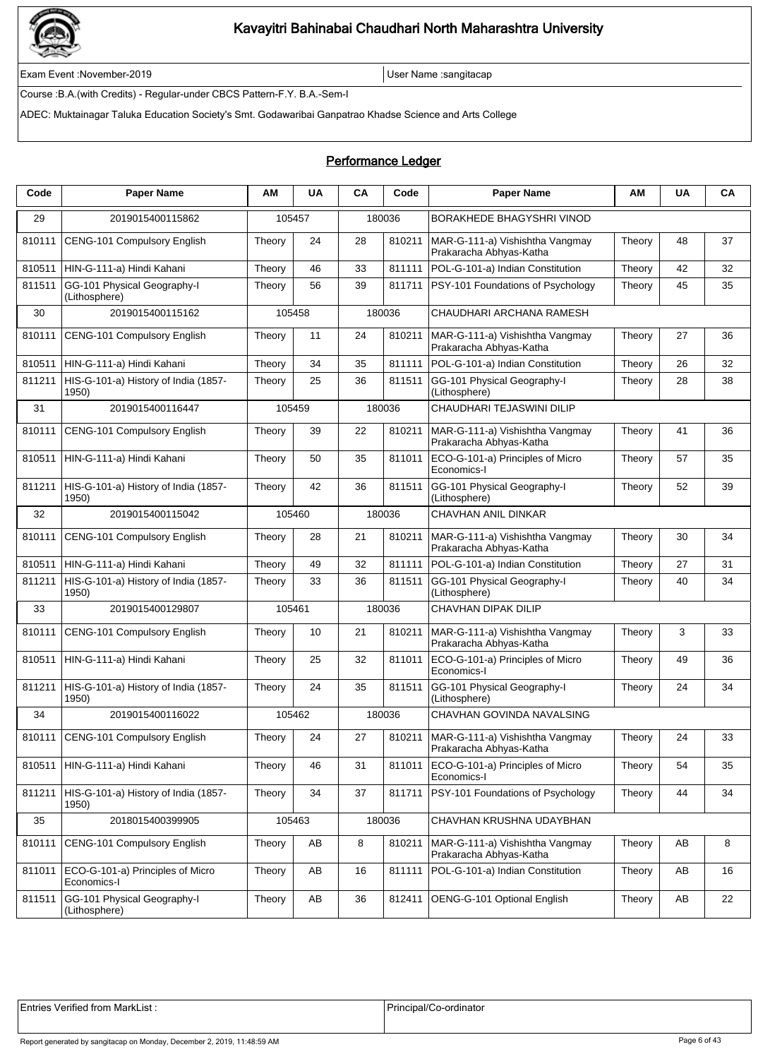

Exam Event :November-2019 User Name :sangitacap

Course :B.A.(with Credits) - Regular-under CBCS Pattern-F.Y. B.A.-Sem-I

ADEC: Muktainagar Taluka Education Society's Smt. Godawaribai Ganpatrao Khadse Science and Arts College

### Performance Ledger

| Code   | <b>Paper Name</b>                               | AМ     | <b>UA</b> | CA | Code   | <b>Paper Name</b>                                          | ΑМ     | <b>UA</b> | CA |
|--------|-------------------------------------------------|--------|-----------|----|--------|------------------------------------------------------------|--------|-----------|----|
| 29     | 2019015400115862                                |        | 105457    |    | 180036 | <b>BORAKHEDE BHAGYSHRI VINOD</b>                           |        |           |    |
| 810111 | CENG-101 Compulsory English                     | Theory | 24        | 28 | 810211 | MAR-G-111-a) Vishishtha Vangmay<br>Prakaracha Abhyas-Katha | Theory | 48        | 37 |
| 810511 | HIN-G-111-a) Hindi Kahani                       | Theory | 46        | 33 | 811111 | POL-G-101-a) Indian Constitution                           | Theory | 42        | 32 |
| 811511 | GG-101 Physical Geography-I<br>(Lithosphere)    | Theory | 56        | 39 | 811711 | PSY-101 Foundations of Psychology                          | Theory | 45        | 35 |
| 30     | 2019015400115162                                |        | 105458    |    | 180036 | CHAUDHARI ARCHANA RAMESH                                   |        |           |    |
| 810111 | CENG-101 Compulsory English                     | Theory | 11        | 24 | 810211 | MAR-G-111-a) Vishishtha Vangmay<br>Prakaracha Abhyas-Katha | Theory | 27        | 36 |
| 810511 | HIN-G-111-a) Hindi Kahani                       | Theory | 34        | 35 | 811111 | POL-G-101-a) Indian Constitution                           | Theory | 26        | 32 |
| 811211 | HIS-G-101-a) History of India (1857-<br>1950)   | Theory | 25        | 36 | 811511 | GG-101 Physical Geography-I<br>(Lithosphere)               | Theory | 28        | 38 |
| 31     | 2019015400116447                                |        | 105459    |    | 180036 | CHAUDHARI TEJASWINI DILIP                                  |        |           |    |
| 810111 | CENG-101 Compulsory English                     | Theory | 39        | 22 | 810211 | MAR-G-111-a) Vishishtha Vangmay<br>Prakaracha Abhyas-Katha | Theory | 41        | 36 |
| 810511 | HIN-G-111-a) Hindi Kahani                       | Theory | 50        | 35 | 811011 | ECO-G-101-a) Principles of Micro<br>Economics-I            | Theory | 57        | 35 |
| 811211 | HIS-G-101-a) History of India (1857-<br>1950)   | Theory | 42        | 36 | 811511 | GG-101 Physical Geography-I<br>(Lithosphere)               | Theory | 52        | 39 |
| 32     | 2019015400115042                                |        | 105460    |    | 180036 | CHAVHAN ANIL DINKAR                                        |        |           |    |
| 810111 | CENG-101 Compulsory English                     | Theory | 28        | 21 | 810211 | MAR-G-111-a) Vishishtha Vangmay<br>Prakaracha Abhyas-Katha | Theory | 30        | 34 |
| 810511 | HIN-G-111-a) Hindi Kahani                       | Theory | 49        | 32 | 811111 | POL-G-101-a) Indian Constitution                           | Theory | 27        | 31 |
| 811211 | HIS-G-101-a) History of India (1857-<br>1950)   | Theory | 33        | 36 | 811511 | GG-101 Physical Geography-I<br>(Lithosphere)               | Theory | 40        | 34 |
| 33     | 2019015400129807                                |        | 105461    |    | 180036 | CHAVHAN DIPAK DILIP                                        |        |           |    |
| 810111 | CENG-101 Compulsory English                     | Theory | 10        | 21 | 810211 | MAR-G-111-a) Vishishtha Vangmay<br>Prakaracha Abhyas-Katha | Theory | 3         | 33 |
| 810511 | HIN-G-111-a) Hindi Kahani                       | Theory | 25        | 32 | 811011 | ECO-G-101-a) Principles of Micro<br>Economics-I            | Theory | 49        | 36 |
| 811211 | HIS-G-101-a) History of India (1857-<br>1950)   | Theory | 24        | 35 | 811511 | GG-101 Physical Geography-I<br>(Lithosphere)               | Theory | 24        | 34 |
| 34     | 2019015400116022                                |        | 105462    |    | 180036 | CHAVHAN GOVINDA NAVALSING                                  |        |           |    |
| 810111 | CENG-101 Compulsory English                     | Theory | 24        | 27 | 810211 | MAR-G-111-a) Vishishtha Vangmay<br>Prakaracha Abhyas-Katha | Theory | 24        | 33 |
| 810511 | HIN-G-111-a) Hindi Kahani                       | Theory | 46        | 31 | 811011 | ECO-G-101-a) Principles of Micro<br>Economics-I            | Theory | 54        | 35 |
| 811211 | HIS-G-101-a) History of India (1857-<br>1950)   | Theory | 34        | 37 | 811711 | PSY-101 Foundations of Psychology                          | Theory | 44        | 34 |
| 35     | 2018015400399905                                |        | 105463    |    | 180036 | CHAVHAN KRUSHNA UDAYBHAN                                   |        |           |    |
| 810111 | CENG-101 Compulsory English                     | Theory | AB        | 8  | 810211 | MAR-G-111-a) Vishishtha Vangmay<br>Prakaracha Abhyas-Katha | Theory | AB        | 8  |
| 811011 | ECO-G-101-a) Principles of Micro<br>Economics-I | Theory | AB        | 16 | 811111 | POL-G-101-a) Indian Constitution                           | Theory | AB        | 16 |
| 811511 | GG-101 Physical Geography-I<br>(Lithosphere)    | Theory | AB        | 36 | 812411 | OENG-G-101 Optional English                                | Theory | AB        | 22 |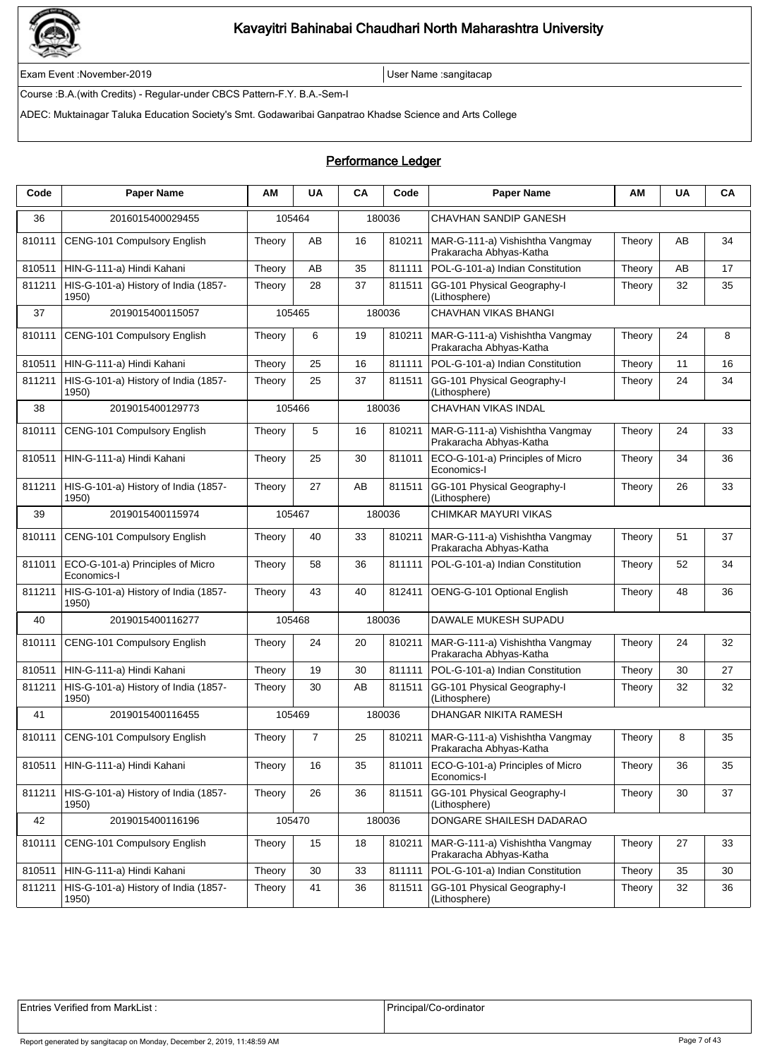

Exam Event :November-2019 User Name :sangitacap

Course :B.A.(with Credits) - Regular-under CBCS Pattern-F.Y. B.A.-Sem-I

ADEC: Muktainagar Taluka Education Society's Smt. Godawaribai Ganpatrao Khadse Science and Arts College

| Code   | <b>Paper Name</b>                               | ΑМ     | <b>UA</b>      | CA | Code   | <b>Paper Name</b>                                          | AM     | <b>UA</b> | CA |
|--------|-------------------------------------------------|--------|----------------|----|--------|------------------------------------------------------------|--------|-----------|----|
| 36     | 2016015400029455                                |        | 105464         |    | 180036 | CHAVHAN SANDIP GANESH                                      |        |           |    |
| 810111 | CENG-101 Compulsory English                     | Theory | AB             | 16 | 810211 | MAR-G-111-a) Vishishtha Vangmay<br>Prakaracha Abhyas-Katha | Theory | AB        | 34 |
| 810511 | HIN-G-111-a) Hindi Kahani                       | Theory | AB             | 35 | 811111 | POL-G-101-a) Indian Constitution                           | Theory | AB        | 17 |
| 811211 | HIS-G-101-a) History of India (1857-<br>1950)   | Theory | 28             | 37 | 811511 | GG-101 Physical Geography-I<br>(Lithosphere)               | Theory | 32        | 35 |
| 37     | 2019015400115057                                |        | 105465         |    | 180036 | CHAVHAN VIKAS BHANGI                                       |        |           |    |
| 810111 | CENG-101 Compulsory English                     | Theory | 6              | 19 | 810211 | MAR-G-111-a) Vishishtha Vangmay<br>Prakaracha Abhyas-Katha | Theory | 24        | 8  |
| 810511 | HIN-G-111-a) Hindi Kahani                       | Theory | 25             | 16 | 811111 | POL-G-101-a) Indian Constitution                           | Theory | 11        | 16 |
| 811211 | HIS-G-101-a) History of India (1857-<br>1950)   | Theory | 25             | 37 | 811511 | GG-101 Physical Geography-I<br>(Lithosphere)               | Theory | 24        | 34 |
| 38     | 2019015400129773                                |        | 105466         |    | 180036 | CHAVHAN VIKAS INDAL                                        |        |           |    |
| 810111 | CENG-101 Compulsory English                     | Theory | 5              | 16 | 810211 | MAR-G-111-a) Vishishtha Vangmay<br>Prakaracha Abhyas-Katha | Theory | 24        | 33 |
| 810511 | HIN-G-111-a) Hindi Kahani                       | Theory | 25             | 30 | 811011 | ECO-G-101-a) Principles of Micro<br>Economics-I            | Theory | 34        | 36 |
| 811211 | HIS-G-101-a) History of India (1857-<br>1950)   | Theory | 27             | AB | 811511 | GG-101 Physical Geography-I<br>(Lithosphere)               | Theory | 26        | 33 |
| 39     | 2019015400115974                                |        | 105467         |    | 180036 | CHIMKAR MAYURI VIKAS                                       |        |           |    |
| 810111 | CENG-101 Compulsory English                     | Theory | 40             | 33 | 810211 | MAR-G-111-a) Vishishtha Vangmay<br>Prakaracha Abhyas-Katha | Theory | 51        | 37 |
| 811011 | ECO-G-101-a) Principles of Micro<br>Economics-I | Theory | 58             | 36 | 811111 | POL-G-101-a) Indian Constitution                           | Theory | 52        | 34 |
| 811211 | HIS-G-101-a) History of India (1857-<br>1950)   | Theory | 43             | 40 | 812411 | OENG-G-101 Optional English                                | Theory | 48        | 36 |
| 40     | 2019015400116277                                |        | 105468         |    | 180036 | DAWALE MUKESH SUPADU                                       |        |           |    |
| 810111 | CENG-101 Compulsory English                     | Theory | 24             | 20 | 810211 | MAR-G-111-a) Vishishtha Vangmay<br>Prakaracha Abhyas-Katha | Theory | 24        | 32 |
| 810511 | HIN-G-111-a) Hindi Kahani                       | Theory | 19             | 30 | 811111 | POL-G-101-a) Indian Constitution                           | Theory | 30        | 27 |
| 811211 | HIS-G-101-a) History of India (1857-<br>1950)   | Theory | 30             | AB | 811511 | GG-101 Physical Geography-I<br>(Lithosphere)               | Theory | 32        | 32 |
| 41     | 2019015400116455                                |        | 105469         |    | 180036 | DHANGAR NIKITA RAMESH                                      |        |           |    |
| 810111 | CENG-101 Compulsory English                     | Theory | $\overline{7}$ | 25 | 810211 | MAR-G-111-a) Vishishtha Vangmay<br>Prakaracha Abhyas-Katha | Theory | 8         | 35 |
| 810511 | HIN-G-111-a) Hindi Kahani                       | Theory | 16             | 35 | 811011 | ECO-G-101-a) Principles of Micro<br>Economics-I            | Theory | 36        | 35 |
| 811211 | HIS-G-101-a) History of India (1857-<br>1950)   | Theory | 26             | 36 | 811511 | GG-101 Physical Geography-I<br>(Lithosphere)               | Theory | 30        | 37 |
| 42     | 2019015400116196                                |        | 105470         |    | 180036 | DONGARE SHAILESH DADARAO                                   |        |           |    |
| 810111 | <b>CENG-101 Compulsory English</b>              | Theory | 15             | 18 | 810211 | MAR-G-111-a) Vishishtha Vangmay<br>Prakaracha Abhyas-Katha | Theory | 27        | 33 |
| 810511 | HIN-G-111-a) Hindi Kahani                       | Theory | 30             | 33 | 811111 | POL-G-101-a) Indian Constitution                           | Theory | 35        | 30 |
| 811211 | HIS-G-101-a) History of India (1857-<br>1950)   | Theory | 41             | 36 | 811511 | GG-101 Physical Geography-I<br>(Lithosphere)               | Theory | 32        | 36 |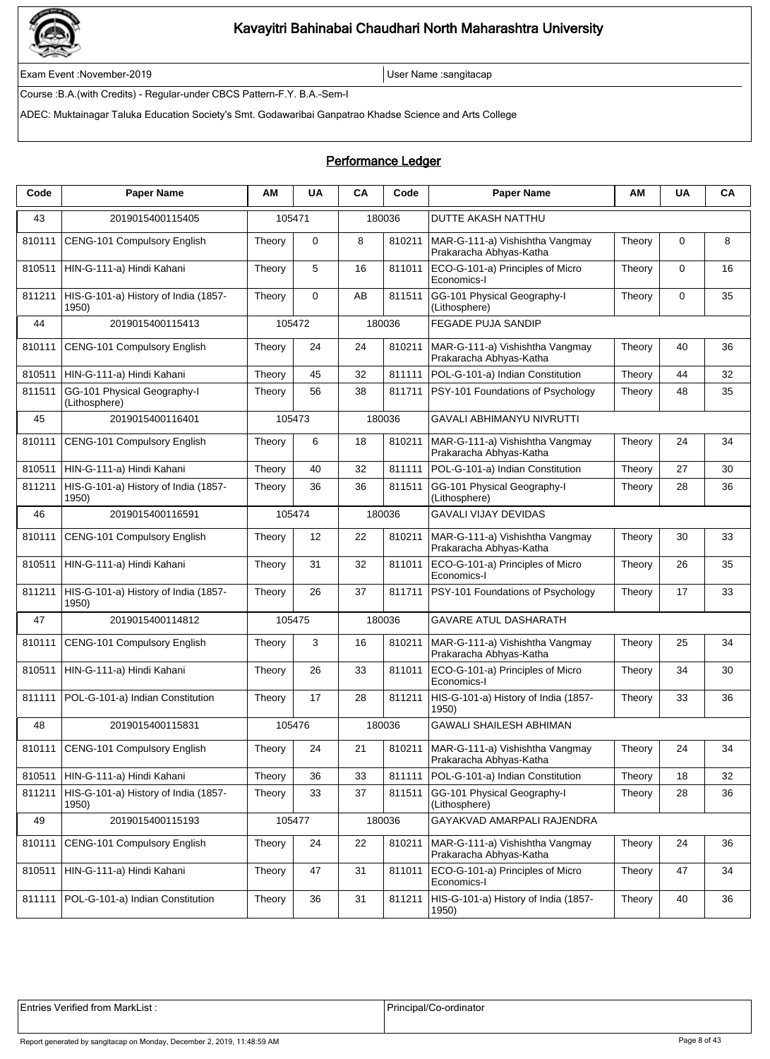

Exam Event :November-2019 User Name :sangitacap

Course :B.A.(with Credits) - Regular-under CBCS Pattern-F.Y. B.A.-Sem-I

ADEC: Muktainagar Taluka Education Society's Smt. Godawaribai Ganpatrao Khadse Science and Arts College

### Performance Ledger

| Code   | <b>Paper Name</b>                             | ΑМ     | <b>UA</b>   | CA                                    | Code   | <b>Paper Name</b>                                                   | ΑМ     | <b>UA</b> | CA |
|--------|-----------------------------------------------|--------|-------------|---------------------------------------|--------|---------------------------------------------------------------------|--------|-----------|----|
| 43     | 2019015400115405                              |        | 105471      |                                       | 180036 | <b>DUTTE AKASH NATTHU</b>                                           |        |           |    |
| 810111 | CENG-101 Compulsory English                   | Theory | $\mathbf 0$ | 8                                     | 810211 | MAR-G-111-a) Vishishtha Vangmay<br>Prakaracha Abhyas-Katha          | Theory | 0         | 8  |
| 810511 | HIN-G-111-a) Hindi Kahani                     | Theory | 5           | 16                                    | 811011 | ECO-G-101-a) Principles of Micro<br>Economics-I                     | Theory | 0         | 16 |
| 811211 | HIS-G-101-a) History of India (1857-<br>1950) | Theory | $\mathbf 0$ | AB                                    | 811511 | GG-101 Physical Geography-I<br>(Lithosphere)                        | Theory | 0         | 35 |
| 44     | 2019015400115413                              |        | 105472      |                                       | 180036 | <b>FEGADE PUJA SANDIP</b>                                           |        |           |    |
| 810111 | CENG-101 Compulsory English                   | Theory | 24          | 24                                    | 810211 | MAR-G-111-a) Vishishtha Vangmay<br>Prakaracha Abhyas-Katha          | Theory | 40        | 36 |
| 810511 | HIN-G-111-a) Hindi Kahani                     | Theory | 45          | 32                                    | 811111 | POL-G-101-a) Indian Constitution                                    | Theory | 44        | 32 |
| 811511 | GG-101 Physical Geography-I<br>(Lithosphere)  | Theory | 56          | 38                                    | 811711 | PSY-101 Foundations of Psychology                                   | Theory | 48        | 35 |
| 45     | 2019015400116401                              |        | 105473      |                                       | 180036 | GAVALI ABHIMANYU NIVRUTTI                                           |        |           |    |
| 810111 | CENG-101 Compulsory English                   | Theory | 6           | 18                                    | 810211 | MAR-G-111-a) Vishishtha Vangmay<br>Prakaracha Abhyas-Katha          | Theory | 24        | 34 |
| 810511 | HIN-G-111-a) Hindi Kahani                     | Theory | 40          | 32                                    | 811111 | POL-G-101-a) Indian Constitution                                    | Theory | 27        | 30 |
| 811211 | HIS-G-101-a) History of India (1857-<br>1950) | Theory | 36          | 36                                    | 811511 | GG-101 Physical Geography-I<br>(Lithosphere)                        | Theory | 28        | 36 |
| 46     | 2019015400116591                              |        | 105474      | <b>GAVALI VIJAY DEVIDAS</b><br>180036 |        |                                                                     |        |           |    |
| 810111 | CENG-101 Compulsory English                   | Theory | 12          | 22                                    | 810211 | MAR-G-111-a) Vishishtha Vangmay<br>Prakaracha Abhyas-Katha          | Theory | 30        | 33 |
| 810511 | HIN-G-111-a) Hindi Kahani                     | Theory | 31          | 32                                    | 811011 | ECO-G-101-a) Principles of Micro<br>Economics-I                     | Theory | 26        | 35 |
| 811211 | HIS-G-101-a) History of India (1857-<br>1950) | Theory | 26          | 37                                    | 811711 | PSY-101 Foundations of Psychology                                   | Theory | 17        | 33 |
| 47     | 2019015400114812                              |        | 105475      |                                       | 180036 | <b>GAVARE ATUL DASHARATH</b>                                        |        |           |    |
| 810111 | CENG-101 Compulsory English                   | Theory | 3           | 16                                    | 810211 | MAR-G-111-a) Vishishtha Vangmay<br>Prakaracha Abhyas-Katha          | Theory | 25        | 34 |
| 810511 | HIN-G-111-a) Hindi Kahani                     | Theory | 26          | 33                                    | 811011 | ECO-G-101-a) Principles of Micro<br>Economics-I                     | Theory | 34        | 30 |
| 811111 | POL-G-101-a) Indian Constitution              | Theory | 17          | 28                                    | 811211 | HIS-G-101-a) History of India (1857-<br>1950)                       | Theory | 33        | 36 |
| 48     | 2019015400115831                              |        | 105476      |                                       | 180036 | <b>GAWALI SHAILESH ABHIMAN</b>                                      |        |           |    |
| 810111 | CENG-101 Compulsory English                   | Theory | 24          | 21                                    |        | 810211   MAR-G-111-a) Vishishtha Vangmay<br>Prakaracha Abhyas-Katha | Theory | 24        | 34 |
| 810511 | HIN-G-111-a) Hindi Kahani                     | Theory | 36          | 33                                    | 811111 | POL-G-101-a) Indian Constitution                                    | Theory | 18        | 32 |
| 811211 | HIS-G-101-a) History of India (1857-<br>1950) | Theory | 33          | 37                                    | 811511 | GG-101 Physical Geography-I<br>(Lithosphere)                        | Theory | 28        | 36 |
| 49     | 2019015400115193                              |        | 105477      |                                       | 180036 | GAYAKVAD AMARPALI RAJENDRA                                          |        |           |    |
| 810111 | CENG-101 Compulsory English                   | Theory | 24          | 22                                    | 810211 | MAR-G-111-a) Vishishtha Vangmay<br>Prakaracha Abhyas-Katha          | Theory | 24        | 36 |
| 810511 | HIN-G-111-a) Hindi Kahani                     | Theory | 47          | 31                                    | 811011 | ECO-G-101-a) Principles of Micro<br>Economics-I                     | Theory | 47        | 34 |
| 811111 | POL-G-101-a) Indian Constitution              | Theory | 36          | 31                                    | 811211 | HIS-G-101-a) History of India (1857-<br>1950)                       | Theory | 40        | 36 |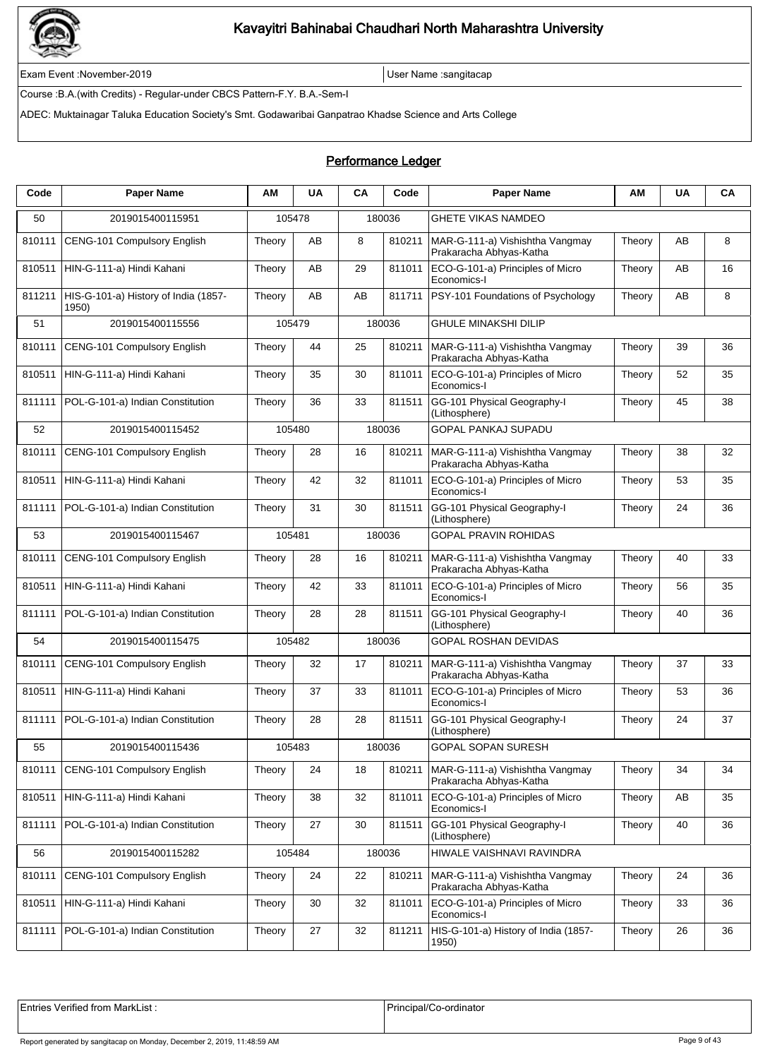

Exam Event :November-2019 User Name :sangitacap

Course :B.A.(with Credits) - Regular-under CBCS Pattern-F.Y. B.A.-Sem-I

ADEC: Muktainagar Taluka Education Society's Smt. Godawaribai Ganpatrao Khadse Science and Arts College

### Performance Ledger

| Code   | <b>Paper Name</b>                             | ΑM     | <b>UA</b> | CA | Code   | <b>Paper Name</b>                                          | ΑМ     | <b>UA</b> | CA |
|--------|-----------------------------------------------|--------|-----------|----|--------|------------------------------------------------------------|--------|-----------|----|
| 50     | 2019015400115951                              |        | 105478    |    | 180036 | <b>GHETE VIKAS NAMDEO</b>                                  |        |           |    |
| 810111 | CENG-101 Compulsory English                   | Theory | AB        | 8  | 810211 | MAR-G-111-a) Vishishtha Vangmay<br>Prakaracha Abhyas-Katha | Theory | AB        | 8  |
| 810511 | HIN-G-111-a) Hindi Kahani                     | Theory | AB        | 29 | 811011 | ECO-G-101-a) Principles of Micro<br>Economics-I            | Theory | AB        | 16 |
| 811211 | HIS-G-101-a) History of India (1857-<br>1950) | Theory | AB        | AB | 811711 | PSY-101 Foundations of Psychology                          | Theory | AB        | 8  |
| 51     | 2019015400115556                              |        | 105479    |    | 180036 | <b>GHULE MINAKSHI DILIP</b>                                |        |           |    |
| 810111 | CENG-101 Compulsory English                   | Theory | 44        | 25 | 810211 | MAR-G-111-a) Vishishtha Vangmay<br>Prakaracha Abhyas-Katha | Theory | 39        | 36 |
| 810511 | HIN-G-111-a) Hindi Kahani                     | Theory | 35        | 30 | 811011 | ECO-G-101-a) Principles of Micro<br>Economics-I            | Theory | 52        | 35 |
| 811111 | POL-G-101-a) Indian Constitution              | Theory | 36        | 33 | 811511 | GG-101 Physical Geography-I<br>(Lithosphere)               | Theory | 45        | 38 |
| 52     | 2019015400115452                              |        | 105480    |    | 180036 | <b>GOPAL PANKAJ SUPADU</b>                                 |        |           |    |
| 810111 | CENG-101 Compulsory English                   | Theory | 28        | 16 | 810211 | MAR-G-111-a) Vishishtha Vangmay<br>Prakaracha Abhyas-Katha | Theory | 38        | 32 |
| 810511 | HIN-G-111-a) Hindi Kahani                     | Theory | 42        | 32 | 811011 | ECO-G-101-a) Principles of Micro<br>Economics-I            | Theory | 53        | 35 |
| 811111 | POL-G-101-a) Indian Constitution              | Theory | 31        | 30 | 811511 | GG-101 Physical Geography-I<br>(Lithosphere)               | Theory | 24        | 36 |
| 53     | 2019015400115467                              |        | 105481    |    | 180036 | <b>GOPAL PRAVIN ROHIDAS</b>                                |        |           |    |
| 810111 | CENG-101 Compulsory English                   | Theory | 28        | 16 | 810211 | MAR-G-111-a) Vishishtha Vangmay<br>Prakaracha Abhyas-Katha | Theory | 40        | 33 |
| 810511 | HIN-G-111-a) Hindi Kahani                     | Theory | 42        | 33 | 811011 | ECO-G-101-a) Principles of Micro<br>Economics-I            | Theory | 56        | 35 |
| 811111 | POL-G-101-a) Indian Constitution              | Theory | 28        | 28 | 811511 | GG-101 Physical Geography-I<br>(Lithosphere)               | Theory | 40        | 36 |
| 54     | 2019015400115475                              |        | 105482    |    | 180036 | <b>GOPAL ROSHAN DEVIDAS</b>                                |        |           |    |
| 810111 | CENG-101 Compulsory English                   | Theory | 32        | 17 | 810211 | MAR-G-111-a) Vishishtha Vangmay<br>Prakaracha Abhyas-Katha | Theory | 37        | 33 |
| 810511 | HIN-G-111-a) Hindi Kahani                     | Theory | 37        | 33 | 811011 | ECO-G-101-a) Principles of Micro<br>Economics-I            | Theory | 53        | 36 |
| 811111 | POL-G-101-a) Indian Constitution              | Theory | 28        | 28 | 811511 | GG-101 Physical Geography-I<br>(Lithosphere)               | Theory | 24        | 37 |
| 55     | 2019015400115436                              |        | 105483    |    | 180036 | GOPAL SOPAN SURESH                                         |        |           |    |
| 810111 | <b>CENG-101 Compulsory English</b>            | Theory | 24        | 18 | 810211 | MAR-G-111-a) Vishishtha Vangmay<br>Prakaracha Abhyas-Katha | Theory | 34        | 34 |
| 810511 | HIN-G-111-a) Hindi Kahani                     | Theory | 38        | 32 | 811011 | ECO-G-101-a) Principles of Micro<br>Economics-I            | Theory | AB        | 35 |
| 811111 | POL-G-101-a) Indian Constitution              | Theory | 27        | 30 | 811511 | GG-101 Physical Geography-I<br>(Lithosphere)               | Theory | 40        | 36 |
| 56     | 2019015400115282                              |        | 105484    |    | 180036 | HIWALE VAISHNAVI RAVINDRA                                  |        |           |    |
| 810111 | CENG-101 Compulsory English                   | Theory | 24        | 22 | 810211 | MAR-G-111-a) Vishishtha Vangmay<br>Prakaracha Abhyas-Katha | Theory | 24        | 36 |
| 810511 | HIN-G-111-a) Hindi Kahani                     | Theory | 30        | 32 | 811011 | ECO-G-101-a) Principles of Micro<br>Economics-I            | Theory | 33        | 36 |
| 811111 | POL-G-101-a) Indian Constitution              | Theory | 27        | 32 | 811211 | HIS-G-101-a) History of India (1857-<br>1950)              | Theory | 26        | 36 |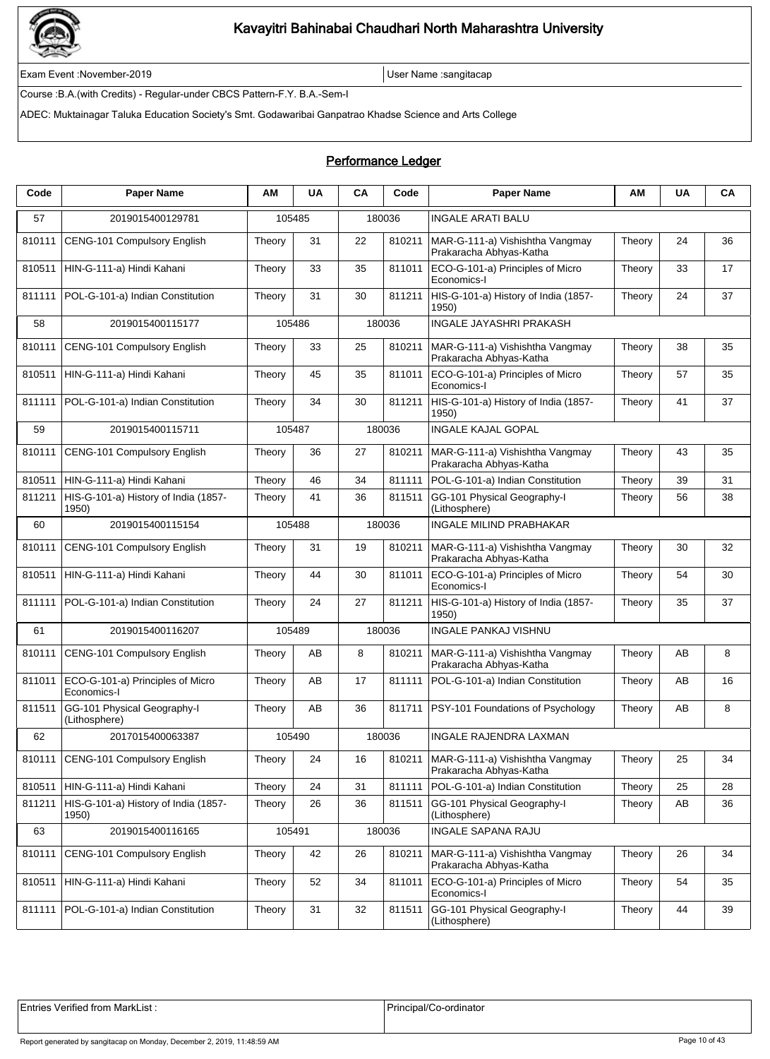

Exam Event :November-2019 User Name :sangitacap

Course :B.A.(with Credits) - Regular-under CBCS Pattern-F.Y. B.A.-Sem-I

ADEC: Muktainagar Taluka Education Society's Smt. Godawaribai Ganpatrao Khadse Science and Arts College

### Performance Ledger

| Code   | <b>Paper Name</b>                               | AМ     | <b>UA</b> | CA | Code   | <b>Paper Name</b>                                          | AM     | <b>UA</b> | CA |
|--------|-------------------------------------------------|--------|-----------|----|--------|------------------------------------------------------------|--------|-----------|----|
| 57     | 2019015400129781                                |        | 105485    |    | 180036 | <b>INGALE ARATI BALU</b>                                   |        |           |    |
| 810111 | CENG-101 Compulsory English                     | Theory | 31        | 22 | 810211 | MAR-G-111-a) Vishishtha Vangmay<br>Prakaracha Abhyas-Katha | Theory | 24        | 36 |
| 810511 | HIN-G-111-a) Hindi Kahani                       | Theory | 33        | 35 | 811011 | ECO-G-101-a) Principles of Micro<br>Economics-I            | Theory | 33        | 17 |
| 811111 | POL-G-101-a) Indian Constitution                | Theory | 31        | 30 | 811211 | HIS-G-101-a) History of India (1857-<br>1950)              | Theory | 24        | 37 |
| 58     | 2019015400115177                                |        | 105486    |    | 180036 | <b>INGALE JAYASHRI PRAKASH</b>                             |        |           |    |
| 810111 | CENG-101 Compulsory English                     | Theory | 33        | 25 | 810211 | MAR-G-111-a) Vishishtha Vangmay<br>Prakaracha Abhyas-Katha | Theory | 38        | 35 |
| 810511 | HIN-G-111-a) Hindi Kahani                       | Theory | 45        | 35 | 811011 | ECO-G-101-a) Principles of Micro<br>Economics-I            | Theory | 57        | 35 |
| 811111 | POL-G-101-a) Indian Constitution                | Theory | 34        | 30 | 811211 | HIS-G-101-a) History of India (1857-<br>1950)              | Theory | 41        | 37 |
| 59     | 2019015400115711                                |        | 105487    |    | 180036 | <b>INGALE KAJAL GOPAL</b>                                  |        |           |    |
| 810111 | CENG-101 Compulsory English                     | Theory | 36        | 27 | 810211 | MAR-G-111-a) Vishishtha Vangmay<br>Prakaracha Abhyas-Katha | Theory | 43        | 35 |
| 810511 | HIN-G-111-a) Hindi Kahani                       | Theory | 46        | 34 | 811111 | POL-G-101-a) Indian Constitution                           | Theory | 39        | 31 |
| 811211 | HIS-G-101-a) History of India (1857-<br>1950)   | Theory | 41        | 36 | 811511 | GG-101 Physical Geography-I<br>(Lithosphere)               | Theory | 56        | 38 |
| 60     | 2019015400115154                                |        | 105488    |    | 180036 | <b>INGALE MILIND PRABHAKAR</b>                             |        |           |    |
| 810111 | <b>CENG-101 Compulsory English</b>              | Theory | 31        | 19 | 810211 | MAR-G-111-a) Vishishtha Vangmay<br>Prakaracha Abhyas-Katha | Theory | 30        | 32 |
| 810511 | HIN-G-111-a) Hindi Kahani                       | Theory | 44        | 30 | 811011 | ECO-G-101-a) Principles of Micro<br>Economics-I            | Theory | 54        | 30 |
| 811111 | POL-G-101-a) Indian Constitution                | Theory | 24        | 27 | 811211 | HIS-G-101-a) History of India (1857-<br>1950)              | Theory | 35        | 37 |
| 61     | 2019015400116207                                |        | 105489    |    | 180036 | <b>INGALE PANKAJ VISHNU</b>                                |        |           |    |
| 810111 | CENG-101 Compulsory English                     | Theory | AB        | 8  | 810211 | MAR-G-111-a) Vishishtha Vangmay<br>Prakaracha Abhyas-Katha | Theory | AB        | 8  |
| 811011 | ECO-G-101-a) Principles of Micro<br>Economics-I | Theory | AB        | 17 | 811111 | POL-G-101-a) Indian Constitution                           | Theory | AB        | 16 |
| 811511 | GG-101 Physical Geography-I<br>(Lithosphere)    | Theory | AB        | 36 | 811711 | PSY-101 Foundations of Psychology                          | Theory | AB        | 8  |
| 62     | 2017015400063387                                |        | 105490    |    | 180036 | INGALE RAJENDRA LAXMAN                                     |        |           |    |
| 810111 | CENG-101 Compulsory English                     | Theory | 24        | 16 | 810211 | MAR-G-111-a) Vishishtha Vangmay<br>Prakaracha Abhyas-Katha | Theory | 25        | 34 |
| 810511 | HIN-G-111-a) Hindi Kahani                       | Theory | 24        | 31 | 811111 | POL-G-101-a) Indian Constitution                           | Theory | 25        | 28 |
| 811211 | HIS-G-101-a) History of India (1857-<br>1950)   | Theory | 26        | 36 | 811511 | GG-101 Physical Geography-I<br>(Lithosphere)               | Theory | AB        | 36 |
| 63     | 2019015400116165                                |        | 105491    |    | 180036 | INGALE SAPANA RAJU                                         |        |           |    |
| 810111 | <b>CENG-101 Compulsory English</b>              | Theory | 42        | 26 | 810211 | MAR-G-111-a) Vishishtha Vangmay<br>Prakaracha Abhyas-Katha | Theory | 26        | 34 |
| 810511 | HIN-G-111-a) Hindi Kahani                       | Theory | 52        | 34 | 811011 | ECO-G-101-a) Principles of Micro<br>Economics-I            | Theory | 54        | 35 |
| 811111 | POL-G-101-a) Indian Constitution                | Theory | 31        | 32 | 811511 | GG-101 Physical Geography-I<br>(Lithosphere)               | Theory | 44        | 39 |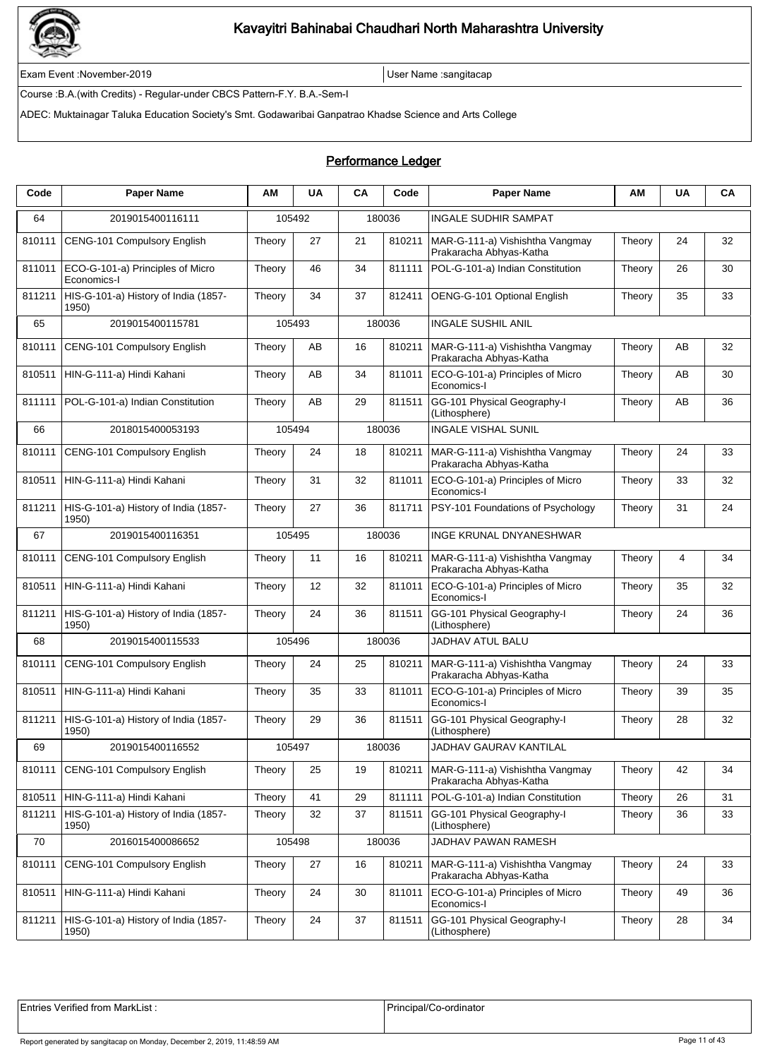

Exam Event :November-2019 User Name :sangitacap

Course :B.A.(with Credits) - Regular-under CBCS Pattern-F.Y. B.A.-Sem-I

ADEC: Muktainagar Taluka Education Society's Smt. Godawaribai Ganpatrao Khadse Science and Arts College

#### Performance Ledger

| Code   | <b>Paper Name</b>                               | ΑМ     | <b>UA</b> | CA | Code   | <b>Paper Name</b>                                          | ΑМ     | <b>UA</b> | CA |
|--------|-------------------------------------------------|--------|-----------|----|--------|------------------------------------------------------------|--------|-----------|----|
| 64     | 2019015400116111                                |        | 105492    |    | 180036 | <b>INGALE SUDHIR SAMPAT</b>                                |        |           |    |
| 810111 | CENG-101 Compulsory English                     | Theory | 27        | 21 | 810211 | MAR-G-111-a) Vishishtha Vangmay<br>Prakaracha Abhyas-Katha | Theory | 24        | 32 |
| 811011 | ECO-G-101-a) Principles of Micro<br>Economics-I | Theory | 46        | 34 | 811111 | POL-G-101-a) Indian Constitution                           | Theory | 26        | 30 |
| 811211 | HIS-G-101-a) History of India (1857-<br>1950)   | Theory | 34        | 37 | 812411 | OENG-G-101 Optional English                                | Theory | 35        | 33 |
| 65     | 2019015400115781                                |        | 105493    |    | 180036 | <b>INGALE SUSHIL ANIL</b>                                  |        |           |    |
| 810111 | CENG-101 Compulsory English                     | Theory | AB        | 16 | 810211 | MAR-G-111-a) Vishishtha Vangmay<br>Prakaracha Abhyas-Katha | Theory | AB        | 32 |
| 810511 | HIN-G-111-a) Hindi Kahani                       | Theory | AB        | 34 | 811011 | ECO-G-101-a) Principles of Micro<br>Economics-I            | Theory | AB        | 30 |
| 811111 | POL-G-101-a) Indian Constitution                | Theory | AB        | 29 | 811511 | GG-101 Physical Geography-I<br>(Lithosphere)               | Theory | AB        | 36 |
| 66     | 2018015400053193                                |        | 105494    |    | 180036 | <b>INGALE VISHAL SUNIL</b>                                 |        |           |    |
| 810111 | CENG-101 Compulsory English                     | Theory | 24        | 18 | 810211 | MAR-G-111-a) Vishishtha Vangmay<br>Prakaracha Abhyas-Katha | Theory | 24        | 33 |
| 810511 | HIN-G-111-a) Hindi Kahani                       | Theory | 31        | 32 | 811011 | ECO-G-101-a) Principles of Micro<br>Economics-I            | Theory | 33        | 32 |
| 811211 | HIS-G-101-a) History of India (1857-<br>1950)   | Theory | 27        | 36 | 811711 | PSY-101 Foundations of Psychology                          | Theory | 31        | 24 |
| 67     | 2019015400116351                                |        | 105495    |    | 180036 | <b>INGE KRUNAL DNYANESHWAR</b>                             |        |           |    |
| 810111 | CENG-101 Compulsory English                     | Theory | 11        | 16 | 810211 | MAR-G-111-a) Vishishtha Vangmay<br>Prakaracha Abhyas-Katha | Theory | 4         | 34 |
| 810511 | HIN-G-111-a) Hindi Kahani                       | Theory | 12        | 32 | 811011 | ECO-G-101-a) Principles of Micro<br>Economics-I            | Theory | 35        | 32 |
| 811211 | HIS-G-101-a) History of India (1857-<br>1950)   | Theory | 24        | 36 | 811511 | GG-101 Physical Geography-I<br>(Lithosphere)               | Theory | 24        | 36 |
| 68     | 2019015400115533                                |        | 105496    |    | 180036 | <b>JADHAV ATUL BALU</b>                                    |        |           |    |
| 810111 | CENG-101 Compulsory English                     | Theory | 24        | 25 | 810211 | MAR-G-111-a) Vishishtha Vangmay<br>Prakaracha Abhyas-Katha | Theory | 24        | 33 |
| 810511 | HIN-G-111-a) Hindi Kahani                       | Theory | 35        | 33 | 811011 | ECO-G-101-a) Principles of Micro<br>Economics-I            | Theory | 39        | 35 |
| 811211 | HIS-G-101-a) History of India (1857-<br>1950)   | Theory | 29        | 36 | 811511 | GG-101 Physical Geography-I<br>(Lithosphere)               | Theory | 28        | 32 |
| 69     | 2019015400116552                                |        | 105497    |    | 180036 | JADHAV GAURAV KANTILAL                                     |        |           |    |
| 810111 | CENG-101 Compulsory English                     | Theory | 25        | 19 | 810211 | MAR-G-111-a) Vishishtha Vangmay<br>Prakaracha Abhyas-Katha | Theory | 42        | 34 |
| 810511 | HIN-G-111-a) Hindi Kahani                       | Theory | 41        | 29 | 811111 | POL-G-101-a) Indian Constitution                           | Theory | 26        | 31 |
| 811211 | HIS-G-101-a) History of India (1857-<br>1950)   | Theory | 32        | 37 | 811511 | GG-101 Physical Geography-I<br>(Lithosphere)               | Theory | 36        | 33 |
| 70     | 2016015400086652                                |        | 105498    |    | 180036 | JADHAV PAWAN RAMESH                                        |        |           |    |
| 810111 | CENG-101 Compulsory English                     | Theory | 27        | 16 | 810211 | MAR-G-111-a) Vishishtha Vangmay<br>Prakaracha Abhyas-Katha | Theory | 24        | 33 |
| 810511 | HIN-G-111-a) Hindi Kahani                       | Theory | 24        | 30 | 811011 | ECO-G-101-a) Principles of Micro<br>Economics-I            | Theory | 49        | 36 |
| 811211 | HIS-G-101-a) History of India (1857-<br>1950)   | Theory | 24        | 37 | 811511 | GG-101 Physical Geography-I<br>(Lithosphere)               | Theory | 28        | 34 |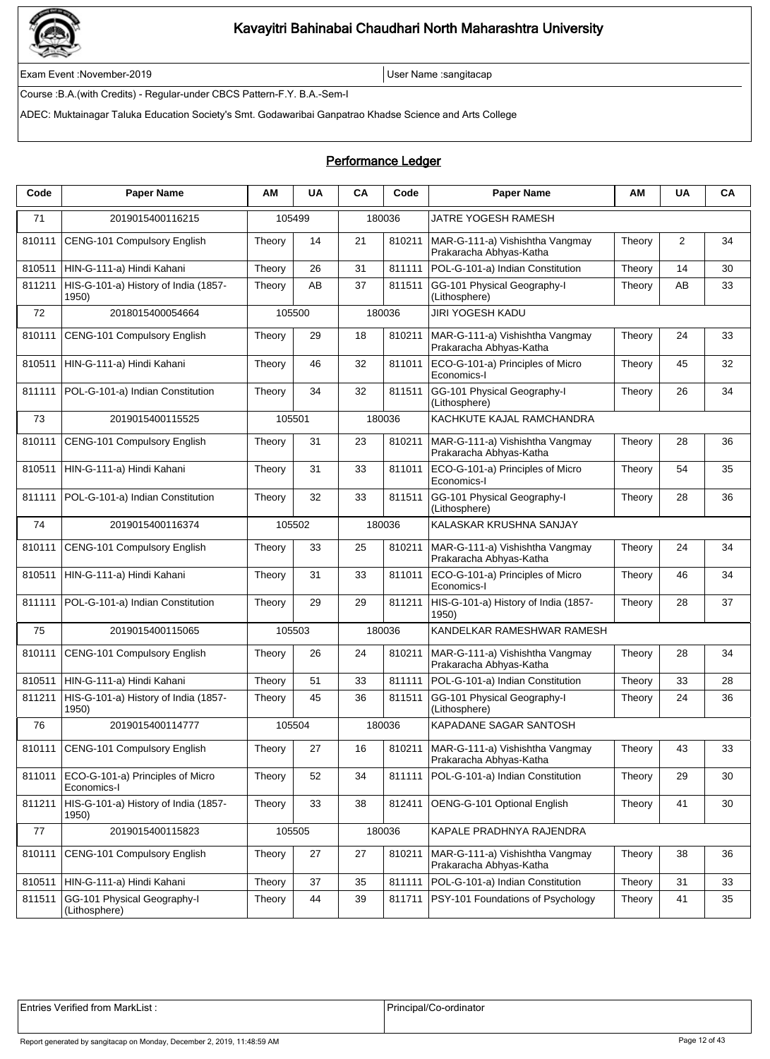

Exam Event :November-2019 User Name :sangitacap

Course :B.A.(with Credits) - Regular-under CBCS Pattern-F.Y. B.A.-Sem-I

ADEC: Muktainagar Taluka Education Society's Smt. Godawaribai Ganpatrao Khadse Science and Arts College

### Performance Ledger

| Code   | <b>Paper Name</b>                               | ΑM     | <b>UA</b> | CA | Code   | <b>Paper Name</b>                                          | ΑМ     | <b>UA</b> | CA |
|--------|-------------------------------------------------|--------|-----------|----|--------|------------------------------------------------------------|--------|-----------|----|
| 71     | 2019015400116215                                |        | 105499    |    | 180036 | JATRE YOGESH RAMESH                                        |        |           |    |
| 810111 | CENG-101 Compulsory English                     | Theory | 14        | 21 | 810211 | MAR-G-111-a) Vishishtha Vangmay<br>Prakaracha Abhyas-Katha | Theory | 2         | 34 |
| 810511 | HIN-G-111-a) Hindi Kahani                       | Theory | 26        | 31 | 811111 | POL-G-101-a) Indian Constitution                           | Theory | 14        | 30 |
| 811211 | HIS-G-101-a) History of India (1857-<br>1950)   | Theory | AB        | 37 | 811511 | GG-101 Physical Geography-I<br>(Lithosphere)               | Theory | AB        | 33 |
| 72     | 2018015400054664                                |        | 105500    |    | 180036 | <b>JIRI YOGESH KADU</b>                                    |        |           |    |
| 810111 | CENG-101 Compulsory English                     | Theory | 29        | 18 | 810211 | MAR-G-111-a) Vishishtha Vangmay<br>Prakaracha Abhyas-Katha | Theory | 24        | 33 |
| 810511 | HIN-G-111-a) Hindi Kahani                       | Theory | 46        | 32 | 811011 | ECO-G-101-a) Principles of Micro<br>Economics-I            | Theory | 45        | 32 |
| 811111 | POL-G-101-a) Indian Constitution                | Theory | 34        | 32 | 811511 | GG-101 Physical Geography-I<br>(Lithosphere)               | Theory | 26        | 34 |
| 73     | 2019015400115525                                |        | 105501    |    | 180036 | KACHKUTE KAJAL RAMCHANDRA                                  |        |           |    |
| 810111 | CENG-101 Compulsory English                     | Theory | 31        | 23 | 810211 | MAR-G-111-a) Vishishtha Vangmay<br>Prakaracha Abhyas-Katha | Theory | 28        | 36 |
| 810511 | HIN-G-111-a) Hindi Kahani                       | Theory | 31        | 33 | 811011 | ECO-G-101-a) Principles of Micro<br>Economics-I            | Theory | 54        | 35 |
| 811111 | POL-G-101-a) Indian Constitution                | Theory | 32        | 33 | 811511 | GG-101 Physical Geography-I<br>(Lithosphere)               | Theory | 28        | 36 |
| 74     | 2019015400116374                                |        | 105502    |    | 180036 | KALASKAR KRUSHNA SANJAY                                    |        |           |    |
| 810111 | CENG-101 Compulsory English                     | Theory | 33        | 25 | 810211 | MAR-G-111-a) Vishishtha Vangmay<br>Prakaracha Abhyas-Katha | Theory | 24        | 34 |
| 810511 | HIN-G-111-a) Hindi Kahani                       | Theory | 31        | 33 | 811011 | ECO-G-101-a) Principles of Micro<br>Economics-I            | Theory | 46        | 34 |
| 811111 | POL-G-101-a) Indian Constitution                | Theory | 29        | 29 | 811211 | HIS-G-101-a) History of India (1857-<br>1950)              | Theory | 28        | 37 |
| 75     | 2019015400115065                                |        | 105503    |    | 180036 | KANDELKAR RAMESHWAR RAMESH                                 |        |           |    |
| 810111 | CENG-101 Compulsory English                     | Theory | 26        | 24 | 810211 | MAR-G-111-a) Vishishtha Vangmay<br>Prakaracha Abhyas-Katha | Theory | 28        | 34 |
| 810511 | HIN-G-111-a) Hindi Kahani                       | Theory | 51        | 33 | 811111 | POL-G-101-a) Indian Constitution                           | Theory | 33        | 28 |
| 811211 | HIS-G-101-a) History of India (1857-<br>1950)   | Theory | 45        | 36 | 811511 | GG-101 Physical Geography-I<br>(Lithosphere)               | Theory | 24        | 36 |
| 76     | 2019015400114777                                |        | 105504    |    | 180036 | KAPADANE SAGAR SANTOSH                                     |        |           |    |
| 810111 | CENG-101 Compulsory English                     | Theory | 27        | 16 | 810211 | MAR-G-111-a) Vishishtha Vangmay<br>Prakaracha Abhyas-Katha | Theory | 43        | 33 |
| 811011 | ECO-G-101-a) Principles of Micro<br>Economics-I | Theory | 52        | 34 | 811111 | POL-G-101-a) Indian Constitution                           | Theory | 29        | 30 |
| 811211 | HIS-G-101-a) History of India (1857-<br>1950)   | Theory | 33        | 38 | 812411 | OENG-G-101 Optional English                                | Theory | 41        | 30 |
| 77     | 2019015400115823                                |        | 105505    |    | 180036 | KAPALE PRADHNYA RAJENDRA                                   |        |           |    |
| 810111 | CENG-101 Compulsory English                     | Theory | 27        | 27 | 810211 | MAR-G-111-a) Vishishtha Vangmay<br>Prakaracha Abhyas-Katha | Theory | 38        | 36 |
| 810511 | HIN-G-111-a) Hindi Kahani                       | Theory | 37        | 35 | 811111 | POL-G-101-a) Indian Constitution                           | Theory | 31        | 33 |
| 811511 | GG-101 Physical Geography-I<br>(Lithosphere)    | Theory | 44        | 39 | 811711 | PSY-101 Foundations of Psychology                          | Theory | 41        | 35 |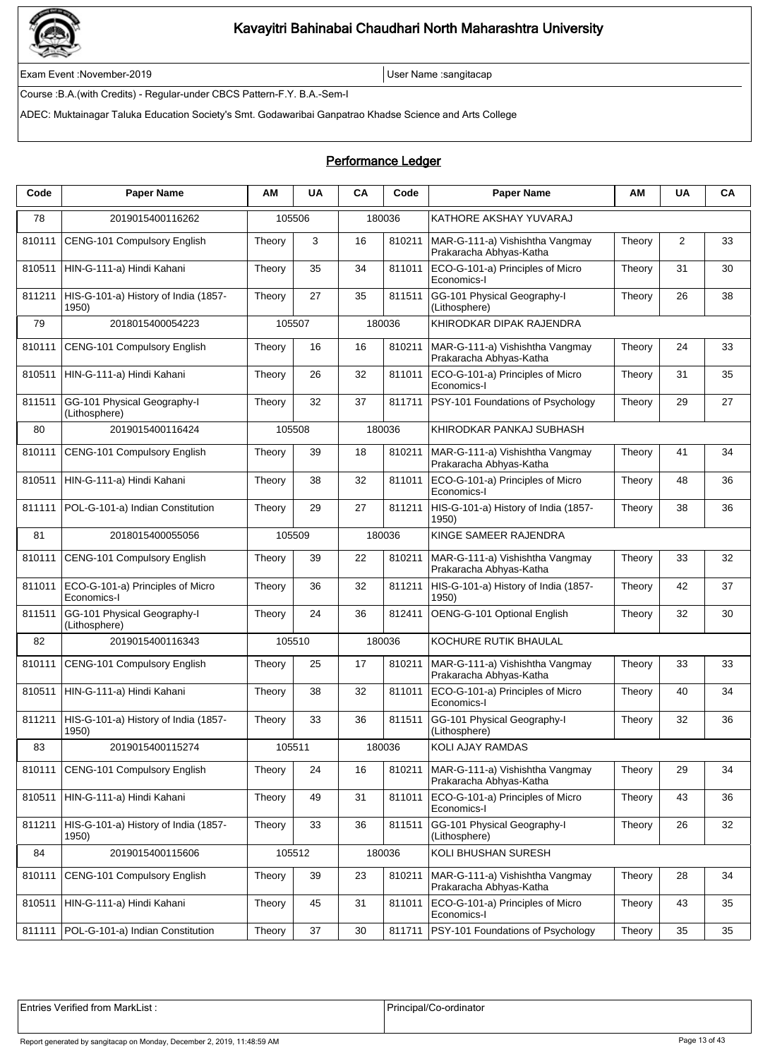

Exam Event :November-2019 User Name :sangitacap

Course :B.A.(with Credits) - Regular-under CBCS Pattern-F.Y. B.A.-Sem-I

ADEC: Muktainagar Taluka Education Society's Smt. Godawaribai Ganpatrao Khadse Science and Arts College

| Code   | <b>Paper Name</b>                               | АM     | <b>UA</b> | CA | Code   | <b>Paper Name</b>                                          | ΑМ     | <b>UA</b> | CA |
|--------|-------------------------------------------------|--------|-----------|----|--------|------------------------------------------------------------|--------|-----------|----|
| 78     | 2019015400116262                                |        | 105506    |    | 180036 | KATHORE AKSHAY YUVARAJ                                     |        |           |    |
| 810111 | CENG-101 Compulsory English                     | Theory | 3         | 16 | 810211 | MAR-G-111-a) Vishishtha Vangmay<br>Prakaracha Abhyas-Katha | Theory | 2         | 33 |
| 810511 | HIN-G-111-a) Hindi Kahani                       | Theory | 35        | 34 | 811011 | ECO-G-101-a) Principles of Micro<br>Economics-I            | Theory | 31        | 30 |
| 811211 | HIS-G-101-a) History of India (1857-<br>1950)   | Theory | 27        | 35 | 811511 | GG-101 Physical Geography-I<br>(Lithosphere)               | Theory | 26        | 38 |
| 79     | 2018015400054223                                |        | 105507    |    | 180036 | KHIRODKAR DIPAK RAJENDRA                                   |        |           |    |
| 810111 | <b>CENG-101 Compulsory English</b>              | Theory | 16        | 16 | 810211 | MAR-G-111-a) Vishishtha Vangmay<br>Prakaracha Abhyas-Katha | Theory | 24        | 33 |
| 810511 | HIN-G-111-a) Hindi Kahani                       | Theory | 26        | 32 | 811011 | ECO-G-101-a) Principles of Micro<br>Economics-I            | Theory | 31        | 35 |
| 811511 | GG-101 Physical Geography-I<br>(Lithosphere)    | Theory | 32        | 37 | 811711 | PSY-101 Foundations of Psychology                          | Theory | 29        | 27 |
| 80     | 2019015400116424                                |        | 105508    |    | 180036 | KHIRODKAR PANKAJ SUBHASH                                   |        |           |    |
| 810111 | CENG-101 Compulsory English                     | Theory | 39        | 18 | 810211 | MAR-G-111-a) Vishishtha Vangmay<br>Prakaracha Abhyas-Katha | Theory | 41        | 34 |
| 810511 | HIN-G-111-a) Hindi Kahani                       | Theory | 38        | 32 | 811011 | ECO-G-101-a) Principles of Micro<br>Economics-I            | Theory | 48        | 36 |
| 811111 | POL-G-101-a) Indian Constitution                | Theory | 29        | 27 | 811211 | HIS-G-101-a) History of India (1857-<br>1950)              | Theory | 38        | 36 |
| 81     | 2018015400055056                                |        | 105509    |    | 180036 | KINGE SAMEER RAJENDRA                                      |        |           |    |
| 810111 | CENG-101 Compulsory English                     | Theory | 39        | 22 | 810211 | MAR-G-111-a) Vishishtha Vangmay<br>Prakaracha Abhyas-Katha | Theory | 33        | 32 |
| 811011 | ECO-G-101-a) Principles of Micro<br>Economics-I | Theory | 36        | 32 | 811211 | HIS-G-101-a) History of India (1857-<br>1950)              | Theory | 42        | 37 |
| 811511 | GG-101 Physical Geography-I<br>(Lithosphere)    | Theory | 24        | 36 | 812411 | OENG-G-101 Optional English                                | Theory | 32        | 30 |
| 82     | 2019015400116343                                |        | 105510    |    | 180036 | KOCHURE RUTIK BHAULAL                                      |        |           |    |
| 810111 | CENG-101 Compulsory English                     | Theory | 25        | 17 | 810211 | MAR-G-111-a) Vishishtha Vangmay<br>Prakaracha Abhyas-Katha | Theory | 33        | 33 |
| 810511 | HIN-G-111-a) Hindi Kahani                       | Theory | 38        | 32 | 811011 | ECO-G-101-a) Principles of Micro<br>Economics-I            | Theory | 40        | 34 |
| 811211 | HIS-G-101-a) History of India (1857-<br>1950)   | Theory | 33        | 36 | 811511 | GG-101 Physical Geography-I<br>(Lithosphere)               | Theory | 32        | 36 |
| 83     | 2019015400115274                                | 105511 |           |    | 180036 | KOLI AJAY RAMDAS                                           |        |           |    |
| 810111 | CENG-101 Compulsory English                     | Theory | 24        | 16 | 810211 | MAR-G-111-a) Vishishtha Vangmay<br>Prakaracha Abhyas-Katha | Theory | 29        | 34 |
| 810511 | HIN-G-111-a) Hindi Kahani                       | Theory | 49        | 31 | 811011 | ECO-G-101-a) Principles of Micro<br>Economics-I            | Theory | 43        | 36 |
| 811211 | HIS-G-101-a) History of India (1857-<br>1950)   | Theory | 33        | 36 | 811511 | GG-101 Physical Geography-I<br>(Lithosphere)               | Theory | 26        | 32 |
| 84     | 2019015400115606                                |        | 105512    |    | 180036 | KOLI BHUSHAN SURESH                                        |        |           |    |
| 810111 | CENG-101 Compulsory English                     | Theory | 39        | 23 | 810211 | MAR-G-111-a) Vishishtha Vangmay<br>Prakaracha Abhyas-Katha | Theory | 28        | 34 |
| 810511 | HIN-G-111-a) Hindi Kahani                       | Theory | 45        | 31 | 811011 | ECO-G-101-a) Principles of Micro<br>Economics-I            | Theory | 43        | 35 |
| 811111 | POL-G-101-a) Indian Constitution                | Theory | 37        | 30 | 811711 | PSY-101 Foundations of Psychology                          | Theory | 35        | 35 |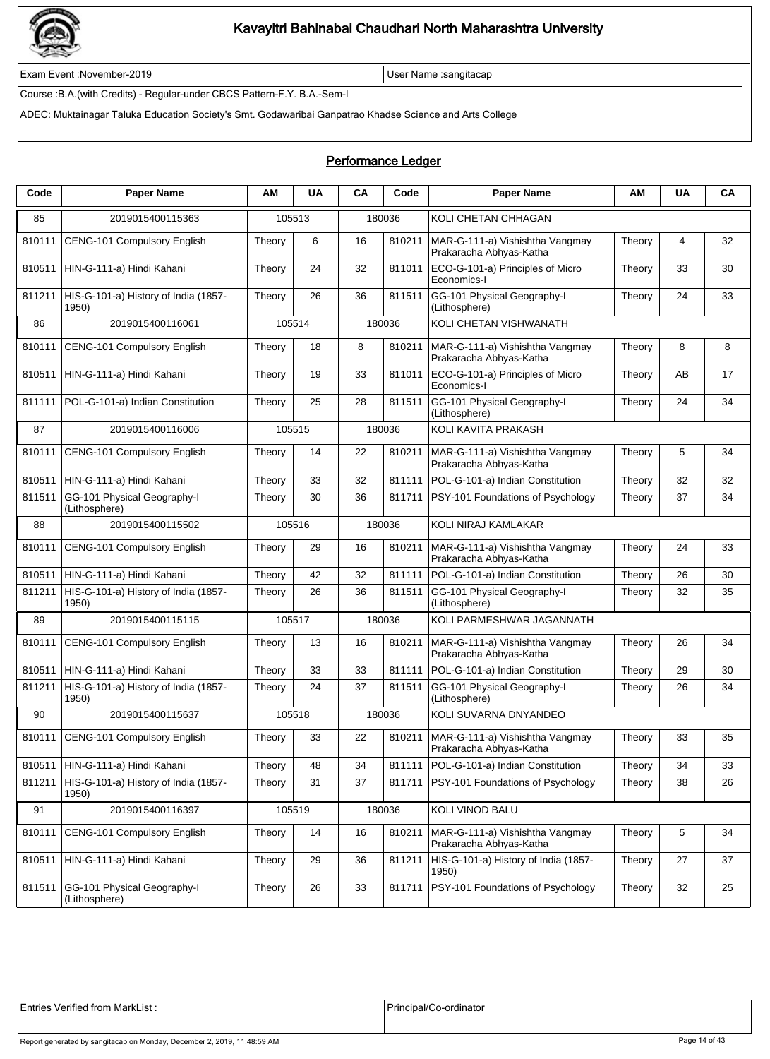

Exam Event :November-2019 User Name :sangitacap

Course :B.A.(with Credits) - Regular-under CBCS Pattern-F.Y. B.A.-Sem-I

ADEC: Muktainagar Taluka Education Society's Smt. Godawaribai Ganpatrao Khadse Science and Arts College

### Performance Ledger

| Code   | <b>Paper Name</b>                             | ΑM     | <b>UA</b> | CA | Code   | <b>Paper Name</b>                                          | AM     | <b>UA</b> | CA |
|--------|-----------------------------------------------|--------|-----------|----|--------|------------------------------------------------------------|--------|-----------|----|
| 85     | 2019015400115363                              | 105513 |           |    | 180036 | KOLI CHETAN CHHAGAN                                        |        |           |    |
| 810111 | CENG-101 Compulsory English                   | Theory | 6         | 16 | 810211 | MAR-G-111-a) Vishishtha Vangmay<br>Prakaracha Abhyas-Katha | Theory | 4         | 32 |
| 810511 | HIN-G-111-a) Hindi Kahani                     | Theory | 24        | 32 | 811011 | ECO-G-101-a) Principles of Micro<br>Economics-I            | Theory | 33        | 30 |
| 811211 | HIS-G-101-a) History of India (1857-<br>1950) | Theory | 26        | 36 | 811511 | GG-101 Physical Geography-I<br>(Lithosphere)               | Theory | 24        | 33 |
| 86     | 2019015400116061                              |        | 105514    |    | 180036 | KOLI CHETAN VISHWANATH                                     |        |           |    |
| 810111 | CENG-101 Compulsory English                   | Theory | 18        | 8  | 810211 | MAR-G-111-a) Vishishtha Vangmay<br>Prakaracha Abhyas-Katha | Theory | 8         | 8  |
| 810511 | HIN-G-111-a) Hindi Kahani                     | Theory | 19        | 33 | 811011 | ECO-G-101-a) Principles of Micro<br>Economics-I            | Theory | AB        | 17 |
| 811111 | POL-G-101-a) Indian Constitution              | Theory | 25        | 28 | 811511 | GG-101 Physical Geography-I<br>(Lithosphere)               | Theory | 24        | 34 |
| 87     | 2019015400116006                              |        | 105515    |    | 180036 | KOLI KAVITA PRAKASH                                        |        |           |    |
| 810111 | CENG-101 Compulsory English                   | Theory | 14        | 22 | 810211 | MAR-G-111-a) Vishishtha Vangmay<br>Prakaracha Abhyas-Katha | Theory | 5         | 34 |
| 810511 | HIN-G-111-a) Hindi Kahani                     | Theory | 33        | 32 | 811111 | POL-G-101-a) Indian Constitution                           | Theory | 32        | 32 |
| 811511 | GG-101 Physical Geography-I<br>(Lithosphere)  | Theory | 30        | 36 | 811711 | PSY-101 Foundations of Psychology                          | Theory | 37        | 34 |
| 88     | 2019015400115502                              |        | 105516    |    | 180036 | KOLI NIRAJ KAMLAKAR                                        |        |           |    |
| 810111 | CENG-101 Compulsory English                   | Theory | 29        | 16 | 810211 | MAR-G-111-a) Vishishtha Vangmay<br>Prakaracha Abhyas-Katha | Theory | 24        | 33 |
| 810511 | HIN-G-111-a) Hindi Kahani                     | Theory | 42        | 32 | 811111 | POL-G-101-a) Indian Constitution                           | Theory | 26        | 30 |
| 811211 | HIS-G-101-a) History of India (1857-<br>1950) | Theory | 26        | 36 | 811511 | GG-101 Physical Geography-I<br>(Lithosphere)               | Theory | 32        | 35 |
| 89     | 2019015400115115                              | 105517 |           |    | 180036 | KOLI PARMESHWAR JAGANNATH                                  |        |           |    |
| 810111 | CENG-101 Compulsory English                   | Theory | 13        | 16 | 810211 | MAR-G-111-a) Vishishtha Vangmay<br>Prakaracha Abhyas-Katha | Theory | 26        | 34 |
| 810511 | HIN-G-111-a) Hindi Kahani                     | Theory | 33        | 33 | 811111 | POL-G-101-a) Indian Constitution                           | Theory | 29        | 30 |
| 811211 | HIS-G-101-a) History of India (1857-<br>1950) | Theory | 24        | 37 | 811511 | GG-101 Physical Geography-I<br>(Lithosphere)               | Theory | 26        | 34 |
| 90     | 2019015400115637                              |        | 105518    |    | 180036 | KOLI SUVARNA DNYANDEO                                      |        |           |    |
| 810111 | CENG-101 Compulsory English                   | Theory | 33        | 22 | 810211 | MAR-G-111-a) Vishishtha Vangmay<br>Prakaracha Abhyas-Katha | Theory | 33        | 35 |
| 810511 | HIN-G-111-a) Hindi Kahani                     | Theory | 48        | 34 | 811111 | POL-G-101-a) Indian Constitution                           | Theory | 34        | 33 |
| 811211 | HIS-G-101-a) History of India (1857-<br>1950) | Theory | 31        | 37 | 811711 | PSY-101 Foundations of Psychology                          | Theory | 38        | 26 |
| 91     | 2019015400116397                              |        | 105519    |    | 180036 | KOLI VINOD BALU                                            |        |           |    |
| 810111 | CENG-101 Compulsory English                   | Theory | 14        | 16 | 810211 | MAR-G-111-a) Vishishtha Vangmay<br>Prakaracha Abhyas-Katha | Theory | 5         | 34 |
| 810511 | HIN-G-111-a) Hindi Kahani                     | Theory | 29        | 36 | 811211 | HIS-G-101-a) History of India (1857-<br>1950)              | Theory | 27        | 37 |
| 811511 | GG-101 Physical Geography-I<br>(Lithosphere)  | Theory | 26        | 33 | 811711 | PSY-101 Foundations of Psychology                          | Theory | 32        | 25 |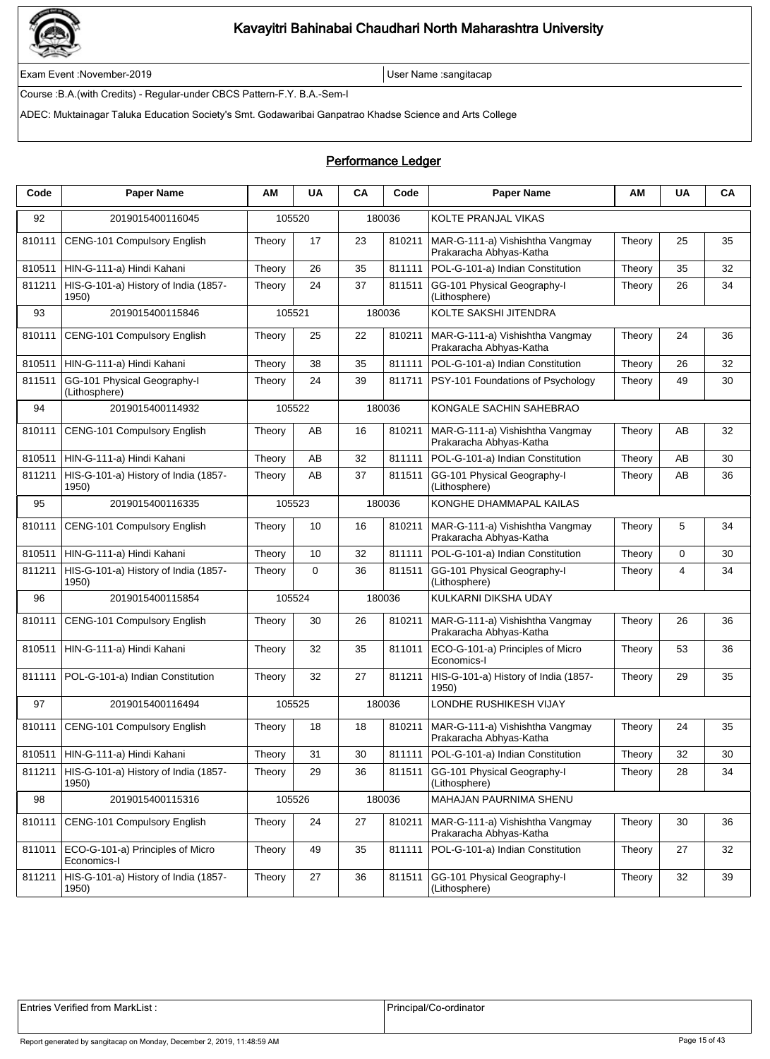

Exam Event :November-2019 User Name :sangitacap

Course :B.A.(with Credits) - Regular-under CBCS Pattern-F.Y. B.A.-Sem-I

ADEC: Muktainagar Taluka Education Society's Smt. Godawaribai Ganpatrao Khadse Science and Arts College

| Code   | <b>Paper Name</b>                               | AМ     | <b>UA</b>   | CA | Code   | <b>Paper Name</b>                                          | AM     | <b>UA</b> | CA |
|--------|-------------------------------------------------|--------|-------------|----|--------|------------------------------------------------------------|--------|-----------|----|
| 92     | 2019015400116045                                |        | 105520      |    | 180036 | KOLTE PRANJAL VIKAS                                        |        |           |    |
| 810111 | CENG-101 Compulsory English                     | Theory | 17          | 23 | 810211 | MAR-G-111-a) Vishishtha Vangmay<br>Prakaracha Abhyas-Katha | Theory | 25        | 35 |
| 810511 | HIN-G-111-a) Hindi Kahani                       | Theory | 26          | 35 | 811111 | POL-G-101-a) Indian Constitution                           | Theory | 35        | 32 |
| 811211 | HIS-G-101-a) History of India (1857-<br>1950)   | Theory | 24          | 37 | 811511 | GG-101 Physical Geography-I<br>(Lithosphere)               | Theory | 26        | 34 |
| 93     | 2019015400115846                                |        | 105521      |    | 180036 | KOLTE SAKSHI JITENDRA                                      |        |           |    |
| 810111 | CENG-101 Compulsory English                     | Theory | 25          | 22 | 810211 | MAR-G-111-a) Vishishtha Vangmay<br>Prakaracha Abhyas-Katha | Theory | 24        | 36 |
| 810511 | HIN-G-111-a) Hindi Kahani                       | Theory | 38          | 35 | 811111 | POL-G-101-a) Indian Constitution                           | Theory | 26        | 32 |
| 811511 | GG-101 Physical Geography-I<br>(Lithosphere)    | Theory | 24          | 39 | 811711 | PSY-101 Foundations of Psychology                          | Theory | 49        | 30 |
| 94     | 2019015400114932                                |        | 105522      |    | 180036 | KONGALE SACHIN SAHEBRAO                                    |        |           |    |
| 810111 | CENG-101 Compulsory English                     | Theory | AВ          | 16 | 810211 | MAR-G-111-a) Vishishtha Vangmay<br>Prakaracha Abhyas-Katha | Theory | AB        | 32 |
| 810511 | HIN-G-111-a) Hindi Kahani                       | Theory | AB          | 32 | 811111 | POL-G-101-a) Indian Constitution                           | Theory | AB        | 30 |
| 811211 | HIS-G-101-a) History of India (1857-<br>1950)   | Theory | AB          | 37 | 811511 | GG-101 Physical Geography-I<br>(Lithosphere)               | Theory | AB        | 36 |
| 95     | 2019015400116335                                |        | 105523      |    | 180036 | KONGHE DHAMMAPAL KAILAS                                    |        |           |    |
| 810111 | <b>CENG-101 Compulsory English</b>              | Theory | 10          | 16 | 810211 | MAR-G-111-a) Vishishtha Vangmay<br>Prakaracha Abhyas-Katha | Theory | 5         | 34 |
| 810511 | HIN-G-111-a) Hindi Kahani                       | Theory | 10          | 32 | 811111 | POL-G-101-a) Indian Constitution                           | Theory | 0         | 30 |
| 811211 | HIS-G-101-a) History of India (1857-<br>1950)   | Theory | $\mathbf 0$ | 36 | 811511 | GG-101 Physical Geography-I<br>(Lithosphere)               | Theory | 4         | 34 |
| 96     | 2019015400115854                                |        | 105524      |    | 180036 | KULKARNI DIKSHA UDAY                                       |        |           |    |
| 810111 | CENG-101 Compulsory English                     | Theory | 30          | 26 | 810211 | MAR-G-111-a) Vishishtha Vangmay<br>Prakaracha Abhyas-Katha | Theory | 26        | 36 |
| 810511 | HIN-G-111-a) Hindi Kahani                       | Theory | 32          | 35 | 811011 | ECO-G-101-a) Principles of Micro<br>Economics-I            | Theory | 53        | 36 |
| 811111 | POL-G-101-a) Indian Constitution                | Theory | 32          | 27 | 811211 | HIS-G-101-a) History of India (1857-<br>1950)              | Theory | 29        | 35 |
| 97     | 2019015400116494                                |        | 105525      |    | 180036 | LONDHE RUSHIKESH VIJAY                                     |        |           |    |
| 810111 | CENG-101 Compulsory English                     | Theory | 18          | 18 | 810211 | MAR-G-111-a) Vishishtha Vangmay<br>Prakaracha Abhyas-Katha | Theory | 24        | 35 |
| 810511 | HIN-G-111-a) Hindi Kahani                       | Theory | 31          | 30 |        | 811111   POL-G-101-a) Indian Constitution                  | Theory | 32        | 30 |
| 811211 | HIS-G-101-a) History of India (1857-<br>1950)   | Theory | 29          | 36 | 811511 | GG-101 Physical Geography-I<br>(Lithosphere)               | Theory | 28        | 34 |
| 98     | 2019015400115316                                |        | 105526      |    | 180036 | <b>MAHAJAN PAURNIMA SHENU</b>                              |        |           |    |
| 810111 | CENG-101 Compulsory English                     | Theory | 24          | 27 | 810211 | MAR-G-111-a) Vishishtha Vangmay<br>Prakaracha Abhyas-Katha | Theory | 30        | 36 |
| 811011 | ECO-G-101-a) Principles of Micro<br>Economics-I | Theory | 49          | 35 | 811111 | POL-G-101-a) Indian Constitution                           | Theory | 27        | 32 |
| 811211 | HIS-G-101-a) History of India (1857-<br>1950)   | Theory | 27          | 36 | 811511 | GG-101 Physical Geography-I<br>(Lithosphere)               | Theory | 32        | 39 |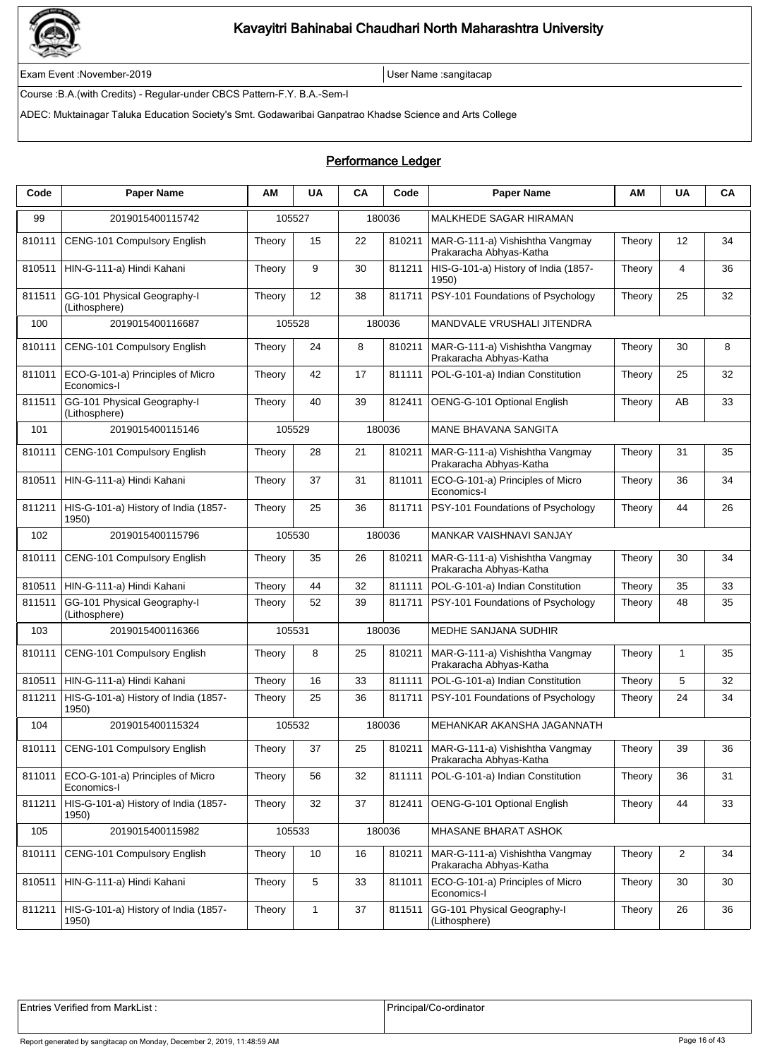

Exam Event :November-2019 User Name :sangitacap

Course :B.A.(with Credits) - Regular-under CBCS Pattern-F.Y. B.A.-Sem-I

ADEC: Muktainagar Taluka Education Society's Smt. Godawaribai Ganpatrao Khadse Science and Arts College

### Performance Ledger

| Code   | <b>Paper Name</b>                               | ΑМ     | <b>UA</b>    | CA | Code   | <b>Paper Name</b>                                                   | ΑМ     | <b>UA</b>      | CA |
|--------|-------------------------------------------------|--------|--------------|----|--------|---------------------------------------------------------------------|--------|----------------|----|
| 99     | 2019015400115742                                |        | 105527       |    | 180036 | MALKHEDE SAGAR HIRAMAN                                              |        |                |    |
| 810111 | CENG-101 Compulsory English                     | Theory | 15           | 22 | 810211 | MAR-G-111-a) Vishishtha Vangmay<br>Prakaracha Abhyas-Katha          | Theory | 12             | 34 |
| 810511 | HIN-G-111-a) Hindi Kahani                       | Theory | 9            | 30 | 811211 | HIS-G-101-a) History of India (1857-<br>1950)                       | Theory | 4              | 36 |
| 811511 | GG-101 Physical Geography-I<br>(Lithosphere)    | Theory | 12           | 38 | 811711 | PSY-101 Foundations of Psychology                                   | Theory | 25             | 32 |
| 100    | 2019015400116687                                |        | 105528       |    | 180036 | MANDVALE VRUSHALI JITENDRA                                          |        |                |    |
| 810111 | CENG-101 Compulsory English                     | Theory | 24           | 8  | 810211 | MAR-G-111-a) Vishishtha Vangmay<br>Prakaracha Abhyas-Katha          | Theory | 30             | 8  |
| 811011 | ECO-G-101-a) Principles of Micro<br>Economics-I | Theory | 42           | 17 | 811111 | POL-G-101-a) Indian Constitution                                    | Theory | 25             | 32 |
| 811511 | GG-101 Physical Geography-I<br>(Lithosphere)    | Theory | 40           | 39 | 812411 | OENG-G-101 Optional English                                         | Theory | AB             | 33 |
| 101    | 2019015400115146                                |        | 105529       |    | 180036 | <b>MANE BHAVANA SANGITA</b>                                         |        |                |    |
| 810111 | CENG-101 Compulsory English                     | Theory | 28           | 21 | 810211 | MAR-G-111-a) Vishishtha Vangmay<br>Prakaracha Abhyas-Katha          | Theory | 31             | 35 |
| 810511 | HIN-G-111-a) Hindi Kahani                       | Theory | 37           | 31 | 811011 | ECO-G-101-a) Principles of Micro<br>Economics-I                     | Theory | 36             | 34 |
| 811211 | HIS-G-101-a) History of India (1857-<br>1950)   | Theory | 25           | 36 | 811711 | PSY-101 Foundations of Psychology                                   | Theory | 44             | 26 |
| 102    | 2019015400115796                                |        | 105530       |    | 180036 | <b>MANKAR VAISHNAVI SANJAY</b>                                      |        |                |    |
| 810111 | CENG-101 Compulsory English                     | Theory | 35           | 26 | 810211 | MAR-G-111-a) Vishishtha Vangmay<br>Prakaracha Abhyas-Katha          | Theory | 30             | 34 |
| 810511 | HIN-G-111-a) Hindi Kahani                       | Theory | 44           | 32 | 811111 | POL-G-101-a) Indian Constitution                                    | Theory | 35             | 33 |
| 811511 | GG-101 Physical Geography-I<br>(Lithosphere)    | Theory | 52           | 39 | 811711 | PSY-101 Foundations of Psychology                                   | Theory | 48             | 35 |
| 103    | 2019015400116366                                |        | 105531       |    | 180036 | MEDHE SANJANA SUDHIR                                                |        |                |    |
| 810111 | CENG-101 Compulsory English                     | Theory | 8            | 25 | 810211 | MAR-G-111-a) Vishishtha Vangmay<br>Prakaracha Abhyas-Katha          | Theory | $\mathbf{1}$   | 35 |
| 810511 | HIN-G-111-a) Hindi Kahani                       | Theory | 16           | 33 | 811111 | POL-G-101-a) Indian Constitution                                    | Theory | 5              | 32 |
| 811211 | HIS-G-101-a) History of India (1857-<br>1950)   | Theory | 25           | 36 | 811711 | PSY-101 Foundations of Psychology                                   | Theory | 24             | 34 |
| 104    | 2019015400115324                                |        | 105532       |    | 180036 | MEHANKAR AKANSHA JAGANNATH                                          |        |                |    |
| 810111 | CENG-101 Compulsory English                     | Theory | 37           | 25 |        | 810211   MAR-G-111-a) Vishishtha Vangmay<br>Prakaracha Abhyas-Katha | Theory | 39             | 36 |
| 811011 | ECO-G-101-a) Principles of Micro<br>Economics-I | Theory | 56           | 32 | 811111 | POL-G-101-a) Indian Constitution                                    | Theory | 36             | 31 |
| 811211 | HIS-G-101-a) History of India (1857-<br>1950)   | Theory | 32           | 37 | 812411 | OENG-G-101 Optional English                                         | Theory | 44             | 33 |
| 105    | 2019015400115982                                |        | 105533       |    | 180036 | MHASANE BHARAT ASHOK                                                |        |                |    |
| 810111 | CENG-101 Compulsory English                     | Theory | 10           | 16 | 810211 | MAR-G-111-a) Vishishtha Vangmay<br>Prakaracha Abhyas-Katha          | Theory | $\overline{2}$ | 34 |
| 810511 | HIN-G-111-a) Hindi Kahani                       | Theory | 5            | 33 | 811011 | ECO-G-101-a) Principles of Micro<br>Economics-I                     | Theory | 30             | 30 |
| 811211 | HIS-G-101-a) History of India (1857-<br>1950)   | Theory | $\mathbf{1}$ | 37 | 811511 | GG-101 Physical Geography-I<br>(Lithosphere)                        | Theory | 26             | 36 |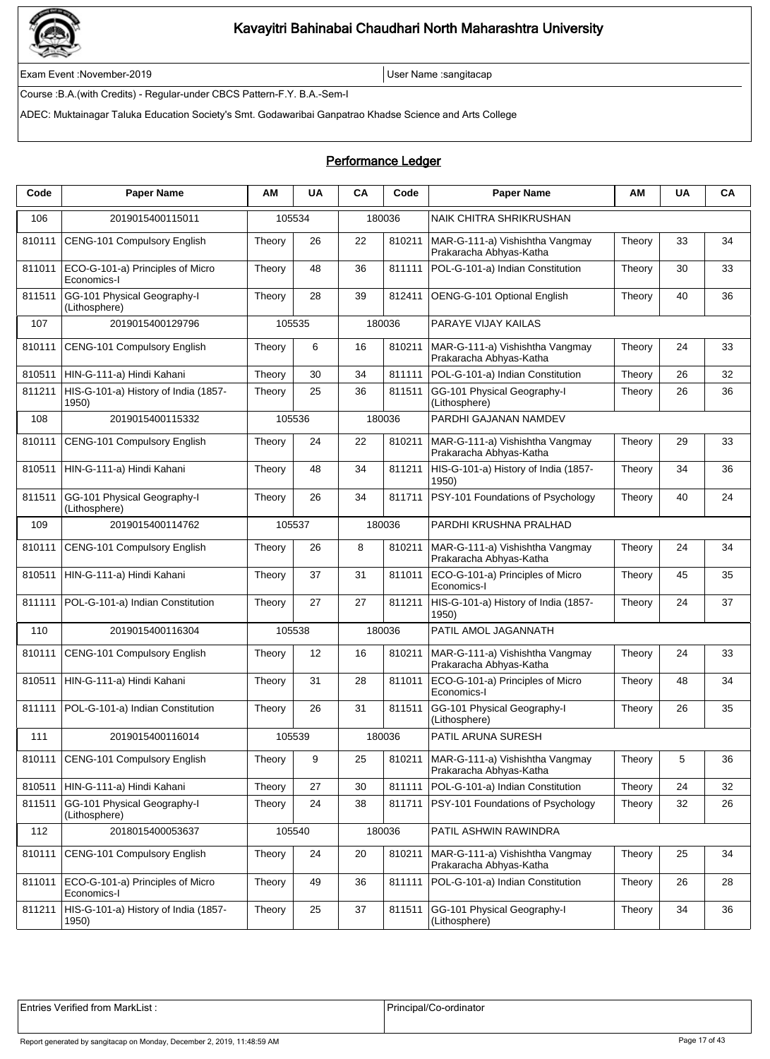

Exam Event :November-2019 User Name :sangitacap

Course :B.A.(with Credits) - Regular-under CBCS Pattern-F.Y. B.A.-Sem-I

ADEC: Muktainagar Taluka Education Society's Smt. Godawaribai Ganpatrao Khadse Science and Arts College

### Performance Ledger

| Code   | <b>Paper Name</b>                               | AМ     | <b>UA</b> | CA | Code   | <b>Paper Name</b>                                          | ΑМ     | <b>UA</b> | CA |
|--------|-------------------------------------------------|--------|-----------|----|--------|------------------------------------------------------------|--------|-----------|----|
| 106    | 2019015400115011                                |        | 105534    |    | 180036 | <b>NAIK CHITRA SHRIKRUSHAN</b>                             |        |           |    |
| 810111 | CENG-101 Compulsory English                     | Theory | 26        | 22 | 810211 | MAR-G-111-a) Vishishtha Vangmay<br>Prakaracha Abhyas-Katha | Theory | 33        | 34 |
| 811011 | ECO-G-101-a) Principles of Micro<br>Economics-I | Theory | 48        | 36 | 811111 | POL-G-101-a) Indian Constitution                           | Theory | 30        | 33 |
| 811511 | GG-101 Physical Geography-I<br>(Lithosphere)    | Theory | 28        | 39 | 812411 | OENG-G-101 Optional English                                | Theory | 40        | 36 |
| 107    | 2019015400129796                                |        | 105535    |    | 180036 | PARAYE VIJAY KAILAS                                        |        |           |    |
| 810111 | CENG-101 Compulsory English                     | Theory | 6         | 16 | 810211 | MAR-G-111-a) Vishishtha Vangmay<br>Prakaracha Abhyas-Katha | Theory | 24        | 33 |
| 810511 | HIN-G-111-a) Hindi Kahani                       | Theory | 30        | 34 | 811111 | POL-G-101-a) Indian Constitution                           | Theory | 26        | 32 |
| 811211 | HIS-G-101-a) History of India (1857-<br>1950)   | Theory | 25        | 36 | 811511 | GG-101 Physical Geography-I<br>(Lithosphere)               | Theory | 26        | 36 |
| 108    | 2019015400115332                                |        | 105536    |    | 180036 | PARDHI GAJANAN NAMDEV                                      |        |           |    |
| 810111 | <b>CENG-101 Compulsory English</b>              | Theory | 24        | 22 | 810211 | MAR-G-111-a) Vishishtha Vangmay<br>Prakaracha Abhyas-Katha | Theory | 29        | 33 |
| 810511 | HIN-G-111-a) Hindi Kahani                       | Theory | 48        | 34 | 811211 | HIS-G-101-a) History of India (1857-<br>1950)              | Theory | 34        | 36 |
| 811511 | GG-101 Physical Geography-I<br>(Lithosphere)    | Theory | 26        | 34 | 811711 | PSY-101 Foundations of Psychology                          | Theory | 40        | 24 |
| 109    | 2019015400114762                                |        | 105537    |    | 180036 | PARDHI KRUSHNA PRALHAD                                     |        |           |    |
| 810111 | CENG-101 Compulsory English                     | Theory | 26        | 8  | 810211 | MAR-G-111-a) Vishishtha Vangmay<br>Prakaracha Abhyas-Katha | Theory | 24        | 34 |
| 810511 | HIN-G-111-a) Hindi Kahani                       | Theory | 37        | 31 | 811011 | ECO-G-101-a) Principles of Micro<br>Economics-I            | Theory | 45        | 35 |
| 811111 | POL-G-101-a) Indian Constitution                | Theory | 27        | 27 | 811211 | HIS-G-101-a) History of India (1857-<br>1950)              | Theory | 24        | 37 |
| 110    | 2019015400116304                                |        | 105538    |    | 180036 | PATIL AMOL JAGANNATH                                       |        |           |    |
| 810111 | CENG-101 Compulsory English                     | Theory | 12        | 16 | 810211 | MAR-G-111-a) Vishishtha Vangmay<br>Prakaracha Abhyas-Katha | Theory | 24        | 33 |
| 810511 | HIN-G-111-a) Hindi Kahani                       | Theory | 31        | 28 | 811011 | ECO-G-101-a) Principles of Micro<br>Economics-I            | Theory | 48        | 34 |
| 811111 | POL-G-101-a) Indian Constitution                | Theory | 26        | 31 | 811511 | GG-101 Physical Geography-I<br>(Lithosphere)               | Theory | 26        | 35 |
| 111    | 2019015400116014                                |        | 105539    |    | 180036 | PATIL ARUNA SURESH                                         |        |           |    |
| 810111 | CENG-101 Compulsory English                     | Theory | 9         | 25 | 810211 | MAR-G-111-a) Vishishtha Vangmay<br>Prakaracha Abhyas-Katha | Theory | 5         | 36 |
| 810511 | HIN-G-111-a) Hindi Kahani                       | Theory | 27        | 30 | 811111 | POL-G-101-a) Indian Constitution                           | Theory | 24        | 32 |
| 811511 | GG-101 Physical Geography-I<br>(Lithosphere)    | Theory | 24        | 38 | 811711 | PSY-101 Foundations of Psychology                          | Theory | 32        | 26 |
| 112    | 2018015400053637                                |        | 105540    |    | 180036 | PATIL ASHWIN RAWINDRA                                      |        |           |    |
| 810111 | CENG-101 Compulsory English                     | Theory | 24        | 20 | 810211 | MAR-G-111-a) Vishishtha Vangmay<br>Prakaracha Abhyas-Katha | Theory | 25        | 34 |
| 811011 | ECO-G-101-a) Principles of Micro<br>Economics-I | Theory | 49        | 36 | 811111 | POL-G-101-a) Indian Constitution                           | Theory | 26        | 28 |
| 811211 | HIS-G-101-a) History of India (1857-<br>1950)   | Theory | 25        | 37 | 811511 | GG-101 Physical Geography-I<br>(Lithosphere)               | Theory | 34        | 36 |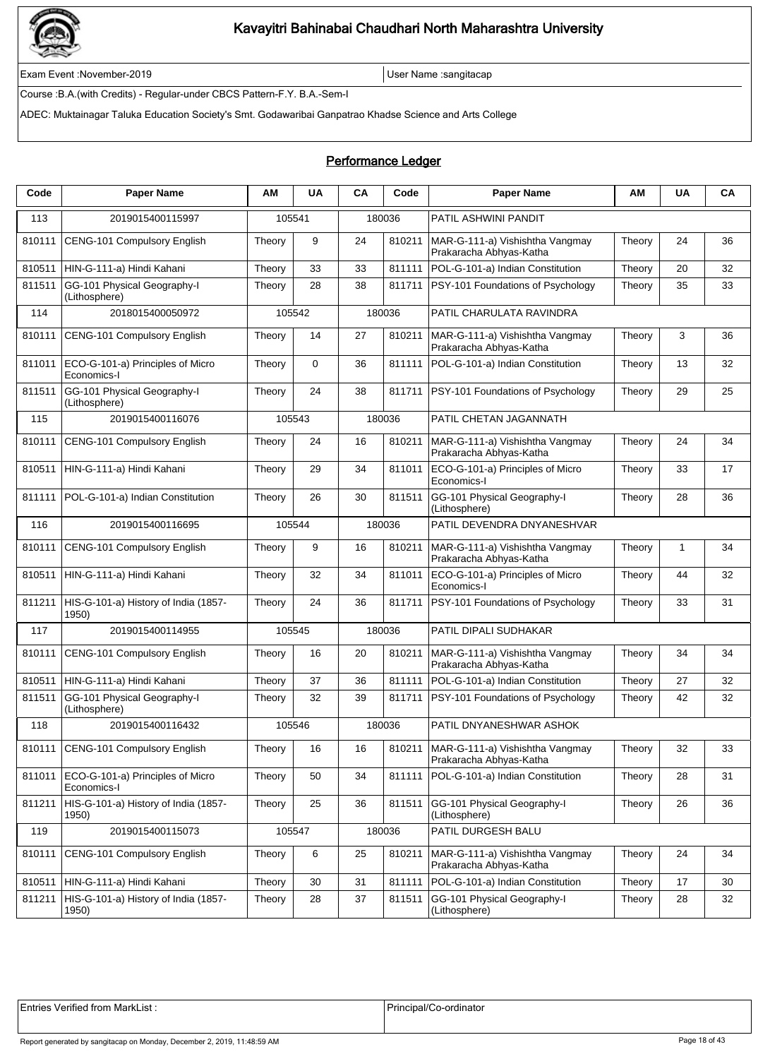

Exam Event :November-2019 User Name :sangitacap

Course :B.A.(with Credits) - Regular-under CBCS Pattern-F.Y. B.A.-Sem-I

ADEC: Muktainagar Taluka Education Society's Smt. Godawaribai Ganpatrao Khadse Science and Arts College

#### Performance Ledger

| Code   | <b>Paper Name</b>                               | AМ     | <b>UA</b> | CA | Code   | <b>Paper Name</b>                                                   | АM     | <b>UA</b> | CA |
|--------|-------------------------------------------------|--------|-----------|----|--------|---------------------------------------------------------------------|--------|-----------|----|
| 113    | 2019015400115997                                |        | 105541    |    | 180036 | PATIL ASHWINI PANDIT                                                |        |           |    |
| 810111 | CENG-101 Compulsory English                     | Theory | 9         | 24 | 810211 | MAR-G-111-a) Vishishtha Vangmay<br>Prakaracha Abhyas-Katha          | Theory | 24        | 36 |
| 810511 | HIN-G-111-a) Hindi Kahani                       | Theory | 33        | 33 | 811111 | POL-G-101-a) Indian Constitution                                    | Theory | 20        | 32 |
| 811511 | GG-101 Physical Geography-I<br>(Lithosphere)    | Theory | 28        | 38 | 811711 | PSY-101 Foundations of Psychology                                   | Theory | 35        | 33 |
| 114    | 2018015400050972                                |        | 105542    |    | 180036 | PATIL CHARULATA RAVINDRA                                            |        |           |    |
| 810111 | <b>CENG-101 Compulsory English</b>              | Theory | 14        | 27 | 810211 | MAR-G-111-a) Vishishtha Vangmay<br>Prakaracha Abhyas-Katha          | Theory | 3         | 36 |
| 811011 | ECO-G-101-a) Principles of Micro<br>Economics-I | Theory | 0         | 36 | 811111 | POL-G-101-a) Indian Constitution                                    | Theory | 13        | 32 |
| 811511 | GG-101 Physical Geography-I<br>(Lithosphere)    | Theory | 24        | 38 | 811711 | PSY-101 Foundations of Psychology                                   | Theory | 29        | 25 |
| 115    | 2019015400116076                                |        | 105543    |    | 180036 | PATIL CHETAN JAGANNATH                                              |        |           |    |
| 810111 | CENG-101 Compulsory English                     | Theory | 24        | 16 | 810211 | MAR-G-111-a) Vishishtha Vangmay<br>Prakaracha Abhyas-Katha          | Theory | 24        | 34 |
| 810511 | HIN-G-111-a) Hindi Kahani                       | Theory | 29        | 34 | 811011 | ECO-G-101-a) Principles of Micro<br>Economics-I                     | Theory | 33        | 17 |
| 811111 | POL-G-101-a) Indian Constitution                | Theory | 26        | 30 | 811511 | GG-101 Physical Geography-I<br>(Lithosphere)                        | Theory | 28        | 36 |
| 116    | 2019015400116695                                |        | 105544    |    | 180036 | PATIL DEVENDRA DNYANESHVAR                                          |        |           |    |
| 810111 | CENG-101 Compulsory English                     | Theory | 9         | 16 | 810211 | MAR-G-111-a) Vishishtha Vangmay<br>Prakaracha Abhyas-Katha          | Theory | 1         | 34 |
| 810511 | HIN-G-111-a) Hindi Kahani                       | Theory | 32        | 34 | 811011 | ECO-G-101-a) Principles of Micro<br>Economics-I                     | Theory | 44        | 32 |
| 811211 | HIS-G-101-a) History of India (1857-<br>1950)   | Theory | 24        | 36 | 811711 | PSY-101 Foundations of Psychology                                   | Theory | 33        | 31 |
| 117    | 2019015400114955                                |        | 105545    |    | 180036 | PATIL DIPALI SUDHAKAR                                               |        |           |    |
| 810111 | CENG-101 Compulsory English                     | Theory | 16        | 20 | 810211 | MAR-G-111-a) Vishishtha Vangmay<br>Prakaracha Abhyas-Katha          | Theory | 34        | 34 |
| 810511 | HIN-G-111-a) Hindi Kahani                       | Theory | 37        | 36 | 811111 | POL-G-101-a) Indian Constitution                                    | Theory | 27        | 32 |
| 811511 | GG-101 Physical Geography-I<br>(Lithosphere)    | Theory | 32        | 39 | 811711 | PSY-101 Foundations of Psychology                                   | Theory | 42        | 32 |
| 118    | 2019015400116432                                |        | 105546    |    | 180036 | PATIL DNYANESHWAR ASHOK                                             |        |           |    |
| 810111 | CENG-101 Compulsory English                     | Theory | 16        | 16 |        | 810211   MAR-G-111-a) Vishishtha Vangmay<br>Prakaracha Abhyas-Katha | Theory | 32        | 33 |
| 811011 | ECO-G-101-a) Principles of Micro<br>Economics-I | Theory | 50        | 34 | 811111 | POL-G-101-a) Indian Constitution                                    | Theory | 28        | 31 |
| 811211 | HIS-G-101-a) History of India (1857-<br>1950)   | Theory | 25        | 36 | 811511 | GG-101 Physical Geography-I<br>(Lithosphere)                        | Theory | 26        | 36 |
| 119    | 2019015400115073                                |        | 105547    |    | 180036 | PATIL DURGESH BALU                                                  |        |           |    |
| 810111 | CENG-101 Compulsory English                     | Theory | 6         | 25 | 810211 | MAR-G-111-a) Vishishtha Vangmay<br>Prakaracha Abhyas-Katha          | Theory | 24        | 34 |
| 810511 | HIN-G-111-a) Hindi Kahani                       | Theory | 30        | 31 | 811111 | POL-G-101-a) Indian Constitution                                    | Theory | 17        | 30 |
| 811211 | HIS-G-101-a) History of India (1857-<br>1950)   | Theory | 28        | 37 | 811511 | GG-101 Physical Geography-I<br>(Lithosphere)                        | Theory | 28        | 32 |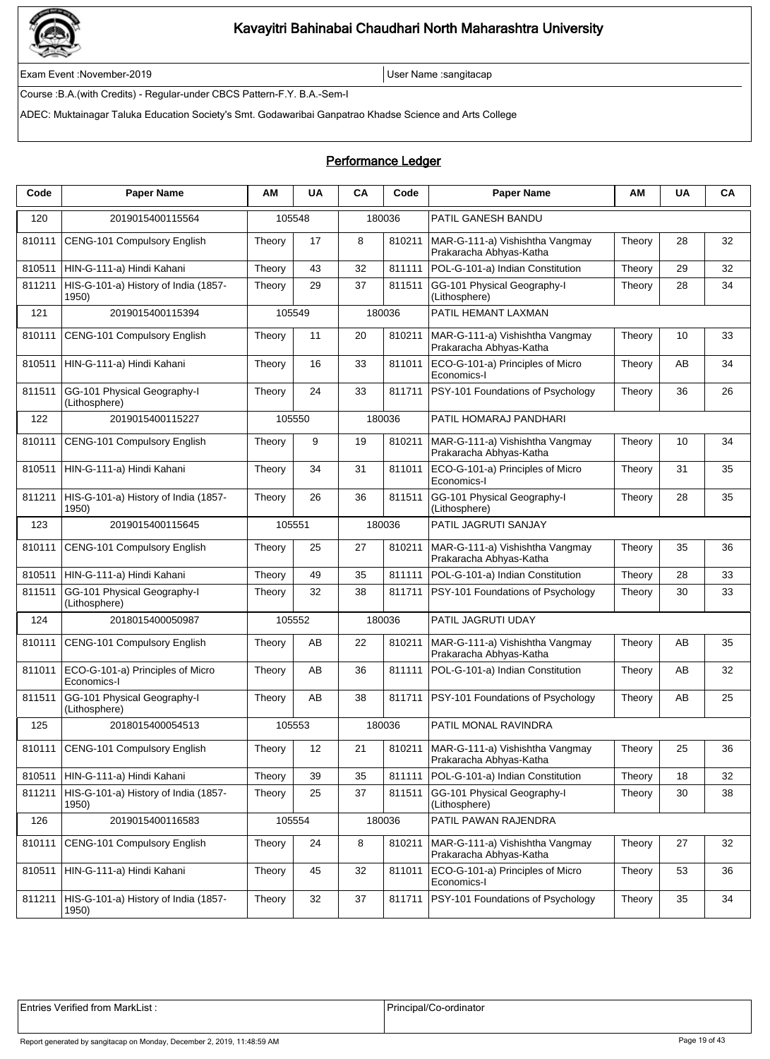

Exam Event :November-2019 User Name :sangitacap

Course :B.A.(with Credits) - Regular-under CBCS Pattern-F.Y. B.A.-Sem-I

ADEC: Muktainagar Taluka Education Society's Smt. Godawaribai Ganpatrao Khadse Science and Arts College

### Performance Ledger

| Code   | <b>Paper Name</b>                               | ΑМ     | <b>UA</b> | CA | Code   | <b>Paper Name</b>                                                   | ΑМ     | <b>UA</b> | CA |
|--------|-------------------------------------------------|--------|-----------|----|--------|---------------------------------------------------------------------|--------|-----------|----|
| 120    | 2019015400115564                                |        | 105548    |    | 180036 | PATIL GANESH BANDU                                                  |        |           |    |
| 810111 | CENG-101 Compulsory English                     | Theory | 17        | 8  | 810211 | MAR-G-111-a) Vishishtha Vangmay<br>Prakaracha Abhyas-Katha          | Theory | 28        | 32 |
| 810511 | HIN-G-111-a) Hindi Kahani                       | Theory | 43        | 32 | 811111 | POL-G-101-a) Indian Constitution                                    | Theory | 29        | 32 |
| 811211 | HIS-G-101-a) History of India (1857-<br>1950)   | Theory | 29        | 37 | 811511 | GG-101 Physical Geography-I<br>(Lithosphere)                        | Theory | 28        | 34 |
| 121    | 2019015400115394                                |        | 105549    |    | 180036 | PATIL HEMANT LAXMAN                                                 |        |           |    |
| 810111 | <b>CENG-101 Compulsory English</b>              | Theory | 11        | 20 | 810211 | MAR-G-111-a) Vishishtha Vangmay<br>Prakaracha Abhyas-Katha          | Theory | 10        | 33 |
| 810511 | HIN-G-111-a) Hindi Kahani                       | Theory | 16        | 33 | 811011 | ECO-G-101-a) Principles of Micro<br>Economics-I                     | Theory | AB        | 34 |
| 811511 | GG-101 Physical Geography-I<br>(Lithosphere)    | Theory | 24        | 33 | 811711 | PSY-101 Foundations of Psychology                                   | Theory | 36        | 26 |
| 122    | 2019015400115227                                |        | 105550    |    | 180036 | PATIL HOMARAJ PANDHARI                                              |        |           |    |
| 810111 | <b>CENG-101 Compulsory English</b>              | Theory | 9         | 19 | 810211 | MAR-G-111-a) Vishishtha Vangmay<br>Prakaracha Abhyas-Katha          | Theory | 10        | 34 |
| 810511 | HIN-G-111-a) Hindi Kahani                       | Theory | 34        | 31 | 811011 | ECO-G-101-a) Principles of Micro<br>Economics-I                     | Theory | 31        | 35 |
| 811211 | HIS-G-101-a) History of India (1857-<br>1950)   | Theory | 26        | 36 | 811511 | GG-101 Physical Geography-I<br>(Lithosphere)                        | Theory | 28        | 35 |
| 123    | 2019015400115645                                |        | 105551    |    | 180036 | PATIL JAGRUTI SANJAY                                                |        |           |    |
| 810111 | CENG-101 Compulsory English                     | Theory | 25        | 27 | 810211 | MAR-G-111-a) Vishishtha Vangmay<br>Prakaracha Abhyas-Katha          | Theory | 35        | 36 |
| 810511 | HIN-G-111-a) Hindi Kahani                       | Theory | 49        | 35 | 811111 | POL-G-101-a) Indian Constitution                                    | Theory | 28        | 33 |
| 811511 | GG-101 Physical Geography-I<br>(Lithosphere)    | Theory | 32        | 38 | 811711 | PSY-101 Foundations of Psychology                                   | Theory | 30        | 33 |
| 124    | 2018015400050987                                |        | 105552    |    | 180036 | PATIL JAGRUTI UDAY                                                  |        |           |    |
| 810111 | CENG-101 Compulsory English                     | Theory | AB        | 22 | 810211 | MAR-G-111-a) Vishishtha Vangmay<br>Prakaracha Abhyas-Katha          | Theory | AB        | 35 |
| 811011 | ECO-G-101-a) Principles of Micro<br>Economics-I | Theory | AB        | 36 | 811111 | POL-G-101-a) Indian Constitution                                    | Theory | AB        | 32 |
| 811511 | GG-101 Physical Geography-I<br>(Lithosphere)    | Theory | AB        | 38 | 811711 | PSY-101 Foundations of Psychology                                   | Theory | AB        | 25 |
| 125    | 2018015400054513                                |        | 105553    |    | 180036 | PATIL MONAL RAVINDRA                                                |        |           |    |
| 810111 | CENG-101 Compulsory English                     | Theory | 12        | 21 |        | 810211   MAR-G-111-a) Vishishtha Vangmay<br>Prakaracha Abhyas-Katha | Theory | 25        | 36 |
| 810511 | HIN-G-111-a) Hindi Kahani                       | Theory | 39        | 35 | 811111 | POL-G-101-a) Indian Constitution                                    | Theory | 18        | 32 |
| 811211 | HIS-G-101-a) History of India (1857-<br>1950)   | Theory | 25        | 37 | 811511 | GG-101 Physical Geography-I<br>(Lithosphere)                        | Theory | 30        | 38 |
| 126    | 2019015400116583                                |        | 105554    |    | 180036 | PATIL PAWAN RAJENDRA                                                |        |           |    |
| 810111 | CENG-101 Compulsory English                     | Theory | 24        | 8  | 810211 | MAR-G-111-a) Vishishtha Vangmay<br>Prakaracha Abhyas-Katha          | Theory | 27        | 32 |
| 810511 | HIN-G-111-a) Hindi Kahani                       | Theory | 45        | 32 | 811011 | ECO-G-101-a) Principles of Micro<br>Economics-I                     | Theory | 53        | 36 |
| 811211 | HIS-G-101-a) History of India (1857-<br>1950)   | Theory | 32        | 37 | 811711 | PSY-101 Foundations of Psychology                                   | Theory | 35        | 34 |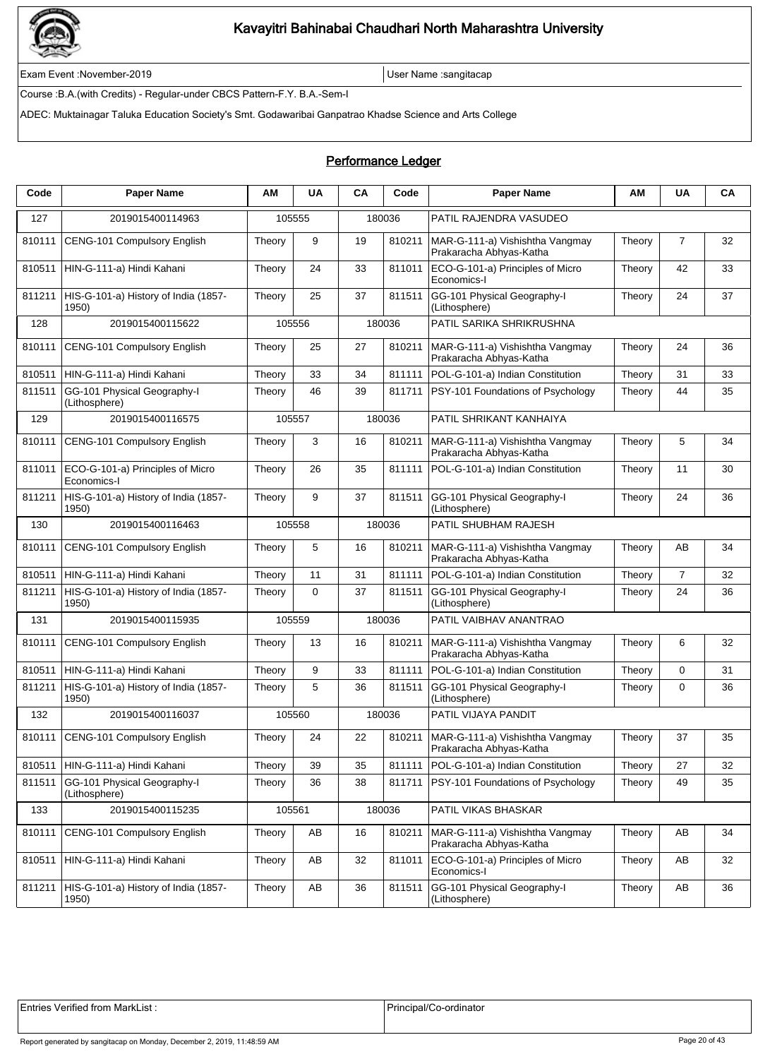

Exam Event :November-2019 User Name :sangitacap

Course :B.A.(with Credits) - Regular-under CBCS Pattern-F.Y. B.A.-Sem-I

ADEC: Muktainagar Taluka Education Society's Smt. Godawaribai Ganpatrao Khadse Science and Arts College

### Performance Ledger

| Code   | <b>Paper Name</b>                               | AМ     | <b>UA</b> | CA | Code   | <b>Paper Name</b>                                          | АM     | <b>UA</b>      | CA |
|--------|-------------------------------------------------|--------|-----------|----|--------|------------------------------------------------------------|--------|----------------|----|
| 127    | 2019015400114963                                |        | 105555    |    | 180036 | PATIL RAJENDRA VASUDEO                                     |        |                |    |
| 810111 | CENG-101 Compulsory English                     | Theory | 9         | 19 | 810211 | MAR-G-111-a) Vishishtha Vangmay<br>Prakaracha Abhyas-Katha | Theory | $\overline{7}$ | 32 |
| 810511 | HIN-G-111-a) Hindi Kahani                       | Theory | 24        | 33 | 811011 | ECO-G-101-a) Principles of Micro<br>Economics-I            | Theory | 42             | 33 |
| 811211 | HIS-G-101-a) History of India (1857-<br>1950)   | Theory | 25        | 37 | 811511 | GG-101 Physical Geography-I<br>(Lithosphere)               | Theory | 24             | 37 |
| 128    | 2019015400115622                                |        | 105556    |    | 180036 | PATIL SARIKA SHRIKRUSHNA                                   |        |                |    |
| 810111 | CENG-101 Compulsory English                     | Theory | 25        | 27 | 810211 | MAR-G-111-a) Vishishtha Vangmay<br>Prakaracha Abhyas-Katha | Theory | 24             | 36 |
| 810511 | HIN-G-111-a) Hindi Kahani                       | Theory | 33        | 34 | 811111 | POL-G-101-a) Indian Constitution                           | Theory | 31             | 33 |
| 811511 | GG-101 Physical Geography-I<br>(Lithosphere)    | Theory | 46        | 39 | 811711 | PSY-101 Foundations of Psychology                          | Theory | 44             | 35 |
| 129    | 2019015400116575                                |        | 105557    |    | 180036 | PATIL SHRIKANT KANHAIYA                                    |        |                |    |
| 810111 | <b>CENG-101 Compulsory English</b>              | Theory | 3         | 16 | 810211 | MAR-G-111-a) Vishishtha Vangmay<br>Prakaracha Abhyas-Katha | Theory | 5              | 34 |
| 811011 | ECO-G-101-a) Principles of Micro<br>Economics-I | Theory | 26        | 35 | 811111 | POL-G-101-a) Indian Constitution                           | Theory | 11             | 30 |
| 811211 | HIS-G-101-a) History of India (1857-<br>1950)   | Theory | 9         | 37 | 811511 | GG-101 Physical Geography-I<br>(Lithosphere)               | Theory | 24             | 36 |
| 130    | 2019015400116463                                |        | 105558    |    | 180036 | PATIL SHUBHAM RAJESH                                       |        |                |    |
| 810111 | CENG-101 Compulsory English                     | Theory | 5         | 16 | 810211 | MAR-G-111-a) Vishishtha Vangmay<br>Prakaracha Abhyas-Katha | Theory | AB             | 34 |
| 810511 | HIN-G-111-a) Hindi Kahani                       | Theory | 11        | 31 | 811111 | POL-G-101-a) Indian Constitution                           | Theory | 7              | 32 |
| 811211 | HIS-G-101-a) History of India (1857-<br>1950)   | Theory | 0         | 37 | 811511 | GG-101 Physical Geography-I<br>(Lithosphere)               | Theory | 24             | 36 |
| 131    | 2019015400115935                                |        | 105559    |    | 180036 | PATIL VAIBHAV ANANTRAO                                     |        |                |    |
| 810111 | CENG-101 Compulsory English                     | Theory | 13        | 16 | 810211 | MAR-G-111-a) Vishishtha Vangmay<br>Prakaracha Abhyas-Katha | Theory | 6              | 32 |
| 810511 | HIN-G-111-a) Hindi Kahani                       | Theory | 9         | 33 | 811111 | POL-G-101-a) Indian Constitution                           | Theory | 0              | 31 |
| 811211 | HIS-G-101-a) History of India (1857-<br>1950)   | Theory | 5         | 36 | 811511 | GG-101 Physical Geography-I<br>(Lithosphere)               | Theory | 0              | 36 |
| 132    | 2019015400116037                                |        | 105560    |    | 180036 | PATIL VIJAYA PANDIT                                        |        |                |    |
| 810111 | CENG-101 Compulsory English                     | Theory | 24        | 22 | 810211 | MAR-G-111-a) Vishishtha Vangmay<br>Prakaracha Abhyas-Katha | Theory | 37             | 35 |
| 810511 | HIN-G-111-a) Hindi Kahani                       | Theory | 39        | 35 | 811111 | POL-G-101-a) Indian Constitution                           | Theory | 27             | 32 |
| 811511 | GG-101 Physical Geography-I<br>(Lithosphere)    | Theory | 36        | 38 | 811711 | PSY-101 Foundations of Psychology                          | Theory | 49             | 35 |
| 133    | 2019015400115235                                |        | 105561    |    | 180036 | PATIL VIKAS BHASKAR                                        |        |                |    |
| 810111 | CENG-101 Compulsory English                     | Theory | AB        | 16 | 810211 | MAR-G-111-a) Vishishtha Vangmay<br>Prakaracha Abhyas-Katha | Theory | AB             | 34 |
| 810511 | HIN-G-111-a) Hindi Kahani                       | Theory | AB        | 32 | 811011 | ECO-G-101-a) Principles of Micro<br>Economics-I            | Theory | AB             | 32 |
| 811211 | HIS-G-101-a) History of India (1857-<br>1950)   | Theory | AB        | 36 | 811511 | GG-101 Physical Geography-I<br>(Lithosphere)               | Theory | AB             | 36 |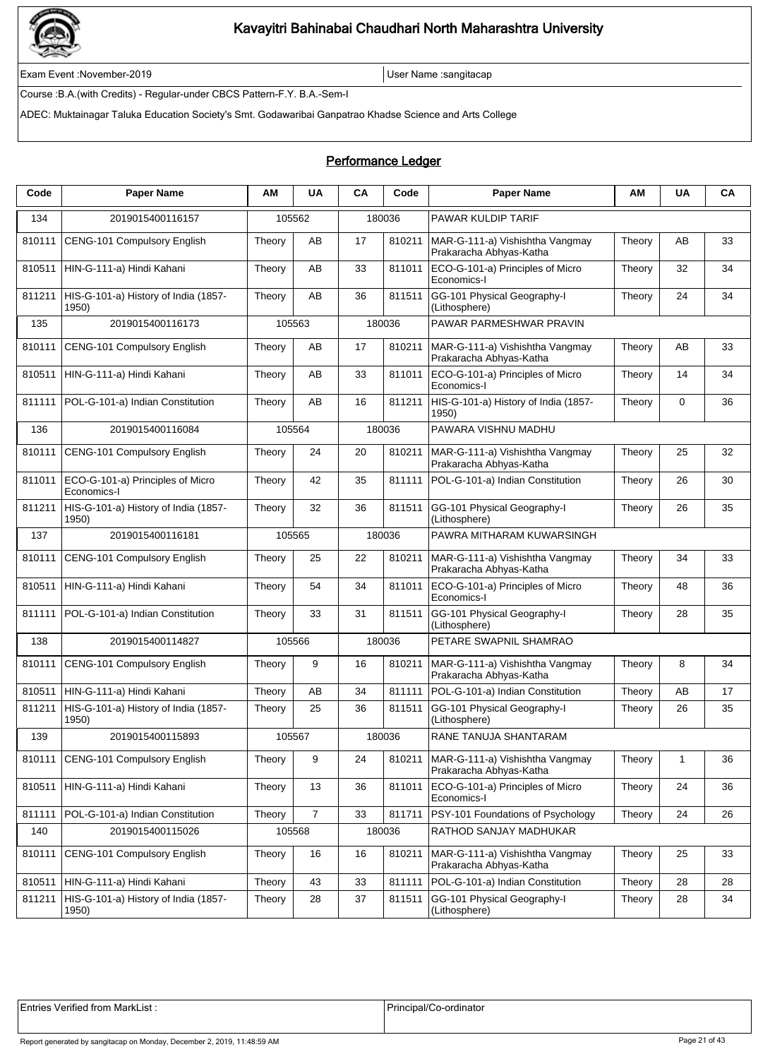

Exam Event :November-2019 User Name :sangitacap

Course :B.A.(with Credits) - Regular-under CBCS Pattern-F.Y. B.A.-Sem-I

ADEC: Muktainagar Taluka Education Society's Smt. Godawaribai Ganpatrao Khadse Science and Arts College

#### Performance Ledger

| Code   | <b>Paper Name</b>                               | AМ     | <b>UA</b>      | CA | Code   | <b>Paper Name</b>                                          | АM     | <b>UA</b>   | CA |
|--------|-------------------------------------------------|--------|----------------|----|--------|------------------------------------------------------------|--------|-------------|----|
| 134    | 2019015400116157                                |        | 105562         |    | 180036 | <b>PAWAR KULDIP TARIF</b>                                  |        |             |    |
| 810111 | CENG-101 Compulsory English                     | Theory | AB             | 17 | 810211 | MAR-G-111-a) Vishishtha Vangmay<br>Prakaracha Abhyas-Katha | Theory | AB          | 33 |
| 810511 | HIN-G-111-a) Hindi Kahani                       | Theory | AB             | 33 | 811011 | ECO-G-101-a) Principles of Micro<br>Economics-I            | Theory | 32          | 34 |
| 811211 | HIS-G-101-a) History of India (1857-<br>1950)   | Theory | AB             | 36 | 811511 | GG-101 Physical Geography-I<br>(Lithosphere)               | Theory | 24          | 34 |
| 135    | 2019015400116173                                |        | 105563         |    | 180036 | PAWAR PARMESHWAR PRAVIN                                    |        |             |    |
| 810111 | CENG-101 Compulsory English                     | Theory | AB             | 17 | 810211 | MAR-G-111-a) Vishishtha Vangmay<br>Prakaracha Abhyas-Katha | Theory | AB          | 33 |
| 810511 | HIN-G-111-a) Hindi Kahani                       | Theory | AB             | 33 | 811011 | ECO-G-101-a) Principles of Micro<br>Economics-I            | Theory | 14          | 34 |
| 811111 | POL-G-101-a) Indian Constitution                | Theory | AB             | 16 | 811211 | HIS-G-101-a) History of India (1857-<br>1950)              | Theory | $\mathbf 0$ | 36 |
| 136    | 2019015400116084                                |        | 105564         |    | 180036 | PAWARA VISHNU MADHU                                        |        |             |    |
| 810111 | CENG-101 Compulsory English                     | Theory | 24             | 20 | 810211 | MAR-G-111-a) Vishishtha Vangmay<br>Prakaracha Abhyas-Katha | Theory | 25          | 32 |
| 811011 | ECO-G-101-a) Principles of Micro<br>Economics-I | Theory | 42             | 35 | 811111 | POL-G-101-a) Indian Constitution                           | Theory | 26          | 30 |
| 811211 | HIS-G-101-a) History of India (1857-<br>1950)   | Theory | 32             | 36 | 811511 | GG-101 Physical Geography-I<br>(Lithosphere)               | Theory | 26          | 35 |
| 137    | 2019015400116181                                |        | 105565         |    | 180036 | PAWRA MITHARAM KUWARSINGH                                  |        |             |    |
| 810111 | CENG-101 Compulsory English                     | Theory | 25             | 22 | 810211 | MAR-G-111-a) Vishishtha Vangmay<br>Prakaracha Abhyas-Katha | Theory | 34          | 33 |
| 810511 | HIN-G-111-a) Hindi Kahani                       | Theory | 54             | 34 | 811011 | ECO-G-101-a) Principles of Micro<br>Economics-I            | Theory | 48          | 36 |
| 811111 | POL-G-101-a) Indian Constitution                | Theory | 33             | 31 | 811511 | GG-101 Physical Geography-I<br>(Lithosphere)               | Theory | 28          | 35 |
| 138    | 2019015400114827                                |        | 105566         |    | 180036 | PETARE SWAPNIL SHAMRAO                                     |        |             |    |
| 810111 | CENG-101 Compulsory English                     | Theory | 9              | 16 | 810211 | MAR-G-111-a) Vishishtha Vangmay<br>Prakaracha Abhyas-Katha | Theory | 8           | 34 |
| 810511 | HIN-G-111-a) Hindi Kahani                       | Theory | AB             | 34 | 811111 | POL-G-101-a) Indian Constitution                           | Theory | AB          | 17 |
| 811211 | HIS-G-101-a) History of India (1857-<br>1950)   | Theory | 25             | 36 | 811511 | GG-101 Physical Geography-I<br>(Lithosphere)               | Theory | 26          | 35 |
| 139    | 2019015400115893                                |        | 105567         |    | 180036 | RANE TANUJA SHANTARAM                                      |        |             |    |
| 810111 | CENG-101 Compulsory English                     | Theory | 9              | 24 | 810211 | MAR-G-111-a) Vishishtha Vangmay<br>Prakaracha Abhyas-Katha | Theory | 1           | 36 |
| 810511 | HIN-G-111-a) Hindi Kahani                       | Theory | 13             | 36 | 811011 | ECO-G-101-a) Principles of Micro<br>Economics-I            | Theory | 24          | 36 |
| 811111 | POL-G-101-a) Indian Constitution                | Theory | $\overline{7}$ | 33 | 811711 | PSY-101 Foundations of Psychology                          | Theory | 24          | 26 |
| 140    | 2019015400115026                                |        | 105568         |    | 180036 | RATHOD SANJAY MADHUKAR                                     |        |             |    |
| 810111 | <b>CENG-101 Compulsory English</b>              | Theory | 16             | 16 | 810211 | MAR-G-111-a) Vishishtha Vangmay<br>Prakaracha Abhyas-Katha | Theory | 25          | 33 |
| 810511 | HIN-G-111-a) Hindi Kahani                       | Theory | 43             | 33 | 811111 | POL-G-101-a) Indian Constitution                           | Theory | 28          | 28 |
| 811211 | HIS-G-101-a) History of India (1857-<br>1950)   | Theory | 28             | 37 | 811511 | GG-101 Physical Geography-I<br>(Lithosphere)               | Theory | 28          | 34 |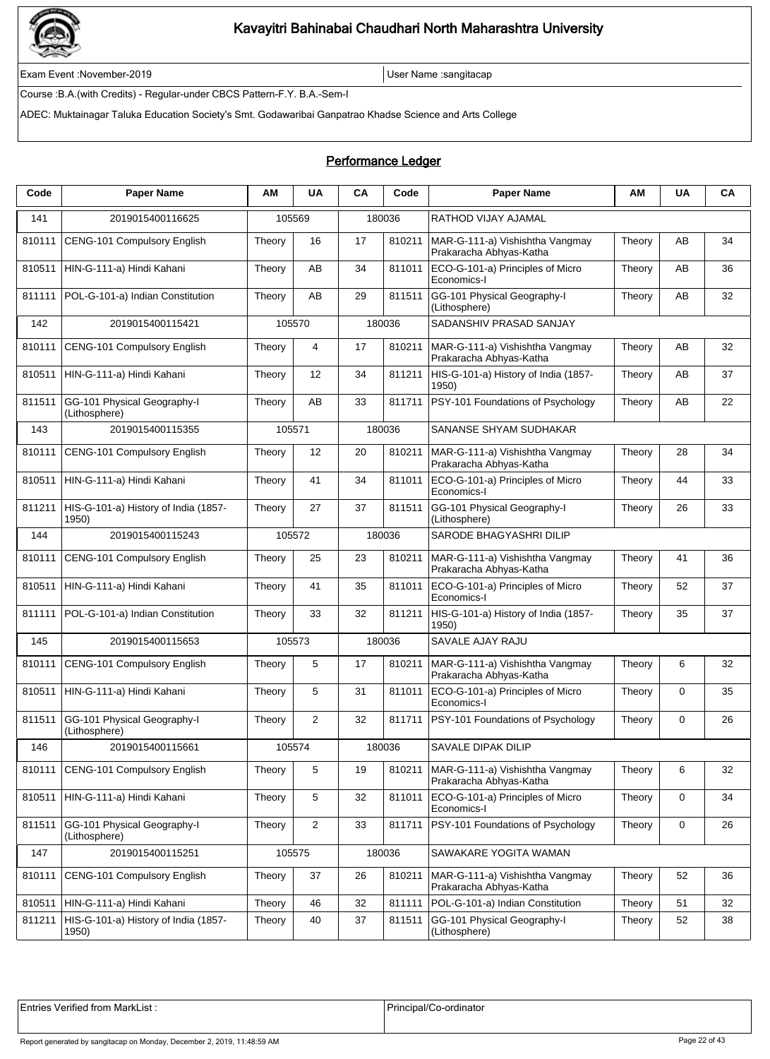

Exam Event :November-2019 User Name :sangitacap

Course :B.A.(with Credits) - Regular-under CBCS Pattern-F.Y. B.A.-Sem-I

ADEC: Muktainagar Taluka Education Society's Smt. Godawaribai Ganpatrao Khadse Science and Arts College

#### Performance Ledger

| Code   | <b>Paper Name</b>                             | ΑМ     | <b>UA</b>  | CA | Code   | <b>Paper Name</b>                                          | ΑМ     | <b>UA</b>   | CA |
|--------|-----------------------------------------------|--------|------------|----|--------|------------------------------------------------------------|--------|-------------|----|
| 141    | 2019015400116625                              |        | 105569     |    | 180036 | RATHOD VIJAY AJAMAL                                        |        |             |    |
| 810111 | CENG-101 Compulsory English                   | Theory | 16         | 17 | 810211 | MAR-G-111-a) Vishishtha Vangmay<br>Prakaracha Abhyas-Katha | Theory | AB          | 34 |
| 810511 | HIN-G-111-a) Hindi Kahani                     | Theory | AB         | 34 | 811011 | ECO-G-101-a) Principles of Micro<br>Economics-I            | Theory | AB          | 36 |
| 811111 | POL-G-101-a) Indian Constitution              | Theory | AB         | 29 | 811511 | GG-101 Physical Geography-I<br>(Lithosphere)               | Theory | AB          | 32 |
| 142    | 2019015400115421                              |        | 105570     |    | 180036 | SADANSHIV PRASAD SANJAY                                    |        |             |    |
| 810111 | CENG-101 Compulsory English                   | Theory | 4          | 17 | 810211 | MAR-G-111-a) Vishishtha Vangmay<br>Prakaracha Abhyas-Katha | Theory | AB          | 32 |
| 810511 | HIN-G-111-a) Hindi Kahani                     | Theory | 12         | 34 | 811211 | HIS-G-101-a) History of India (1857-<br>1950)              | Theory | AB          | 37 |
| 811511 | GG-101 Physical Geography-I<br>(Lithosphere)  | Theory | AB         | 33 | 811711 | PSY-101 Foundations of Psychology                          | Theory | AB          | 22 |
| 143    | 2019015400115355                              | 105571 |            |    | 180036 | SANANSE SHYAM SUDHAKAR                                     |        |             |    |
| 810111 | CENG-101 Compulsory English                   | Theory | 12         | 20 | 810211 | MAR-G-111-a) Vishishtha Vangmay<br>Prakaracha Abhyas-Katha | Theory | 28          | 34 |
| 810511 | HIN-G-111-a) Hindi Kahani                     | Theory | 41         | 34 | 811011 | ECO-G-101-a) Principles of Micro<br>Economics-I            | Theory | 44          | 33 |
| 811211 | HIS-G-101-a) History of India (1857-<br>1950) | Theory | 27         | 37 | 811511 | GG-101 Physical Geography-I<br>(Lithosphere)               | Theory | 26          | 33 |
| 144    | 2019015400115243                              |        | 105572     |    | 180036 | SARODE BHAGYASHRI DILIP                                    |        |             |    |
| 810111 | CENG-101 Compulsory English                   | Theory | 25         | 23 | 810211 | MAR-G-111-a) Vishishtha Vangmay<br>Prakaracha Abhyas-Katha | Theory | 41          | 36 |
| 810511 | HIN-G-111-a) Hindi Kahani                     | Theory | 41         | 35 | 811011 | ECO-G-101-a) Principles of Micro<br>Economics-I            | Theory | 52          | 37 |
| 811111 | POL-G-101-a) Indian Constitution              | Theory | 33         | 32 | 811211 | HIS-G-101-a) History of India (1857-<br>1950)              | Theory | 35          | 37 |
| 145    | 2019015400115653                              |        | 105573     |    | 180036 | SAVALE AJAY RAJU                                           |        |             |    |
| 810111 | CENG-101 Compulsory English                   | Theory | 5          | 17 | 810211 | MAR-G-111-a) Vishishtha Vangmay<br>Prakaracha Abhyas-Katha | Theory | 6           | 32 |
| 810511 | HIN-G-111-a) Hindi Kahani                     | Theory | 5          | 31 | 811011 | ECO-G-101-a) Principles of Micro<br>Economics-I            | Theory | 0           | 35 |
| 811511 | GG-101 Physical Geography-I<br>(Lithosphere)  | Theory | 2          | 32 | 811711 | PSY-101 Foundations of Psychology                          | Theory | $\mathbf 0$ | 26 |
| 146    | 2019015400115661                              |        | 105574     |    | 180036 | SAVALE DIPAK DILIP                                         |        |             |    |
| 810111 | CENG-101 Compulsory English                   | Theory | 5          | 19 | 810211 | MAR-G-111-a) Vishishtha Vangmay<br>Prakaracha Abhyas-Katha | Theory | 6           | 32 |
| 810511 | HIN-G-111-a) Hindi Kahani                     | Theory | 5          | 32 | 811011 | ECO-G-101-a) Principles of Micro<br>Economics-I            | Theory | 0           | 34 |
| 811511 | GG-101 Physical Geography-I<br>(Lithosphere)  | Theory | $\sqrt{2}$ | 33 | 811711 | PSY-101 Foundations of Psychology                          | Theory | 0           | 26 |
| 147    | 2019015400115251                              |        | 105575     |    | 180036 | SAWAKARE YOGITA WAMAN                                      |        |             |    |
| 810111 | CENG-101 Compulsory English                   | Theory | 37         | 26 | 810211 | MAR-G-111-a) Vishishtha Vangmay<br>Prakaracha Abhyas-Katha | Theory | 52          | 36 |
| 810511 | HIN-G-111-a) Hindi Kahani                     | Theory | 46         | 32 | 811111 | POL-G-101-a) Indian Constitution                           | Theory | 51          | 32 |
| 811211 | HIS-G-101-a) History of India (1857-<br>1950) | Theory | 40         | 37 | 811511 | GG-101 Physical Geography-I<br>(Lithosphere)               | Theory | 52          | 38 |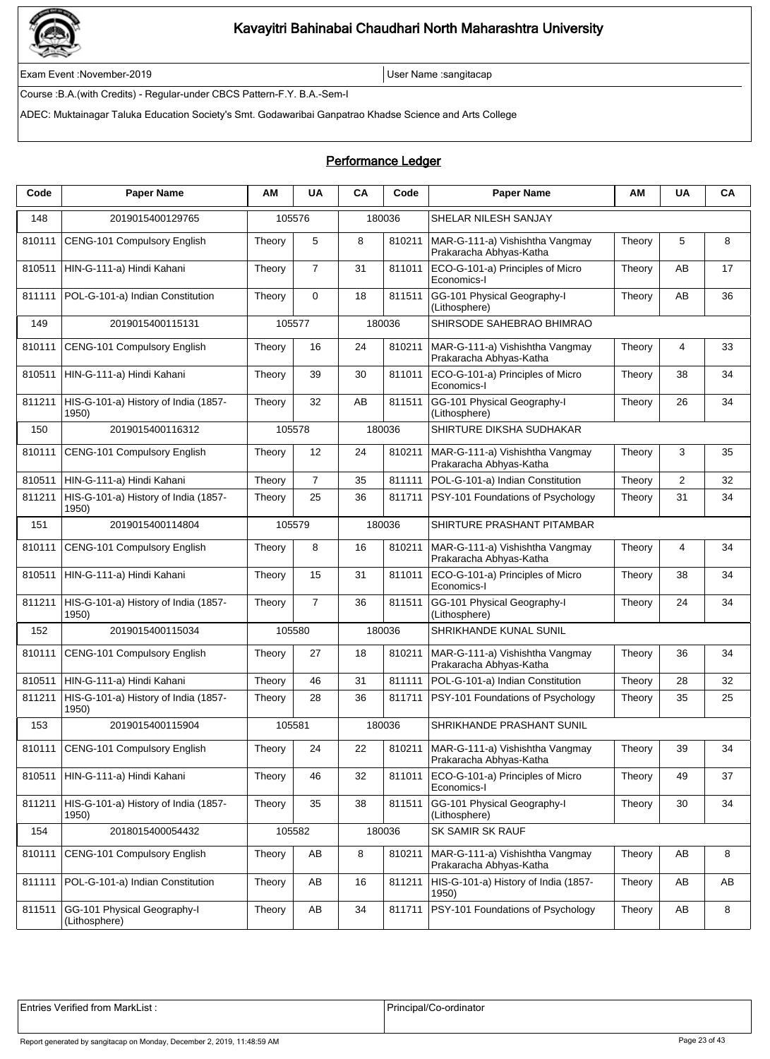

Exam Event :November-2019 User Name :sangitacap

Course :B.A.(with Credits) - Regular-under CBCS Pattern-F.Y. B.A.-Sem-I

ADEC: Muktainagar Taluka Education Society's Smt. Godawaribai Ganpatrao Khadse Science and Arts College

### Performance Ledger

| Code   | <b>Paper Name</b>                             | ΑМ     | <b>UA</b>      | CA | Code   | <b>Paper Name</b>                                                   | ΑМ     | <b>UA</b> | CA |
|--------|-----------------------------------------------|--------|----------------|----|--------|---------------------------------------------------------------------|--------|-----------|----|
| 148    | 2019015400129765                              |        | 105576         |    | 180036 | SHELAR NILESH SANJAY                                                |        |           |    |
| 810111 | CENG-101 Compulsory English                   | Theory | 5              | 8  | 810211 | MAR-G-111-a) Vishishtha Vangmay<br>Prakaracha Abhyas-Katha          | Theory | 5         | 8  |
| 810511 | HIN-G-111-a) Hindi Kahani                     | Theory | $\overline{7}$ | 31 | 811011 | ECO-G-101-a) Principles of Micro<br>Economics-I                     | Theory | AB        | 17 |
| 811111 | POL-G-101-a) Indian Constitution              | Theory | $\mathbf 0$    | 18 | 811511 | GG-101 Physical Geography-I<br>(Lithosphere)                        | Theory | AB        | 36 |
| 149    | 2019015400115131                              |        | 105577         |    | 180036 | SHIRSODE SAHEBRAO BHIMRAO                                           |        |           |    |
| 810111 | CENG-101 Compulsory English                   | Theory | 16             | 24 | 810211 | MAR-G-111-a) Vishishtha Vangmay<br>Prakaracha Abhyas-Katha          | Theory | 4         | 33 |
| 810511 | HIN-G-111-a) Hindi Kahani                     | Theory | 39             | 30 | 811011 | ECO-G-101-a) Principles of Micro<br>Economics-I                     | Theory | 38        | 34 |
| 811211 | HIS-G-101-a) History of India (1857-<br>1950) | Theory | 32             | AB | 811511 | GG-101 Physical Geography-I<br>(Lithosphere)                        | Theory | 26        | 34 |
| 150    | 2019015400116312                              |        | 105578         |    | 180036 | SHIRTURE DIKSHA SUDHAKAR                                            |        |           |    |
| 810111 | CENG-101 Compulsory English                   | Theory | 12             | 24 | 810211 | MAR-G-111-a) Vishishtha Vangmay<br>Prakaracha Abhyas-Katha          | Theory | 3         | 35 |
| 810511 | HIN-G-111-a) Hindi Kahani                     | Theory | $\overline{7}$ | 35 | 811111 | POL-G-101-a) Indian Constitution                                    | Theory | 2         | 32 |
| 811211 | HIS-G-101-a) History of India (1857-<br>1950) | Theory | 25             | 36 | 811711 | PSY-101 Foundations of Psychology                                   | Theory | 31        | 34 |
| 151    | 2019015400114804                              |        | 105579         |    | 180036 | SHIRTURE PRASHANT PITAMBAR                                          |        |           |    |
| 810111 | CENG-101 Compulsory English                   | Theory | 8              | 16 | 810211 | MAR-G-111-a) Vishishtha Vangmay<br>Prakaracha Abhyas-Katha          | Theory | 4         | 34 |
| 810511 | HIN-G-111-a) Hindi Kahani                     | Theory | 15             | 31 | 811011 | ECO-G-101-a) Principles of Micro<br>Economics-I                     | Theory | 38        | 34 |
| 811211 | HIS-G-101-a) History of India (1857-<br>1950) | Theory | $\overline{7}$ | 36 | 811511 | GG-101 Physical Geography-I<br>(Lithosphere)                        | Theory | 24        | 34 |
| 152    | 2019015400115034                              |        | 105580         |    | 180036 | SHRIKHANDE KUNAL SUNIL                                              |        |           |    |
| 810111 | CENG-101 Compulsory English                   | Theory | 27             | 18 | 810211 | MAR-G-111-a) Vishishtha Vangmay<br>Prakaracha Abhyas-Katha          | Theory | 36        | 34 |
| 810511 | HIN-G-111-a) Hindi Kahani                     | Theory | 46             | 31 | 811111 | POL-G-101-a) Indian Constitution                                    | Theory | 28        | 32 |
| 811211 | HIS-G-101-a) History of India (1857-<br>1950) | Theory | 28             | 36 | 811711 | PSY-101 Foundations of Psychology                                   | Theory | 35        | 25 |
| 153    | 2019015400115904                              |        | 105581         |    | 180036 | SHRIKHANDE PRASHANT SUNIL                                           |        |           |    |
| 810111 | CENG-101 Compulsory English                   | Theory | 24             | 22 |        | 810211   MAR-G-111-a) Vishishtha Vangmay<br>Prakaracha Abhyas-Katha | Theory | 39        | 34 |
| 810511 | HIN-G-111-a) Hindi Kahani                     | Theory | 46             | 32 | 811011 | ECO-G-101-a) Principles of Micro<br>Economics-I                     | Theory | 49        | 37 |
| 811211 | HIS-G-101-a) History of India (1857-<br>1950) | Theory | 35             | 38 | 811511 | GG-101 Physical Geography-I<br>(Lithosphere)                        | Theory | 30        | 34 |
| 154    | 2018015400054432                              |        | 105582         |    | 180036 | SK SAMIR SK RAUF                                                    |        |           |    |
| 810111 | CENG-101 Compulsory English                   | Theory | AB             | 8  | 810211 | MAR-G-111-a) Vishishtha Vangmay<br>Prakaracha Abhyas-Katha          | Theory | AB        | 8  |
| 811111 | POL-G-101-a) Indian Constitution              | Theory | AB             | 16 | 811211 | HIS-G-101-a) History of India (1857-<br>1950)                       | Theory | AB        | AB |
| 811511 | GG-101 Physical Geography-I<br>(Lithosphere)  | Theory | AB             | 34 | 811711 | PSY-101 Foundations of Psychology                                   | Theory | AB        | 8  |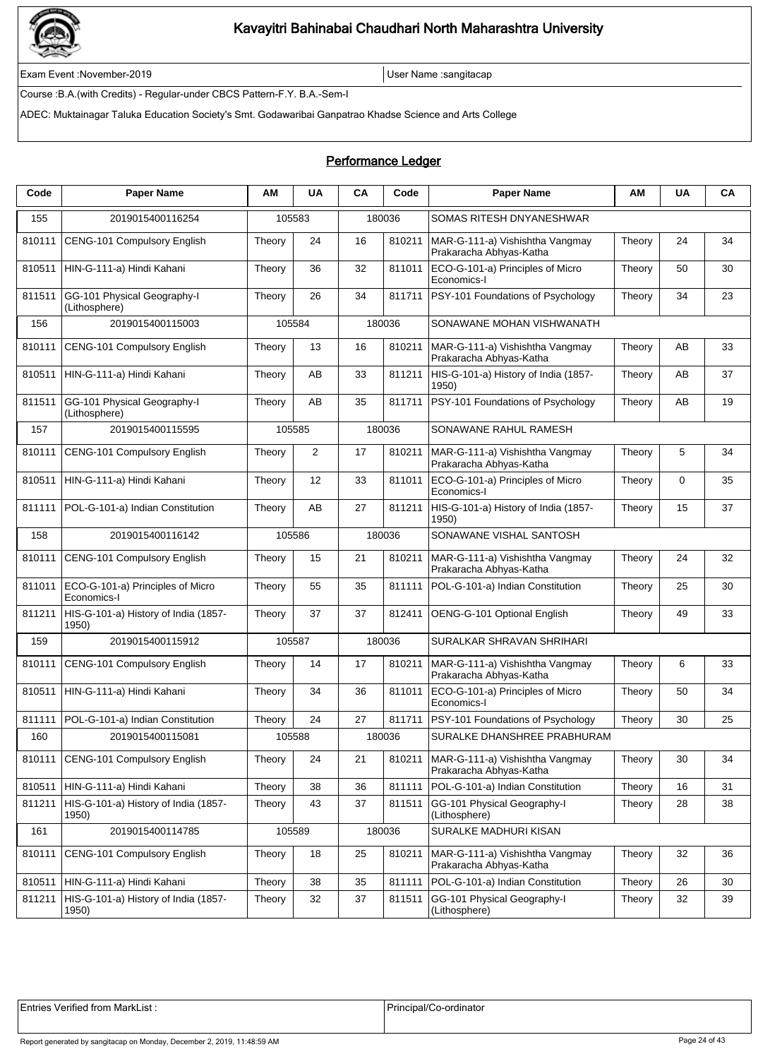

Exam Event :November-2019 User Name :sangitacap

Course :B.A.(with Credits) - Regular-under CBCS Pattern-F.Y. B.A.-Sem-I

ADEC: Muktainagar Taluka Education Society's Smt. Godawaribai Ganpatrao Khadse Science and Arts College

### Performance Ledger

| <b>Paper Name</b>                               | AM     | <b>UA</b> | CA                                                                 | Code   | <b>Paper Name</b>                                                  | ΑM     | <b>UA</b>                   | CA |
|-------------------------------------------------|--------|-----------|--------------------------------------------------------------------|--------|--------------------------------------------------------------------|--------|-----------------------------|----|
| 2019015400116254                                |        |           |                                                                    |        | SOMAS RITESH DNYANESHWAR                                           |        |                             |    |
| CENG-101 Compulsory English                     | Theory | 24        | 16                                                                 | 810211 | MAR-G-111-a) Vishishtha Vangmay<br>Prakaracha Abhyas-Katha         | Theory | 24                          | 34 |
| HIN-G-111-a) Hindi Kahani                       | Theory | 36        | 32                                                                 | 811011 | ECO-G-101-a) Principles of Micro<br>Economics-I                    | Theory | 50                          | 30 |
| GG-101 Physical Geography-I<br>(Lithosphere)    | Theory | 26        | 34                                                                 | 811711 | PSY-101 Foundations of Psychology                                  | Theory | 34                          | 23 |
| 2019015400115003                                |        |           |                                                                    |        | SONAWANE MOHAN VISHWANATH                                          |        |                             |    |
| CENG-101 Compulsory English                     | Theory | 13        | 16                                                                 | 810211 | MAR-G-111-a) Vishishtha Vangmay<br>Prakaracha Abhyas-Katha         | Theory | AB                          | 33 |
| HIN-G-111-a) Hindi Kahani                       | Theory | AB        | 33                                                                 | 811211 | HIS-G-101-a) History of India (1857-<br>1950)                      | Theory | AB                          | 37 |
| GG-101 Physical Geography-I<br>(Lithosphere)    | Theory | AB        | 35                                                                 | 811711 | PSY-101 Foundations of Psychology                                  | Theory | AB                          | 19 |
| 2019015400115595                                |        |           |                                                                    |        | SONAWANE RAHUL RAMESH                                              |        |                             |    |
| CENG-101 Compulsory English                     | Theory | 2         | 17                                                                 | 810211 | MAR-G-111-a) Vishishtha Vangmay<br>Prakaracha Abhyas-Katha         | Theory | 5                           | 34 |
| HIN-G-111-a) Hindi Kahani                       | Theory | 12        | 33                                                                 | 811011 | ECO-G-101-a) Principles of Micro<br>Economics-I                    | Theory | $\mathbf 0$                 | 35 |
| POL-G-101-a) Indian Constitution                | Theory | AB        | 27                                                                 | 811211 | HIS-G-101-a) History of India (1857-<br>1950)                      | Theory | 15                          | 37 |
| 2019015400116142                                |        |           |                                                                    |        | SONAWANE VISHAL SANTOSH                                            |        |                             |    |
| CENG-101 Compulsory English                     | Theory | 15        | 21                                                                 | 810211 | MAR-G-111-a) Vishishtha Vangmay<br>Prakaracha Abhyas-Katha         | Theory | 24                          | 32 |
| ECO-G-101-a) Principles of Micro<br>Economics-I | Theory | 55        | 35                                                                 | 811111 | POL-G-101-a) Indian Constitution                                   | Theory | 25                          | 30 |
| HIS-G-101-a) History of India (1857-<br>1950)   | Theory | 37        | 37                                                                 | 812411 | OENG-G-101 Optional English                                        | Theory | 49                          | 33 |
| 2019015400115912                                |        |           |                                                                    |        | SURALKAR SHRAVAN SHRIHARI                                          |        |                             |    |
| CENG-101 Compulsory English                     | Theory | 14        | 17                                                                 | 810211 | MAR-G-111-a) Vishishtha Vangmay<br>Prakaracha Abhyas-Katha         | Theory | 6                           | 33 |
| HIN-G-111-a) Hindi Kahani                       | Theory | 34        | 36                                                                 | 811011 | ECO-G-101-a) Principles of Micro<br>Economics-I                    | Theory | 50                          | 34 |
| POL-G-101-a) Indian Constitution                | Theory | 24        | 27                                                                 | 811711 | PSY-101 Foundations of Psychology                                  | Theory | 30                          | 25 |
| 2019015400115081                                |        |           |                                                                    |        |                                                                    |        |                             |    |
| <b>CENG-101 Compulsory English</b>              | Theory | 24        | 21                                                                 | 810211 | MAR-G-111-a) Vishishtha Vangmay<br>Prakaracha Abhyas-Katha         | Theory | 30                          | 34 |
| HIN-G-111-a) Hindi Kahani                       | Theory | 38        | 36                                                                 | 811111 | POL-G-101-a) Indian Constitution                                   | Theory | 16                          | 31 |
| HIS-G-101-a) History of India (1857-<br>1950)   | Theory | 43        | 37                                                                 | 811511 | GG-101 Physical Geography-I<br>(Lithosphere)                       | Theory | 28                          | 38 |
| 2019015400114785                                |        |           |                                                                    |        | SURALKE MADHURI KISAN                                              |        |                             |    |
| CENG-101 Compulsory English                     | Theory | 18        | 25                                                                 | 810211 | MAR-G-111-a) Vishishtha Vangmay<br>Prakaracha Abhyas-Katha         | Theory | 32                          | 36 |
| HIN-G-111-a) Hindi Kahani                       | Theory | 38        | 35                                                                 | 811111 | POL-G-101-a) Indian Constitution                                   | Theory | 26                          | 30 |
| HIS-G-101-a) History of India (1857-<br>1950)   | Theory | 32        | 37                                                                 | 811511 | GG-101 Physical Geography-I<br>(Lithosphere)                       | Theory | 32                          | 39 |
|                                                 |        |           | 105583<br>105584<br>105585<br>105586<br>105587<br>105588<br>105589 |        | 180036<br>180036<br>180036<br>180036<br>180036<br>180036<br>180036 |        | SURALKE DHANSHREE PRABHURAM |    |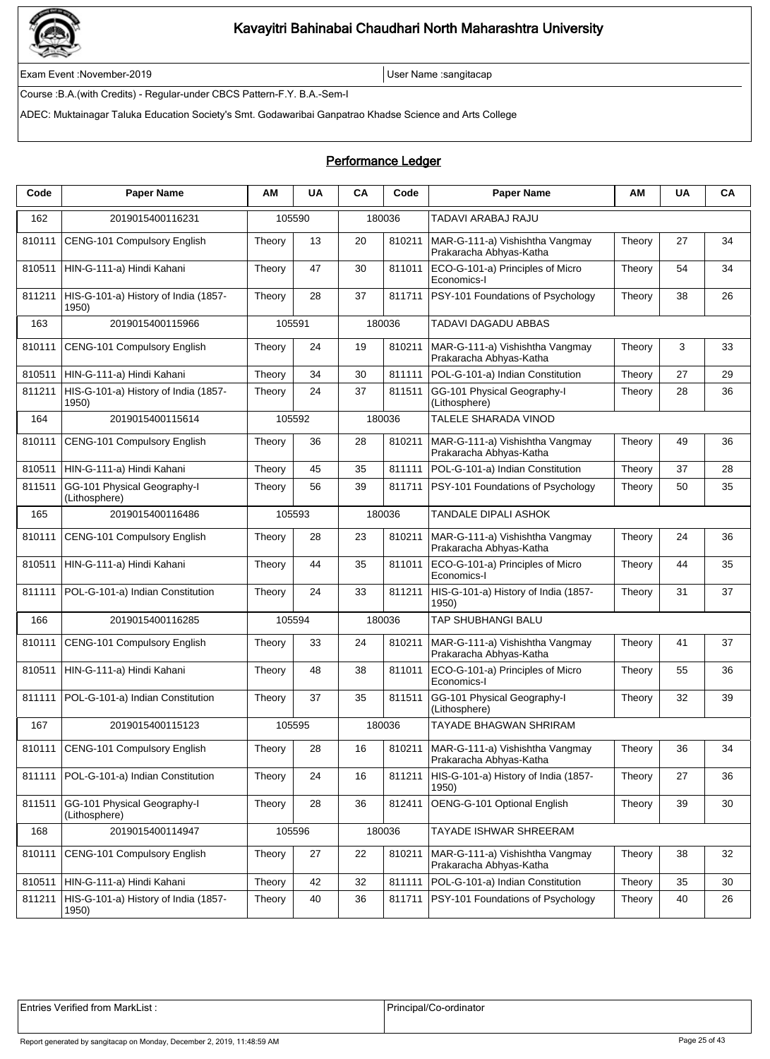

Exam Event :November-2019 User Name :sangitacap

Course :B.A.(with Credits) - Regular-under CBCS Pattern-F.Y. B.A.-Sem-I

ADEC: Muktainagar Taluka Education Society's Smt. Godawaribai Ganpatrao Khadse Science and Arts College

### Performance Ledger

| Code   | <b>Paper Name</b>                             | ΑM     | <b>UA</b> | CA | Code   | <b>Paper Name</b>                                                   | AM     | <b>UA</b> | CA |
|--------|-----------------------------------------------|--------|-----------|----|--------|---------------------------------------------------------------------|--------|-----------|----|
| 162    | 2019015400116231                              |        | 105590    |    | 180036 | TADAVI ARABAJ RAJU                                                  |        |           |    |
| 810111 | CENG-101 Compulsory English                   | Theory | 13        | 20 | 810211 | MAR-G-111-a) Vishishtha Vangmay<br>Prakaracha Abhyas-Katha          | Theory | 27        | 34 |
| 810511 | HIN-G-111-a) Hindi Kahani                     | Theory | 47        | 30 | 811011 | ECO-G-101-a) Principles of Micro<br>Economics-I                     | Theory | 54        | 34 |
| 811211 | HIS-G-101-a) History of India (1857-<br>1950) | Theory | 28        | 37 | 811711 | <b>PSY-101 Foundations of Psychology</b>                            | Theory | 38        | 26 |
| 163    | 2019015400115966                              | 105591 |           |    | 180036 | TADAVI DAGADU ABBAS                                                 |        |           |    |
| 810111 | CENG-101 Compulsory English                   | Theory | 24        | 19 | 810211 | MAR-G-111-a) Vishishtha Vangmay<br>Prakaracha Abhyas-Katha          | Theory | 3         | 33 |
| 810511 | HIN-G-111-a) Hindi Kahani                     | Theory | 34        | 30 | 811111 | POL-G-101-a) Indian Constitution                                    | Theory | 27        | 29 |
| 811211 | HIS-G-101-a) History of India (1857-<br>1950) | Theory | 24        | 37 | 811511 | GG-101 Physical Geography-I<br>(Lithosphere)                        | Theory | 28        | 36 |
| 164    | 2019015400115614                              |        | 105592    |    | 180036 | TALELE SHARADA VINOD                                                |        |           |    |
| 810111 | CENG-101 Compulsory English                   | Theory | 36        | 28 | 810211 | MAR-G-111-a) Vishishtha Vangmay<br>Prakaracha Abhyas-Katha          | Theory | 49        | 36 |
| 810511 | HIN-G-111-a) Hindi Kahani                     | Theory | 45        | 35 | 811111 | POL-G-101-a) Indian Constitution                                    | Theory | 37        | 28 |
| 811511 | GG-101 Physical Geography-I<br>(Lithosphere)  | Theory | 56        | 39 | 811711 | PSY-101 Foundations of Psychology                                   | Theory | 50        | 35 |
| 165    | 2019015400116486                              |        | 105593    |    | 180036 | <b>TANDALE DIPALI ASHOK</b>                                         |        |           |    |
| 810111 | <b>CENG-101 Compulsory English</b>            | Theory | 28        | 23 | 810211 | MAR-G-111-a) Vishishtha Vangmay<br>Prakaracha Abhyas-Katha          | Theory | 24        | 36 |
| 810511 | HIN-G-111-a) Hindi Kahani                     | Theory | 44        | 35 | 811011 | ECO-G-101-a) Principles of Micro<br>Economics-I                     | Theory | 44        | 35 |
| 811111 | POL-G-101-a) Indian Constitution              | Theory | 24        | 33 | 811211 | HIS-G-101-a) History of India (1857-<br>1950)                       | Theory | 31        | 37 |
| 166    | 2019015400116285                              |        | 105594    |    | 180036 | <b>TAP SHUBHANGI BALU</b>                                           |        |           |    |
| 810111 | CENG-101 Compulsory English                   | Theory | 33        | 24 | 810211 | MAR-G-111-a) Vishishtha Vangmay<br>Prakaracha Abhyas-Katha          | Theory | 41        | 37 |
| 810511 | HIN-G-111-a) Hindi Kahani                     | Theory | 48        | 38 | 811011 | ECO-G-101-a) Principles of Micro<br>Economics-I                     | Theory | 55        | 36 |
| 811111 | POL-G-101-a) Indian Constitution              | Theory | 37        | 35 | 811511 | GG-101 Physical Geography-I<br>(Lithosphere)                        | Theory | 32        | 39 |
| 167    | 2019015400115123                              |        | 105595    |    | 180036 | <b>TAYADE BHAGWAN SHRIRAM</b>                                       |        |           |    |
| 810111 | CENG-101 Compulsory English                   | Theory | 28        | 16 |        | 810211   MAR-G-111-a) Vishishtha Vangmay<br>Prakaracha Abhyas-Katha | Theory | 36        | 34 |
| 811111 | POL-G-101-a) Indian Constitution              | Theory | 24        | 16 | 811211 | HIS-G-101-a) History of India (1857-<br>1950)                       | Theory | 27        | 36 |
| 811511 | GG-101 Physical Geography-I<br>(Lithosphere)  | Theory | 28        | 36 | 812411 | OENG-G-101 Optional English                                         | Theory | 39        | 30 |
| 168    | 2019015400114947                              |        | 105596    |    | 180036 | TAYADE ISHWAR SHREERAM                                              |        |           |    |
| 810111 | CENG-101 Compulsory English                   | Theory | 27        | 22 | 810211 | MAR-G-111-a) Vishishtha Vangmay<br>Prakaracha Abhyas-Katha          | Theory | 38        | 32 |
| 810511 | HIN-G-111-a) Hindi Kahani                     | Theory | 42        | 32 | 811111 | POL-G-101-a) Indian Constitution                                    | Theory | 35        | 30 |
| 811211 | HIS-G-101-a) History of India (1857-<br>1950) | Theory | 40        | 36 | 811711 | PSY-101 Foundations of Psychology                                   | Theory | 40        | 26 |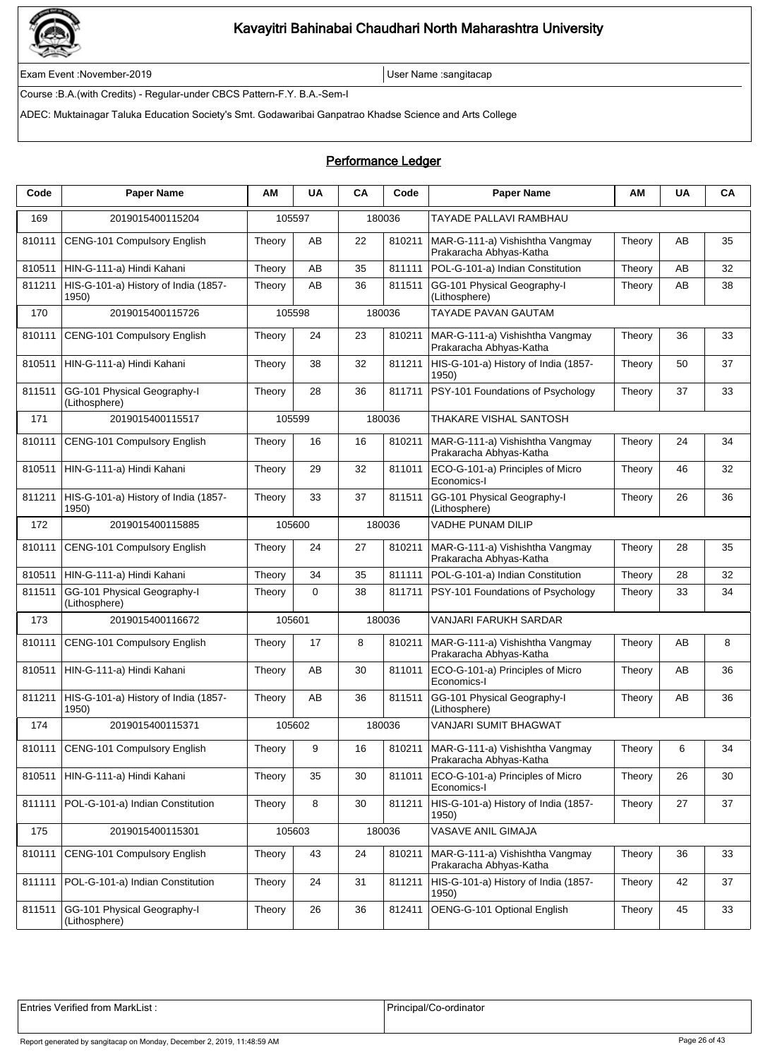

Exam Event :November-2019 User Name :sangitacap

Course :B.A.(with Credits) - Regular-under CBCS Pattern-F.Y. B.A.-Sem-I

ADEC: Muktainagar Taluka Education Society's Smt. Godawaribai Ganpatrao Khadse Science and Arts College

### Performance Ledger

| Code   | <b>Paper Name</b>                             | ΑМ     | <b>UA</b>   | CA | Code   | <b>Paper Name</b>                                                   | ΑМ     | <b>UA</b> | CA |
|--------|-----------------------------------------------|--------|-------------|----|--------|---------------------------------------------------------------------|--------|-----------|----|
| 169    | 2019015400115204                              |        | 105597      |    | 180036 | TAYADE PALLAVI RAMBHAU                                              |        |           |    |
| 810111 | CENG-101 Compulsory English                   | Theory | AB          | 22 | 810211 | MAR-G-111-a) Vishishtha Vangmay<br>Prakaracha Abhyas-Katha          | Theory | AB        | 35 |
| 810511 | HIN-G-111-a) Hindi Kahani                     | Theory | AB          | 35 | 811111 | POL-G-101-a) Indian Constitution                                    | Theory | AB        | 32 |
| 811211 | HIS-G-101-a) History of India (1857-<br>1950) | Theory | AB          | 36 | 811511 | GG-101 Physical Geography-I<br>(Lithosphere)                        | Theory | AB        | 38 |
| 170    | 2019015400115726                              |        | 105598      |    | 180036 | <b>TAYADE PAVAN GAUTAM</b>                                          |        |           |    |
| 810111 | CENG-101 Compulsory English                   | Theory | 24          | 23 | 810211 | MAR-G-111-a) Vishishtha Vangmay<br>Prakaracha Abhyas-Katha          | Theory | 36        | 33 |
| 810511 | HIN-G-111-a) Hindi Kahani                     | Theory | 38          | 32 | 811211 | HIS-G-101-a) History of India (1857-<br>1950)                       | Theory | 50        | 37 |
| 811511 | GG-101 Physical Geography-I<br>(Lithosphere)  | Theory | 28          | 36 | 811711 | PSY-101 Foundations of Psychology                                   | Theory | 37        | 33 |
| 171    | 2019015400115517                              |        | 105599      |    | 180036 | THAKARE VISHAL SANTOSH                                              |        |           |    |
| 810111 | CENG-101 Compulsory English                   | Theory | 16          | 16 | 810211 | MAR-G-111-a) Vishishtha Vangmay<br>Prakaracha Abhyas-Katha          | Theory | 24        | 34 |
| 810511 | HIN-G-111-a) Hindi Kahani                     | Theory | 29          | 32 | 811011 | ECO-G-101-a) Principles of Micro<br>Economics-I                     | Theory | 46        | 32 |
| 811211 | HIS-G-101-a) History of India (1857-<br>1950) | Theory | 33          | 37 | 811511 | GG-101 Physical Geography-I<br>(Lithosphere)                        | Theory | 26        | 36 |
| 172    | 2019015400115885                              |        | 105600      |    | 180036 | <b>VADHE PUNAM DILIP</b>                                            |        |           |    |
| 810111 | CENG-101 Compulsory English                   | Theory | 24          | 27 | 810211 | MAR-G-111-a) Vishishtha Vangmay<br>Prakaracha Abhyas-Katha          | Theory | 28        | 35 |
| 810511 | HIN-G-111-a) Hindi Kahani                     | Theory | 34          | 35 | 811111 | POL-G-101-a) Indian Constitution                                    | Theory | 28        | 32 |
| 811511 | GG-101 Physical Geography-I<br>(Lithosphere)  | Theory | $\mathbf 0$ | 38 | 811711 | PSY-101 Foundations of Psychology                                   | Theory | 33        | 34 |
| 173    | 2019015400116672                              |        | 105601      |    | 180036 | VANJARI FARUKH SARDAR                                               |        |           |    |
| 810111 | CENG-101 Compulsory English                   | Theory | 17          | 8  | 810211 | MAR-G-111-a) Vishishtha Vangmay<br>Prakaracha Abhyas-Katha          | Theory | AB        | 8  |
| 810511 | HIN-G-111-a) Hindi Kahani                     | Theory | AB          | 30 | 811011 | ECO-G-101-a) Principles of Micro<br>Economics-I                     | Theory | AB        | 36 |
| 811211 | HIS-G-101-a) History of India (1857-<br>1950) | Theory | AB          | 36 | 811511 | GG-101 Physical Geography-I<br>(Lithosphere)                        | Theory | AB        | 36 |
| 174    | 2019015400115371                              |        | 105602      |    | 180036 | VANJARI SUMIT BHAGWAT                                               |        |           |    |
| 810111 | CENG-101 Compulsory English                   | Theory | 9           | 16 |        | 810211   MAR-G-111-a) Vishishtha Vangmay<br>Prakaracha Abhyas-Katha | Theory | 6         | 34 |
| 810511 | HIN-G-111-a) Hindi Kahani                     | Theory | 35          | 30 | 811011 | ECO-G-101-a) Principles of Micro<br>Economics-I                     | Theory | 26        | 30 |
| 811111 | POL-G-101-a) Indian Constitution              | Theory | 8           | 30 | 811211 | HIS-G-101-a) History of India (1857-<br>1950)                       | Theory | 27        | 37 |
| 175    | 2019015400115301                              |        | 105603      |    | 180036 | VASAVE ANIL GIMAJA                                                  |        |           |    |
| 810111 | <b>CENG-101 Compulsory English</b>            | Theory | 43          | 24 | 810211 | MAR-G-111-a) Vishishtha Vangmay<br>Prakaracha Abhyas-Katha          | Theory | 36        | 33 |
| 811111 | POL-G-101-a) Indian Constitution              | Theory | 24          | 31 | 811211 | HIS-G-101-a) History of India (1857-<br>1950)                       | Theory | 42        | 37 |
| 811511 | GG-101 Physical Geography-I<br>(Lithosphere)  | Theory | 26          | 36 | 812411 | OENG-G-101 Optional English                                         | Theory | 45        | 33 |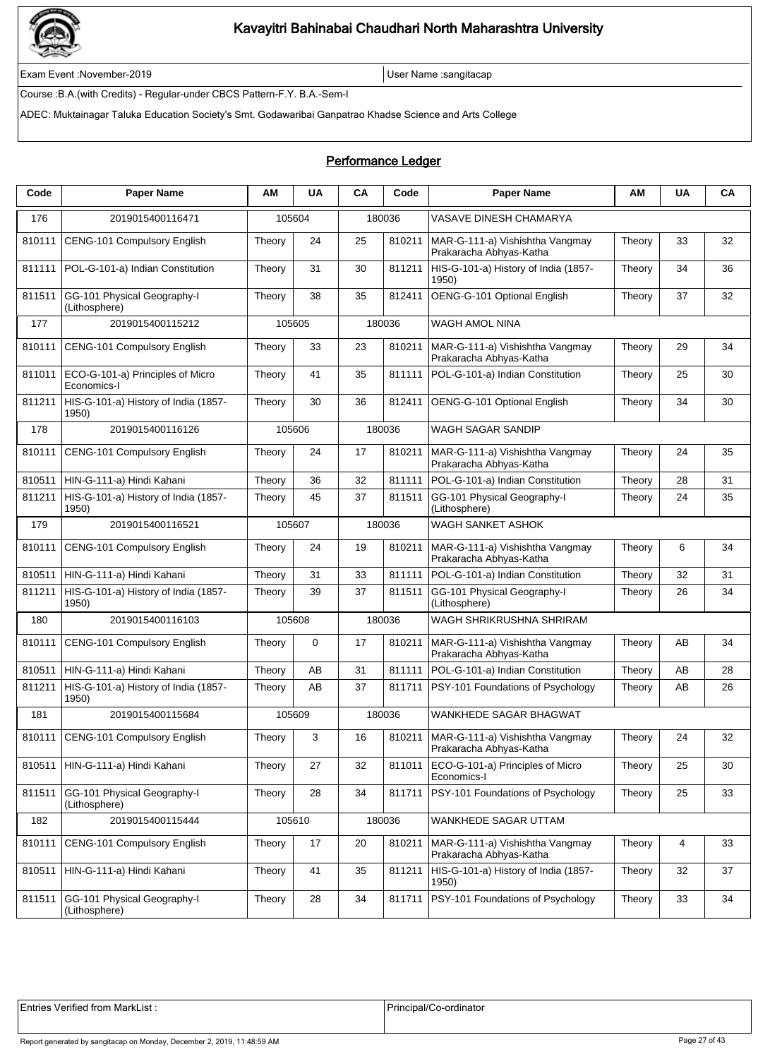

Exam Event :November-2019 User Name :sangitacap

Course :B.A.(with Credits) - Regular-under CBCS Pattern-F.Y. B.A.-Sem-I

ADEC: Muktainagar Taluka Education Society's Smt. Godawaribai Ganpatrao Khadse Science and Arts College

### Performance Ledger

| Code   | <b>Paper Name</b>                               | ΑМ     | <b>UA</b> | CA | Code   | <b>Paper Name</b>                                          | ΑМ     | <b>UA</b> | CA |
|--------|-------------------------------------------------|--------|-----------|----|--------|------------------------------------------------------------|--------|-----------|----|
| 176    | 2019015400116471                                |        | 105604    |    | 180036 | VASAVE DINESH CHAMARYA                                     |        |           |    |
| 810111 | CENG-101 Compulsory English                     | Theory | 24        | 25 | 810211 | MAR-G-111-a) Vishishtha Vangmay<br>Prakaracha Abhyas-Katha | Theory | 33        | 32 |
| 811111 | POL-G-101-a) Indian Constitution                | Theory | 31        | 30 | 811211 | HIS-G-101-a) History of India (1857-<br>1950)              | Theory | 34        | 36 |
| 811511 | GG-101 Physical Geography-I<br>(Lithosphere)    | Theory | 38        | 35 | 812411 | OENG-G-101 Optional English                                | Theory | 37        | 32 |
| 177    | 2019015400115212                                |        | 105605    |    | 180036 | WAGH AMOL NINA                                             |        |           |    |
| 810111 | CENG-101 Compulsory English                     | Theory | 33        | 23 | 810211 | MAR-G-111-a) Vishishtha Vangmay<br>Prakaracha Abhyas-Katha | Theory | 29        | 34 |
| 811011 | ECO-G-101-a) Principles of Micro<br>Economics-I | Theory | 41        | 35 | 811111 | POL-G-101-a) Indian Constitution                           | Theory | 25        | 30 |
| 811211 | HIS-G-101-a) History of India (1857-<br>1950)   | Theory | 30        | 36 | 812411 | OENG-G-101 Optional English                                | Theory | 34        | 30 |
| 178    | 2019015400116126                                |        | 105606    |    | 180036 | WAGH SAGAR SANDIP                                          |        |           |    |
| 810111 | CENG-101 Compulsory English                     | Theory | 24        | 17 | 810211 | MAR-G-111-a) Vishishtha Vangmay<br>Prakaracha Abhyas-Katha | Theory | 24        | 35 |
| 810511 | HIN-G-111-a) Hindi Kahani                       | Theory | 36        | 32 | 811111 | POL-G-101-a) Indian Constitution                           | Theory | 28        | 31 |
| 811211 | HIS-G-101-a) History of India (1857-<br>1950)   | Theory | 45        | 37 | 811511 | GG-101 Physical Geography-I<br>(Lithosphere)               | Theory | 24        | 35 |
| 179    | 2019015400116521                                |        | 105607    |    | 180036 | <b>WAGH SANKET ASHOK</b>                                   |        |           |    |
| 810111 | CENG-101 Compulsory English                     | Theory | 24        | 19 | 810211 | MAR-G-111-a) Vishishtha Vangmay<br>Prakaracha Abhyas-Katha | Theory | 6         | 34 |
| 810511 | HIN-G-111-a) Hindi Kahani                       | Theory | 31        | 33 | 811111 | POL-G-101-a) Indian Constitution                           | Theory | 32        | 31 |
| 811211 | HIS-G-101-a) History of India (1857-<br>1950)   | Theory | 39        | 37 | 811511 | GG-101 Physical Geography-I<br>(Lithosphere)               | Theory | 26        | 34 |
| 180    | 2019015400116103                                |        | 105608    |    | 180036 | WAGH SHRIKRUSHNA SHRIRAM                                   |        |           |    |
| 810111 | CENG-101 Compulsory English                     | Theory | 0         | 17 | 810211 | MAR-G-111-a) Vishishtha Vangmay<br>Prakaracha Abhyas-Katha | Theory | AB        | 34 |
| 810511 | HIN-G-111-a) Hindi Kahani                       | Theory | AB        | 31 | 811111 | POL-G-101-a) Indian Constitution                           | Theory | AB        | 28 |
| 811211 | HIS-G-101-a) History of India (1857-<br>1950)   | Theory | AB        | 37 | 811711 | PSY-101 Foundations of Psychology                          | Theory | AB        | 26 |
| 181    | 2019015400115684                                |        | 105609    |    | 180036 | WANKHEDE SAGAR BHAGWAT                                     |        |           |    |
| 810111 | CENG-101 Compulsory English                     | Theory | 3         | 16 | 810211 | MAR-G-111-a) Vishishtha Vangmay<br>Prakaracha Abhyas-Katha | Theory | 24        | 32 |
| 810511 | HIN-G-111-a) Hindi Kahani                       | Theory | 27        | 32 | 811011 | ECO-G-101-a) Principles of Micro<br>Economics-I            | Theory | 25        | 30 |
| 811511 | GG-101 Physical Geography-I<br>(Lithosphere)    | Theory | 28        | 34 | 811711 | PSY-101 Foundations of Psychology                          | Theory | 25        | 33 |
| 182    | 2019015400115444                                |        | 105610    |    | 180036 | WANKHEDE SAGAR UTTAM                                       |        |           |    |
| 810111 | <b>CENG-101 Compulsory English</b>              | Theory | 17        | 20 | 810211 | MAR-G-111-a) Vishishtha Vangmay<br>Prakaracha Abhyas-Katha | Theory | 4         | 33 |
| 810511 | HIN-G-111-a) Hindi Kahani                       | Theory | 41        | 35 | 811211 | HIS-G-101-a) History of India (1857-<br>1950)              | Theory | 32        | 37 |
| 811511 | GG-101 Physical Geography-I<br>(Lithosphere)    | Theory | 28        | 34 | 811711 | PSY-101 Foundations of Psychology                          | Theory | 33        | 34 |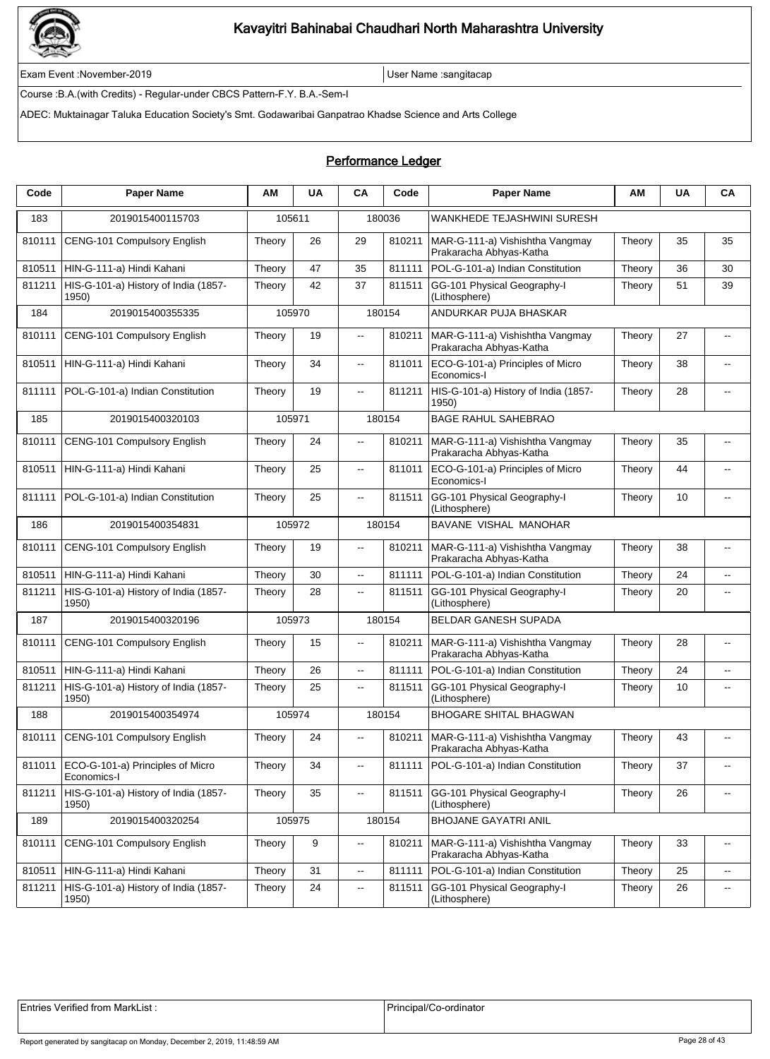

Exam Event :November-2019 User Name :sangitacap

Course :B.A.(with Credits) - Regular-under CBCS Pattern-F.Y. B.A.-Sem-I

ADEC: Muktainagar Taluka Education Society's Smt. Godawaribai Ganpatrao Khadse Science and Arts College

| Code   | <b>Paper Name</b>                               | ΑМ     | <b>UA</b> | CA                       | Code   | <b>Paper Name</b>                                          | ΑМ     | <b>UA</b> | CA                       |
|--------|-------------------------------------------------|--------|-----------|--------------------------|--------|------------------------------------------------------------|--------|-----------|--------------------------|
| 183    | 2019015400115703                                |        | 105611    |                          | 180036 | WANKHEDE TEJASHWINI SURESH                                 |        |           |                          |
| 810111 | CENG-101 Compulsory English                     | Theory | 26        | 29                       | 810211 | MAR-G-111-a) Vishishtha Vangmay<br>Prakaracha Abhyas-Katha | Theory | 35        | 35                       |
| 810511 | HIN-G-111-a) Hindi Kahani                       | Theory | 47        | 35                       | 811111 | POL-G-101-a) Indian Constitution                           | Theory | 36        | 30                       |
| 811211 | HIS-G-101-a) History of India (1857-<br>1950)   | Theory | 42        | 37                       | 811511 | GG-101 Physical Geography-I<br>(Lithosphere)               | Theory | 51        | 39                       |
| 184    | 2019015400355335                                |        | 105970    |                          | 180154 | ANDURKAR PUJA BHASKAR                                      |        |           |                          |
| 810111 | CENG-101 Compulsory English                     | Theory | 19        | Щ.                       | 810211 | MAR-G-111-a) Vishishtha Vangmay<br>Prakaracha Abhyas-Katha | Theory | 27        | ä.                       |
| 810511 | HIN-G-111-a) Hindi Kahani                       | Theory | 34        | Ξ.                       | 811011 | ECO-G-101-a) Principles of Micro<br>Economics-I            | Theory | 38        | --                       |
| 811111 | POL-G-101-a) Indian Constitution                | Theory | 19        | $\overline{\phantom{a}}$ | 811211 | HIS-G-101-a) History of India (1857-<br>1950)              | Theory | 28        | $\sim$                   |
| 185    | 2019015400320103                                |        | 105971    |                          | 180154 | <b>BAGE RAHUL SAHEBRAO</b>                                 |        |           |                          |
| 810111 | CENG-101 Compulsory English                     | Theory | 24        | $-$                      | 810211 | MAR-G-111-a) Vishishtha Vangmay<br>Prakaracha Abhyas-Katha | Theory | 35        | $\overline{a}$           |
| 810511 | HIN-G-111-a) Hindi Kahani                       | Theory | 25        | Ξ.                       | 811011 | ECO-G-101-a) Principles of Micro<br>Economics-I            | Theory | 44        | --                       |
| 811111 | POL-G-101-a) Indian Constitution                | Theory | 25        | --                       | 811511 | GG-101 Physical Geography-I<br>(Lithosphere)               | Theory | 10        | $\overline{\phantom{a}}$ |
| 186    | 2019015400354831                                |        | 105972    |                          | 180154 | BAVANE VISHAL MANOHAR                                      |        |           |                          |
| 810111 | <b>CENG-101 Compulsory English</b>              | Theory | 19        | $\overline{\phantom{a}}$ | 810211 | MAR-G-111-a) Vishishtha Vangmay<br>Prakaracha Abhyas-Katha | Theory | 38        | --                       |
| 810511 | HIN-G-111-a) Hindi Kahani                       | Theory | 30        | Ξ.                       | 811111 | POL-G-101-a) Indian Constitution                           | Theory | 24        | $\overline{\phantom{a}}$ |
| 811211 | HIS-G-101-a) History of India (1857-<br>1950)   | Theory | 28        | $\overline{\phantom{a}}$ | 811511 | GG-101 Physical Geography-I<br>(Lithosphere)               | Theory | 20        | --                       |
| 187    | 2019015400320196                                |        | 105973    |                          | 180154 | BELDAR GANESH SUPADA                                       |        |           |                          |
| 810111 | CENG-101 Compulsory English                     | Theory | 15        | --                       | 810211 | MAR-G-111-a) Vishishtha Vangmay<br>Prakaracha Abhyas-Katha | Theory | 28        | --                       |
| 810511 | HIN-G-111-a) Hindi Kahani                       | Theory | 26        | Ξ.                       | 811111 | POL-G-101-a) Indian Constitution                           | Theory | 24        | $\overline{\phantom{a}}$ |
| 811211 | HIS-G-101-a) History of India (1857-<br>1950)   | Theory | 25        | $\overline{\phantom{a}}$ | 811511 | GG-101 Physical Geography-I<br>(Lithosphere)               | Theory | 10        | $\overline{a}$           |
| 188    | 2019015400354974                                |        | 105974    |                          | 180154 | <b>BHOGARE SHITAL BHAGWAN</b>                              |        |           |                          |
| 810111 | CENG-101 Compulsory English                     | Theory | 24        | Щ.                       | 810211 | MAR-G-111-a) Vishishtha Vangmay<br>Prakaracha Abhyas-Katha | Theory | 43        | --                       |
| 811011 | ECO-G-101-a) Principles of Micro<br>Economics-I | Theory | 34        | $\overline{\phantom{a}}$ | 811111 | POL-G-101-a) Indian Constitution                           | Theory | 37        | --                       |
| 811211 | HIS-G-101-a) History of India (1857-<br>1950)   | Theory | 35        | --                       | 811511 | GG-101 Physical Geography-I<br>(Lithosphere)               | Theory | 26        | $\sim$                   |
| 189    | 2019015400320254                                |        | 105975    |                          | 180154 | <b>BHOJANE GAYATRI ANIL</b>                                |        |           |                          |
| 810111 | CENG-101 Compulsory English                     | Theory | 9         | --                       | 810211 | MAR-G-111-a) Vishishtha Vangmay<br>Prakaracha Abhyas-Katha | Theory | 33        | $\overline{\phantom{a}}$ |
| 810511 | HIN-G-111-a) Hindi Kahani                       | Theory | 31        | ц.                       | 811111 | POL-G-101-a) Indian Constitution                           | Theory | 25        | Ξ.                       |
| 811211 | HIS-G-101-a) History of India (1857-<br>1950)   | Theory | 24        | --                       | 811511 | GG-101 Physical Geography-I<br>(Lithosphere)               | Theory | 26        | ۰.                       |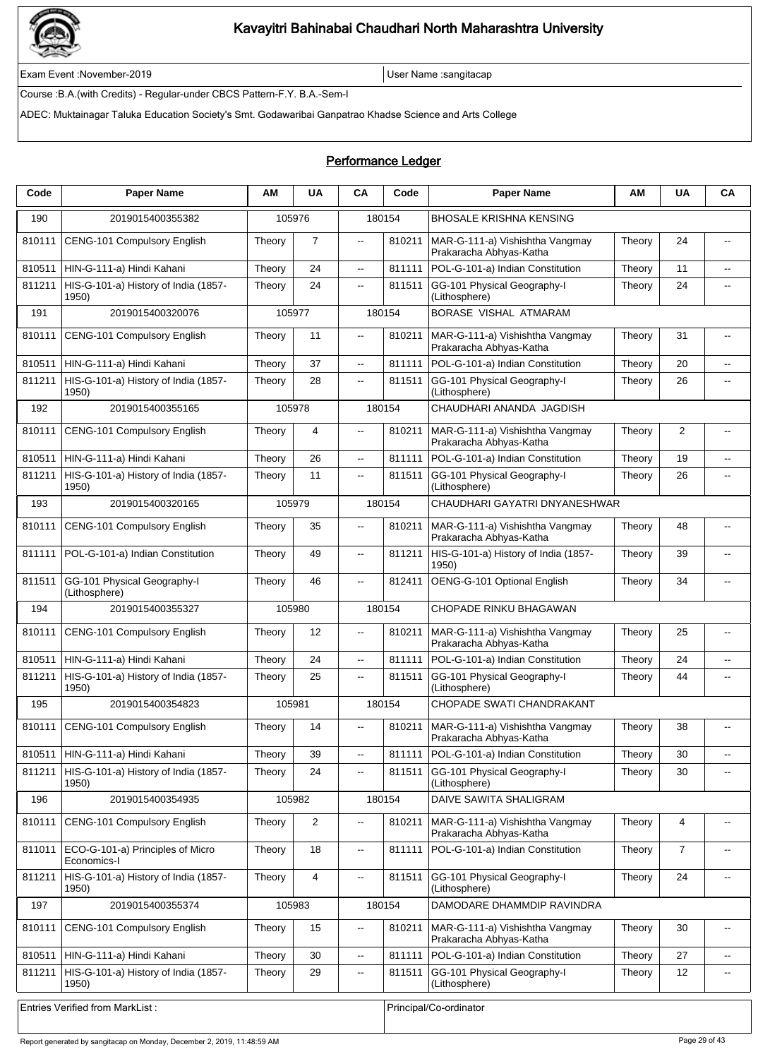

Exam Event :November-2019 User Name :sangitacap

Course :B.A.(with Credits) - Regular-under CBCS Pattern-F.Y. B.A.-Sem-I

ADEC: Muktainagar Taluka Education Society's Smt. Godawaribai Ganpatrao Khadse Science and Arts College

| Code   | <b>Paper Name</b>                               | ΑM     | <b>UA</b>      | <b>CA</b>                                     | Code   | <b>Paper Name</b>                                          | ΑM     | <b>UA</b>      | CA                       |
|--------|-------------------------------------------------|--------|----------------|-----------------------------------------------|--------|------------------------------------------------------------|--------|----------------|--------------------------|
| 190    | 2019015400355382                                | 105976 |                |                                               | 180154 | <b>BHOSALE KRISHNA KENSING</b>                             |        |                |                          |
| 810111 | CENG-101 Compulsory English                     | Theory | $\overline{7}$ | $\overline{\phantom{a}}$                      | 810211 | MAR-G-111-a) Vishishtha Vangmay<br>Prakaracha Abhyas-Katha | Theory | 24             | $\overline{a}$           |
| 810511 | HIN-G-111-a) Hindi Kahani                       | Theory | 24             | ц.                                            | 811111 | POL-G-101-a) Indian Constitution                           | Theory | 11             | $\overline{\phantom{a}}$ |
| 811211 | HIS-G-101-a) History of India (1857-<br>1950)   | Theory | 24             | $\overline{\phantom{a}}$                      | 811511 | GG-101 Physical Geography-I<br>(Lithosphere)               | Theory | 24             | $\overline{\phantom{a}}$ |
| 191    | 2019015400320076                                | 105977 |                |                                               | 180154 | BORASE VISHAL ATMARAM                                      |        |                |                          |
| 810111 | CENG-101 Compulsory English                     | Theory | 11             | $\overline{\phantom{a}}$                      | 810211 | MAR-G-111-a) Vishishtha Vangmay<br>Prakaracha Abhyas-Katha | Theory | 31             | $\overline{\phantom{a}}$ |
| 810511 | HIN-G-111-a) Hindi Kahani                       | Theory | 37             | $\sim$                                        | 811111 | POL-G-101-a) Indian Constitution                           | Theory | 20             | $-$                      |
| 811211 | HIS-G-101-a) History of India (1857-<br>1950)   | Theory | 28             | $\overline{a}$                                | 811511 | GG-101 Physical Geography-I<br>(Lithosphere)               | Theory | 26             | $\overline{a}$           |
| 192    | 2019015400355165                                | 105978 |                |                                               | 180154 | CHAUDHARI ANANDA JAGDISH                                   |        |                |                          |
| 810111 | CENG-101 Compulsory English                     | Theory | 4              | $\overline{\phantom{a}}$                      | 810211 | MAR-G-111-a) Vishishtha Vangmay<br>Prakaracha Abhyas-Katha | Theory | $\overline{2}$ | $-$                      |
| 810511 | HIN-G-111-a) Hindi Kahani                       | Theory | 26             | $\overline{\phantom{a}}$                      | 811111 | POL-G-101-a) Indian Constitution                           | Theory | 19             | Ξ.                       |
| 811211 | HIS-G-101-a) History of India (1857-<br>1950)   | Theory | 11             | $\overline{\phantom{a}}$                      | 811511 | GG-101 Physical Geography-I<br>(Lithosphere)               | Theory | 26             | $\overline{\phantom{a}}$ |
| 193    | 2019015400320165                                | 105979 |                |                                               | 180154 | CHAUDHARI GAYATRI DNYANESHWAR                              |        |                |                          |
| 810111 | CENG-101 Compulsory English                     | Theory | 35             | $\overline{\phantom{a}}$                      | 810211 | MAR-G-111-a) Vishishtha Vangmay<br>Prakaracha Abhyas-Katha | Theory | 48             | $\overline{a}$           |
| 811111 | POL-G-101-a) Indian Constitution                | Theory | 49             | $\overline{\phantom{a}}$                      | 811211 | HIS-G-101-a) History of India (1857-<br>1950)              | Theory | 39             | $-$                      |
| 811511 | GG-101 Physical Geography-I<br>(Lithosphere)    | Theory | 46             | $\overline{\phantom{a}}$                      | 812411 | OENG-G-101 Optional English                                | Theory | 34             | $\overline{a}$           |
| 194    | 2019015400355327                                | 105980 |                |                                               | 180154 | CHOPADE RINKU BHAGAWAN                                     |        |                |                          |
| 810111 | CENG-101 Compulsory English                     | Theory | 12             | $\overline{\phantom{a}}$                      | 810211 | MAR-G-111-a) Vishishtha Vangmay<br>Prakaracha Abhyas-Katha | Theory | 25             | $\overline{a}$           |
| 810511 | HIN-G-111-a) Hindi Kahani                       | Theory | 24             | $\overline{\phantom{a}}$                      | 811111 | POL-G-101-a) Indian Constitution                           | Theory | 24             | $\overline{\phantom{a}}$ |
| 811211 | HIS-G-101-a) History of India (1857-<br>1950)   | Theory | 25             | $\overline{\phantom{a}}$                      | 811511 | GG-101 Physical Geography-I<br>(Lithosphere)               | Theory | 44             | $\overline{a}$           |
| 195    | 2019015400354823                                | 105981 |                |                                               | 180154 | <b>CHOPADE SWATI CHANDRAKANT</b>                           |        |                |                          |
| 810111 | CENG-101 Compulsory English                     | Theory | 14             |                                               | 810211 | MAR-G-111-a) Vishishtha Vangmay<br>Prakaracha Abhyas-Katha | Theory | 38             |                          |
| 810511 | HIN-G-111-a) Hindi Kahani                       | Theory | 39             | $\overline{\phantom{a}}$                      | 811111 | POL-G-101-a) Indian Constitution                           | Theory | 30             | $\overline{\phantom{a}}$ |
| 811211 | HIS-G-101-a) History of India (1857-<br>1950)   | Theory | 24             | $\overline{\phantom{a}}$                      | 811511 | GG-101 Physical Geography-I<br>(Lithosphere)               | Theory | 30             | $\overline{\phantom{a}}$ |
| 196    | 2019015400354935                                | 105982 |                |                                               | 180154 | DAIVE SAWITA SHALIGRAM                                     |        |                |                          |
| 810111 | CENG-101 Compulsory English                     | Theory | $\overline{2}$ | $\overline{\phantom{a}}$                      | 810211 | MAR-G-111-a) Vishishtha Vangmay<br>Prakaracha Abhyas-Katha | Theory | 4              | $\overline{\phantom{a}}$ |
| 811011 | ECO-G-101-a) Principles of Micro<br>Economics-I | Theory | 18             | ц.                                            | 811111 | POL-G-101-a) Indian Constitution                           | Theory | $\overline{7}$ | $\overline{\phantom{a}}$ |
| 811211 | HIS-G-101-a) History of India (1857-<br>1950)   | Theory | $\overline{4}$ | $\mathord{\hspace{1pt}\text{--}\hspace{1pt}}$ | 811511 | GG-101 Physical Geography-I<br>(Lithosphere)               | Theory | 24             | $\overline{\phantom{a}}$ |
| 197    | 2019015400355374                                | 105983 |                |                                               | 180154 | DAMODARE DHAMMDIP RAVINDRA                                 |        |                |                          |
| 810111 | CENG-101 Compulsory English                     | Theory | 15             | $\overline{\phantom{a}}$                      | 810211 | MAR-G-111-a) Vishishtha Vangmay<br>Prakaracha Abhyas-Katha | Theory | 30             | $\overline{\phantom{a}}$ |
| 810511 | HIN-G-111-a) Hindi Kahani                       | Theory | 30             | $\overline{\phantom{a}}$                      | 811111 | POL-G-101-a) Indian Constitution                           | Theory | 27             | $\overline{\phantom{a}}$ |
| 811211 | HIS-G-101-a) History of India (1857-<br>1950)   | Theory | 29             | $\overline{\phantom{a}}$                      | 811511 | GG-101 Physical Geography-I<br>(Lithosphere)               | Theory | 12             | $\overline{\phantom{a}}$ |
|        | Entries Verified from MarkList:                 |        |                |                                               |        | Principal/Co-ordinator                                     |        |                |                          |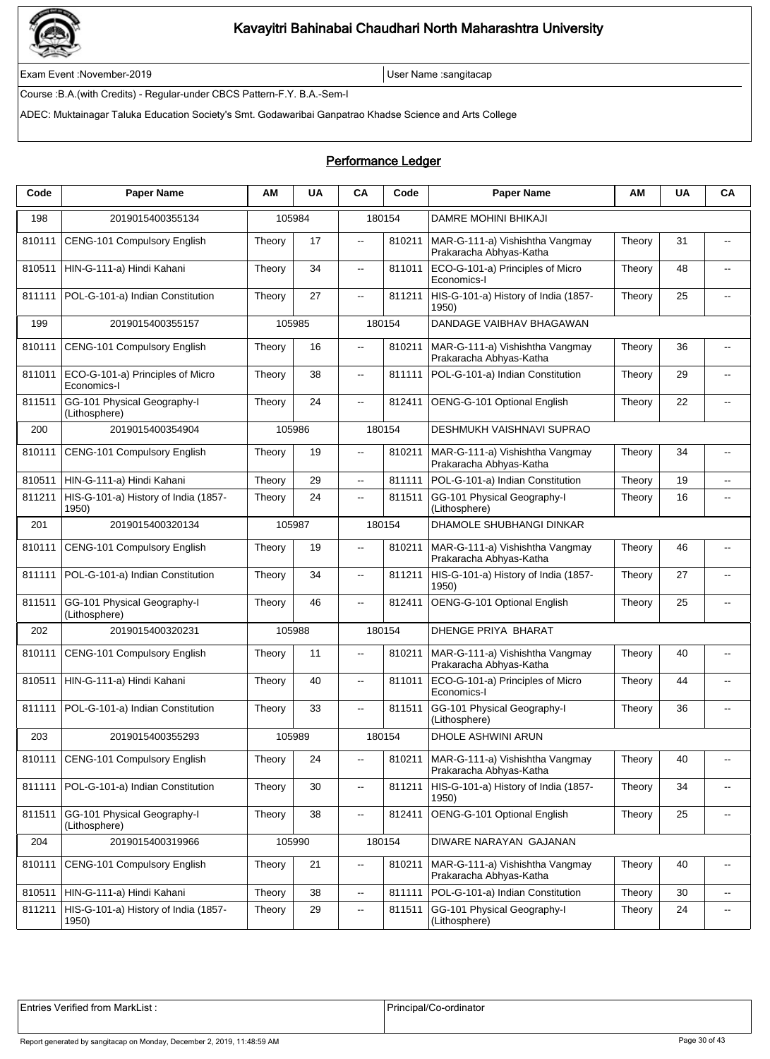

Exam Event :November-2019 User Name :sangitacap

Course :B.A.(with Credits) - Regular-under CBCS Pattern-F.Y. B.A.-Sem-I

ADEC: Muktainagar Taluka Education Society's Smt. Godawaribai Ganpatrao Khadse Science and Arts College

### Performance Ledger

| Code   | <b>Paper Name</b>                               | ΑM     | <b>UA</b> | CA                       | Code   | <b>Paper Name</b>                                          | AM     | <b>UA</b> | CA                       |
|--------|-------------------------------------------------|--------|-----------|--------------------------|--------|------------------------------------------------------------|--------|-----------|--------------------------|
| 198    | 2019015400355134                                |        | 105984    |                          | 180154 | <b>DAMRE MOHINI BHIKAJI</b>                                |        |           |                          |
| 810111 | CENG-101 Compulsory English                     | Theory | 17        | $\overline{\phantom{a}}$ | 810211 | MAR-G-111-a) Vishishtha Vangmay<br>Prakaracha Abhyas-Katha | Theory | 31        | $\overline{\phantom{a}}$ |
| 810511 | HIN-G-111-a) Hindi Kahani                       | Theory | 34        | $\overline{\phantom{a}}$ | 811011 | ECO-G-101-a) Principles of Micro<br>Economics-I            | Theory | 48        | $-$                      |
| 811111 | POL-G-101-a) Indian Constitution                | Theory | 27        | Ξ.                       | 811211 | HIS-G-101-a) History of India (1857-<br>1950)              | Theory | 25        | --                       |
| 199    | 2019015400355157                                |        | 105985    |                          | 180154 | DANDAGE VAIBHAV BHAGAWAN                                   |        |           |                          |
| 810111 | CENG-101 Compulsory English                     | Theory | 16        | .,                       | 810211 | MAR-G-111-a) Vishishtha Vangmay<br>Prakaracha Abhyas-Katha | Theory | 36        | $\overline{\phantom{a}}$ |
| 811011 | ECO-G-101-a) Principles of Micro<br>Economics-I | Theory | 38        | $- -$                    | 811111 | POL-G-101-a) Indian Constitution                           | Theory | 29        | $\overline{a}$           |
| 811511 | GG-101 Physical Geography-I<br>(Lithosphere)    | Theory | 24        | Ξ.                       | 812411 | OENG-G-101 Optional English                                | Theory | 22        | $-$                      |
| 200    | 2019015400354904                                |        | 105986    |                          | 180154 | DESHMUKH VAISHNAVI SUPRAO                                  |        |           |                          |
| 810111 | CENG-101 Compulsory English                     | Theory | 19        | .,                       | 810211 | MAR-G-111-a) Vishishtha Vangmay<br>Prakaracha Abhyas-Katha | Theory | 34        | $\overline{\phantom{a}}$ |
| 810511 | HIN-G-111-a) Hindi Kahani                       | Theory | 29        | $- -$                    | 811111 | POL-G-101-a) Indian Constitution                           | Theory | 19        | $\overline{\phantom{a}}$ |
| 811211 | HIS-G-101-a) History of India (1857-<br>1950)   | Theory | 24        | $\overline{a}$           | 811511 | GG-101 Physical Geography-I<br>(Lithosphere)               | Theory | 16        | $\overline{\phantom{a}}$ |
| 201    | 2019015400320134                                |        | 105987    |                          | 180154 | <b>DHAMOLE SHUBHANGI DINKAR</b>                            |        |           |                          |
| 810111 | CENG-101 Compulsory English                     | Theory | 19        | --                       | 810211 | MAR-G-111-a) Vishishtha Vangmay<br>Prakaracha Abhyas-Katha | Theory | 46        | --                       |
| 811111 | POL-G-101-a) Indian Constitution                | Theory | 34        | Ξ.                       | 811211 | HIS-G-101-a) History of India (1857-<br>1950)              | Theory | 27        | $\overline{\phantom{a}}$ |
| 811511 | GG-101 Physical Geography-I<br>(Lithosphere)    | Theory | 46        | $\overline{\phantom{a}}$ | 812411 | OENG-G-101 Optional English                                | Theory | 25        | $\overline{\phantom{a}}$ |
| 202    | 2019015400320231                                |        | 105988    |                          | 180154 | <b>DHENGE PRIYA BHARAT</b>                                 |        |           |                          |
| 810111 | CENG-101 Compulsory English                     | Theory | 11        | Щ.                       | 810211 | MAR-G-111-a) Vishishtha Vangmay<br>Prakaracha Abhyas-Katha | Theory | 40        | --                       |
| 810511 | HIN-G-111-a) Hindi Kahani                       | Theory | 40        | $\overline{\phantom{a}}$ | 811011 | ECO-G-101-a) Principles of Micro<br>Economics-I            | Theory | 44        | $\overline{\phantom{a}}$ |
| 811111 | POL-G-101-a) Indian Constitution                | Theory | 33        | $\overline{\phantom{a}}$ | 811511 | GG-101 Physical Geography-I<br>(Lithosphere)               | Theory | 36        | $\overline{\phantom{a}}$ |
| 203    | 2019015400355293                                |        | 105989    |                          | 180154 | DHOLE ASHWINI ARUN                                         |        |           |                          |
| 810111 | CENG-101 Compulsory English                     | Theory | 24        | $- -$                    | 810211 | MAR-G-111-a) Vishishtha Vangmay<br>Prakaracha Abhyas-Katha | Theory | 40        | $\overline{\phantom{a}}$ |
| 811111 | POL-G-101-a) Indian Constitution                | Theory | 30        | --                       | 811211 | HIS-G-101-a) History of India (1857-<br>1950)              | Theory | 34        | $\overline{\phantom{a}}$ |
| 811511 | GG-101 Physical Geography-I<br>(Lithosphere)    | Theory | 38        | --                       | 812411 | OENG-G-101 Optional English                                | Theory | 25        | $\overline{\phantom{a}}$ |
| 204    | 2019015400319966                                |        | 105990    |                          | 180154 | DIWARE NARAYAN GAJANAN                                     |        |           |                          |
| 810111 | CENG-101 Compulsory English                     | Theory | 21        | $\overline{\phantom{a}}$ | 810211 | MAR-G-111-a) Vishishtha Vangmay<br>Prakaracha Abhyas-Katha | Theory | 40        | --                       |
| 810511 | HIN-G-111-a) Hindi Kahani                       | Theory | 38        | --                       | 811111 | POL-G-101-a) Indian Constitution                           | Theory | 30        | Ξ.                       |
| 811211 | HIS-G-101-a) History of India (1857-<br>1950)   | Theory | 29        | $\overline{\phantom{a}}$ | 811511 | GG-101 Physical Geography-I<br>(Lithosphere)               | Theory | 24        | $\overline{\phantom{a}}$ |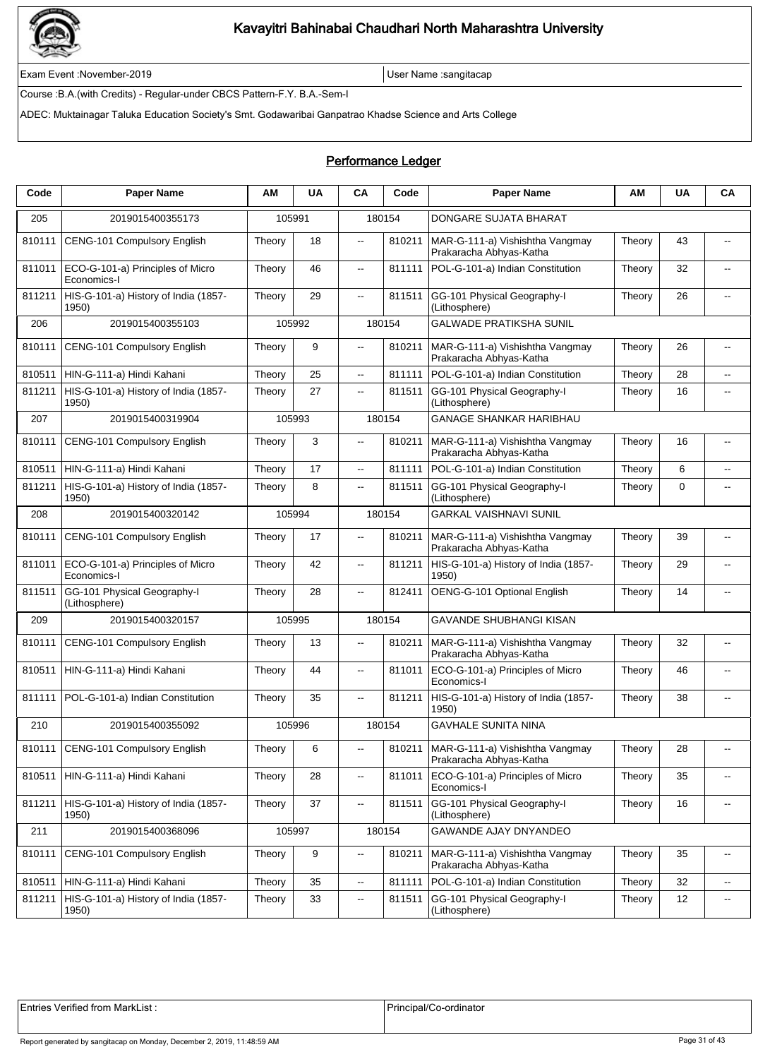

Exam Event :November-2019 User Name :sangitacap

Course :B.A.(with Credits) - Regular-under CBCS Pattern-F.Y. B.A.-Sem-I

ADEC: Muktainagar Taluka Education Society's Smt. Godawaribai Ganpatrao Khadse Science and Arts College

### Performance Ledger

| Code   | <b>Paper Name</b>                               | ΑМ     | <b>UA</b> | CA                       | Code   | <b>Paper Name</b>                                          | ΑМ     | <b>UA</b>   | CA                       |
|--------|-------------------------------------------------|--------|-----------|--------------------------|--------|------------------------------------------------------------|--------|-------------|--------------------------|
| 205    | 2019015400355173                                |        | 105991    |                          | 180154 | DONGARE SUJATA BHARAT                                      |        |             |                          |
| 810111 | CENG-101 Compulsory English                     | Theory | 18        | $\overline{\phantom{a}}$ | 810211 | MAR-G-111-a) Vishishtha Vangmay<br>Prakaracha Abhyas-Katha | Theory | 43          | $\overline{\phantom{a}}$ |
| 811011 | ECO-G-101-a) Principles of Micro<br>Economics-I | Theory | 46        | $\overline{\phantom{a}}$ | 811111 | POL-G-101-a) Indian Constitution                           | Theory | 32          | $\overline{a}$           |
| 811211 | HIS-G-101-a) History of India (1857-<br>1950)   | Theory | 29        | Ξ.                       | 811511 | GG-101 Physical Geography-I<br>(Lithosphere)               | Theory | 26          | --                       |
| 206    | 2019015400355103                                |        | 105992    |                          | 180154 | <b>GALWADE PRATIKSHA SUNIL</b>                             |        |             |                          |
| 810111 | CENG-101 Compulsory English                     | Theory | 9         | $\overline{\phantom{a}}$ | 810211 | MAR-G-111-a) Vishishtha Vangmay<br>Prakaracha Abhyas-Katha | Theory | 26          | $\overline{\phantom{a}}$ |
| 810511 | HIN-G-111-a) Hindi Kahani                       | Theory | 25        | $\overline{\phantom{a}}$ | 811111 | POL-G-101-a) Indian Constitution                           | Theory | 28          | $\overline{\phantom{a}}$ |
| 811211 | HIS-G-101-a) History of India (1857-<br>1950)   | Theory | 27        | $\overline{\phantom{a}}$ | 811511 | GG-101 Physical Geography-I<br>(Lithosphere)               | Theory | 16          | $\overline{\phantom{a}}$ |
| 207    | 2019015400319904                                |        | 105993    |                          | 180154 | <b>GANAGE SHANKAR HARIBHAU</b>                             |        |             |                          |
| 810111 | <b>CENG-101 Compulsory English</b>              | Theory | 3         | $\overline{a}$           | 810211 | MAR-G-111-a) Vishishtha Vangmay<br>Prakaracha Abhyas-Katha | Theory | 16          | --                       |
| 810511 | HIN-G-111-a) Hindi Kahani                       | Theory | 17        | ц.                       | 811111 | POL-G-101-a) Indian Constitution                           | Theory | 6           | $\overline{\phantom{a}}$ |
| 811211 | HIS-G-101-a) History of India (1857-<br>1950)   | Theory | 8         | $\overline{a}$           | 811511 | GG-101 Physical Geography-I<br>(Lithosphere)               | Theory | $\mathbf 0$ | $\overline{\phantom{a}}$ |
| 208    | 2019015400320142                                |        | 105994    |                          | 180154 | <b>GARKAL VAISHNAVI SUNIL</b>                              |        |             |                          |
| 810111 | <b>CENG-101 Compulsory English</b>              | Theory | 17        | $- -$                    | 810211 | MAR-G-111-a) Vishishtha Vangmay<br>Prakaracha Abhyas-Katha | Theory | 39          | $-$                      |
| 811011 | ECO-G-101-a) Principles of Micro<br>Economics-I | Theory | 42        | ц,                       | 811211 | HIS-G-101-a) History of India (1857-<br>1950)              | Theory | 29          | --                       |
| 811511 | GG-101 Physical Geography-I<br>(Lithosphere)    | Theory | 28        | $\overline{a}$           | 812411 | OENG-G-101 Optional English                                | Theory | 14          | $\overline{\phantom{a}}$ |
| 209    | 2019015400320157                                |        | 105995    |                          | 180154 | <b>GAVANDE SHUBHANGI KISAN</b>                             |        |             |                          |
| 810111 | CENG-101 Compulsory English                     | Theory | 13        | $\overline{\phantom{a}}$ | 810211 | MAR-G-111-a) Vishishtha Vangmay<br>Prakaracha Abhyas-Katha | Theory | 32          | $-$                      |
| 810511 | HIN-G-111-a) Hindi Kahani                       | Theory | 44        | $\overline{\phantom{a}}$ | 811011 | ECO-G-101-a) Principles of Micro<br>Economics-I            | Theory | 46          | $\overline{\phantom{a}}$ |
| 811111 | POL-G-101-a) Indian Constitution                | Theory | 35        | $- -$                    | 811211 | HIS-G-101-a) History of India (1857-<br>1950)              | Theory | 38          | --                       |
| 210    | 2019015400355092                                |        | 105996    |                          | 180154 | <b>GAVHALE SUNITA NINA</b>                                 |        |             |                          |
| 810111 | CENG-101 Compulsory English                     | Theory | 6         |                          | 810211 | MAR-G-111-a) Vishishtha Vangmay<br>Prakaracha Abhyas-Katha | Theory | 28          |                          |
| 810511 | HIN-G-111-a) Hindi Kahani                       | Theory | 28        | Ξ.                       | 811011 | ECO-G-101-a) Principles of Micro<br>Economics-I            | Theory | 35          | --                       |
| 811211 | HIS-G-101-a) History of India (1857-<br>1950)   | Theory | 37        | щ.                       | 811511 | GG-101 Physical Geography-I<br>(Lithosphere)               | Theory | 16          | ۰.                       |
| 211    | 2019015400368096                                |        | 105997    |                          | 180154 | GAWANDE AJAY DNYANDEO                                      |        |             |                          |
| 810111 | <b>CENG-101 Compulsory English</b>              | Theory | 9         | .,                       | 810211 | MAR-G-111-a) Vishishtha Vangmay<br>Prakaracha Abhyas-Katha | Theory | 35          | $\overline{\phantom{a}}$ |
| 810511 | HIN-G-111-a) Hindi Kahani                       | Theory | 35        | Ξ.                       | 811111 | POL-G-101-a) Indian Constitution                           | Theory | 32          | $\overline{\phantom{a}}$ |
| 811211 | HIS-G-101-a) History of India (1857-<br>1950)   | Theory | 33        | Ξ.                       | 811511 | GG-101 Physical Geography-I<br>(Lithosphere)               | Theory | 12          | $\overline{\phantom{a}}$ |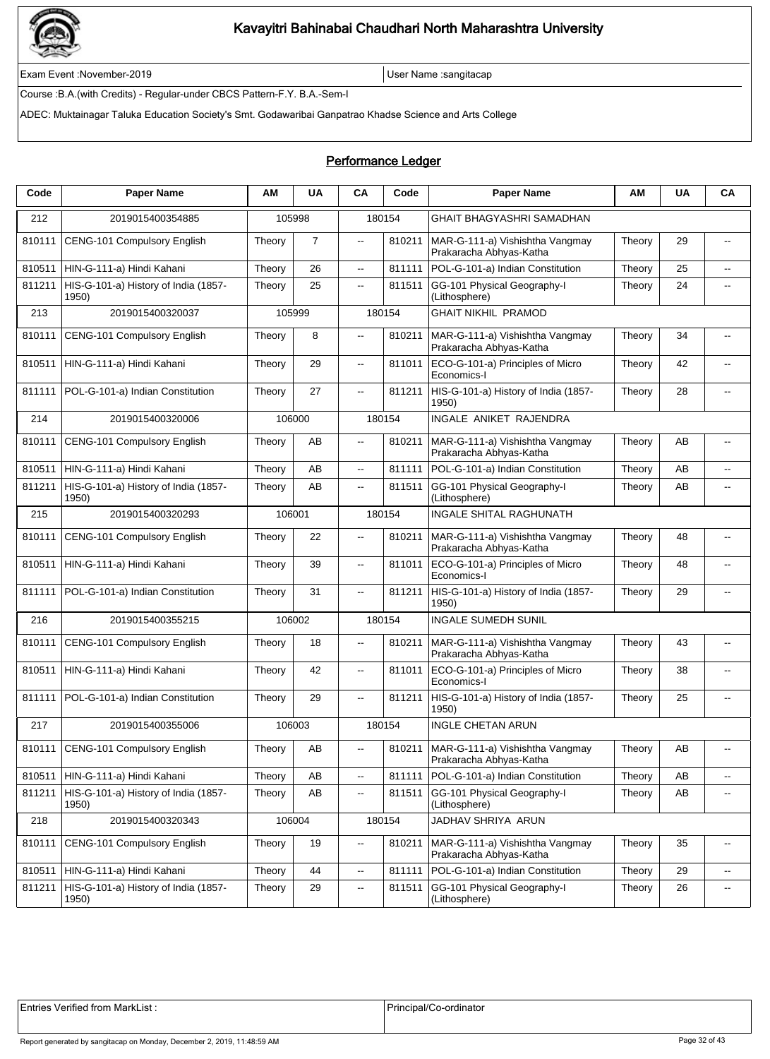

Exam Event :November-2019 User Name :sangitacap

Course :B.A.(with Credits) - Regular-under CBCS Pattern-F.Y. B.A.-Sem-I

ADEC: Muktainagar Taluka Education Society's Smt. Godawaribai Ganpatrao Khadse Science and Arts College

| Code   | <b>Paper Name</b>                             | ΑM     | <b>UA</b>      | CA                       | Code   | <b>Paper Name</b>                                          | ΑM     | <b>UA</b> | CA                          |
|--------|-----------------------------------------------|--------|----------------|--------------------------|--------|------------------------------------------------------------|--------|-----------|-----------------------------|
| 212    | 2019015400354885                              |        | 105998         |                          | 180154 | <b>GHAIT BHAGYASHRI SAMADHAN</b>                           |        |           |                             |
| 810111 | CENG-101 Compulsory English                   | Theory | $\overline{7}$ | $\overline{\phantom{a}}$ | 810211 | MAR-G-111-a) Vishishtha Vangmay<br>Prakaracha Abhyas-Katha | Theory | 29        | $\overline{\phantom{a}}$    |
| 810511 | HIN-G-111-a) Hindi Kahani                     | Theory | 26             | $\overline{\phantom{a}}$ | 811111 | POL-G-101-a) Indian Constitution                           | Theory | 25        | $\overline{\phantom{a}}$    |
| 811211 | HIS-G-101-a) History of India (1857-<br>1950) | Theory | 25             | $\overline{\phantom{a}}$ | 811511 | GG-101 Physical Geography-I<br>(Lithosphere)               | Theory | 24        | $\overline{\phantom{a}}$    |
| 213    | 2019015400320037                              |        | 105999         |                          | 180154 | <b>GHAIT NIKHIL PRAMOD</b>                                 |        |           |                             |
| 810111 | CENG-101 Compulsory English                   | Theory | 8              | $\overline{a}$           | 810211 | MAR-G-111-a) Vishishtha Vangmay<br>Prakaracha Abhyas-Katha | Theory | 34        |                             |
| 810511 | HIN-G-111-a) Hindi Kahani                     | Theory | 29             | $\overline{\phantom{a}}$ | 811011 | ECO-G-101-a) Principles of Micro<br>Economics-I            | Theory | 42        | $\overline{a}$              |
| 811111 | POL-G-101-a) Indian Constitution              | Theory | 27             | $\overline{\phantom{a}}$ | 811211 | HIS-G-101-a) History of India (1857-<br>1950)              | Theory | 28        | $\overline{\phantom{a}}$    |
| 214    | 2019015400320006                              |        | 106000         |                          | 180154 | INGALE ANIKET RAJENDRA                                     |        |           |                             |
| 810111 | CENG-101 Compulsory English                   | Theory | AB             | $\overline{a}$           | 810211 | MAR-G-111-a) Vishishtha Vangmay<br>Prakaracha Abhyas-Katha | Theory | AВ        | $-$                         |
| 810511 | HIN-G-111-a) Hindi Kahani                     | Theory | AB             | $\ddotsc$                | 811111 | POL-G-101-a) Indian Constitution                           | Theory | AB        | $\overline{a}$              |
| 811211 | HIS-G-101-a) History of India (1857-<br>1950) | Theory | AB             | $\overline{\phantom{a}}$ | 811511 | GG-101 Physical Geography-I<br>(Lithosphere)               | Theory | AB        | $-$                         |
| 215    | 2019015400320293                              | 106001 |                |                          | 180154 | INGALE SHITAL RAGHUNATH                                    |        |           |                             |
| 810111 | CENG-101 Compulsory English                   | Theory | 22             | $\overline{\phantom{a}}$ | 810211 | MAR-G-111-a) Vishishtha Vangmay<br>Prakaracha Abhyas-Katha | Theory | 48        | $\overline{\phantom{a}}$    |
| 810511 | HIN-G-111-a) Hindi Kahani                     | Theory | 39             | $\overline{\phantom{a}}$ | 811011 | ECO-G-101-a) Principles of Micro<br>Economics-I            | Theory | 48        | $-$                         |
| 811111 | POL-G-101-a) Indian Constitution              | Theory | 31             | $\overline{\phantom{a}}$ | 811211 | HIS-G-101-a) History of India (1857-<br>1950)              | Theory | 29        |                             |
| 216    | 2019015400355215                              |        | 106002         |                          | 180154 | <b>INGALE SUMEDH SUNIL</b>                                 |        |           |                             |
| 810111 | CENG-101 Compulsory English                   | Theory | 18             | $\overline{\phantom{a}}$ | 810211 | MAR-G-111-a) Vishishtha Vangmay<br>Prakaracha Abhyas-Katha | Theory | 43        | $\overline{a}$              |
| 810511 | HIN-G-111-a) Hindi Kahani                     | Theory | 42             | $\overline{\phantom{a}}$ | 811011 | ECO-G-101-a) Principles of Micro<br>Economics-I            | Theory | 38        | $\overline{\phantom{a}}$    |
| 811111 | POL-G-101-a) Indian Constitution              | Theory | 29             | $\overline{\phantom{a}}$ | 811211 | HIS-G-101-a) History of India (1857-<br>1950)              | Theory | 25        |                             |
| 217    | 2019015400355006                              |        | 106003         |                          | 180154 | <b>INGLE CHETAN ARUN</b>                                   |        |           |                             |
| 810111 | CENG-101 Compulsory English                   | Theory | AB             |                          | 810211 | MAR-G-111-a) Vishishtha Vangmay<br>Prakaracha Abhyas-Katha | Theory | AB        |                             |
| 810511 | HIN-G-111-a) Hindi Kahani                     | Theory | AB             | ц.                       | 811111 | POL-G-101-a) Indian Constitution                           | Theory | AB        | $\mathcal{L}_{\mathcal{F}}$ |
| 811211 | HIS-G-101-a) History of India (1857-<br>1950) | Theory | AB             | $\sim$                   | 811511 | GG-101 Physical Geography-I<br>(Lithosphere)               | Theory | AВ        | $\overline{\phantom{a}}$    |
| 218    | 2019015400320343                              |        | 106004         |                          | 180154 | JADHAV SHRIYA ARUN                                         |        |           |                             |
| 810111 | CENG-101 Compulsory English                   | Theory | 19             | $\overline{\phantom{a}}$ | 810211 | MAR-G-111-a) Vishishtha Vangmay<br>Prakaracha Abhyas-Katha | Theory | 35        | ۰.                          |
| 810511 | HIN-G-111-a) Hindi Kahani                     | Theory | 44             | ц.                       | 811111 | POL-G-101-a) Indian Constitution                           | Theory | 29        | $\overline{a}$              |
| 811211 | HIS-G-101-a) History of India (1857-<br>1950) | Theory | 29             | $\overline{\phantom{a}}$ | 811511 | GG-101 Physical Geography-I<br>(Lithosphere)               | Theory | 26        | ۰.                          |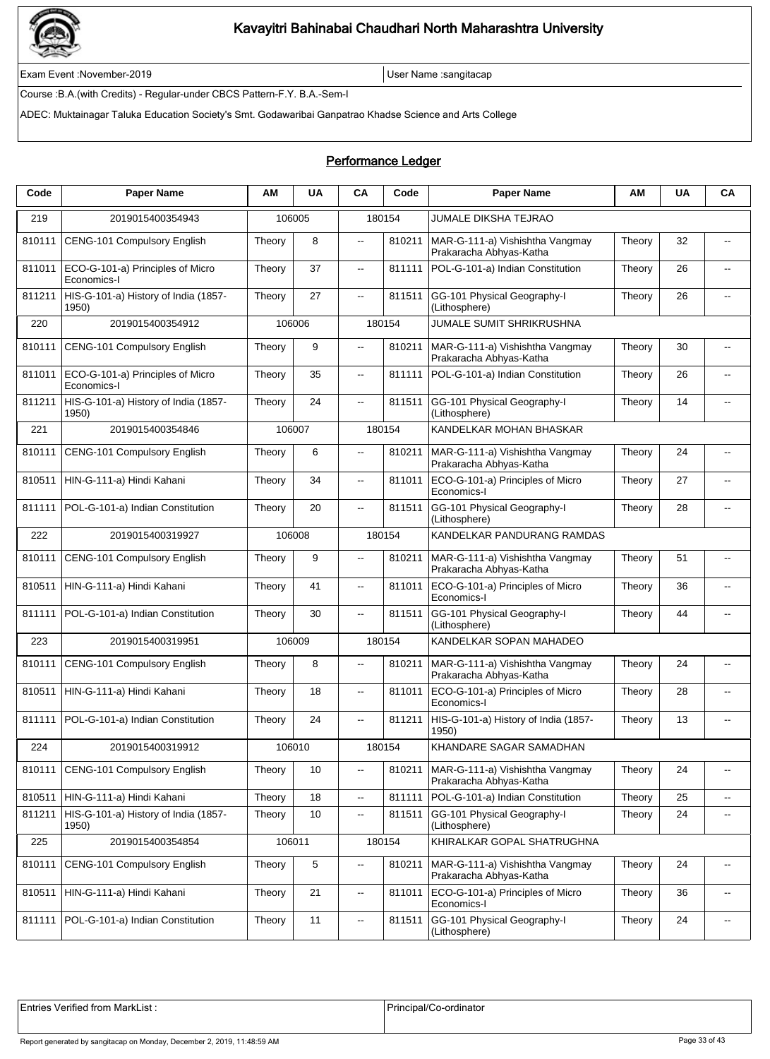

Exam Event :November-2019 User Name :sangitacap

Course :B.A.(with Credits) - Regular-under CBCS Pattern-F.Y. B.A.-Sem-I

ADEC: Muktainagar Taluka Education Society's Smt. Godawaribai Ganpatrao Khadse Science and Arts College

### Performance Ledger

| Code   | <b>Paper Name</b>                               | ΑM     | <b>UA</b> | <b>CA</b>                | Code   | <b>Paper Name</b>                                          | ΑM     | <b>UA</b> | CA                       |
|--------|-------------------------------------------------|--------|-----------|--------------------------|--------|------------------------------------------------------------|--------|-----------|--------------------------|
| 219    | 2019015400354943                                |        | 106005    |                          | 180154 | JUMALE DIKSHA TEJRAO                                       |        |           |                          |
| 810111 | CENG-101 Compulsory English                     | Theory | 8         | $\overline{\phantom{a}}$ | 810211 | MAR-G-111-a) Vishishtha Vangmay<br>Prakaracha Abhyas-Katha | Theory | 32        | $\overline{\phantom{a}}$ |
| 811011 | ECO-G-101-a) Principles of Micro<br>Economics-I | Theory | 37        | $\overline{\phantom{a}}$ | 811111 | POL-G-101-a) Indian Constitution                           | Theory | 26        | $-$                      |
| 811211 | HIS-G-101-a) History of India (1857-<br>1950)   | Theory | 27        | ц.                       | 811511 | GG-101 Physical Geography-I<br>(Lithosphere)               | Theory | 26        | $\overline{\phantom{a}}$ |
| 220    | 2019015400354912                                |        | 106006    |                          | 180154 | <b>JUMALE SUMIT SHRIKRUSHNA</b>                            |        |           |                          |
| 810111 | CENG-101 Compulsory English                     | Theory | 9         | $\overline{a}$           | 810211 | MAR-G-111-a) Vishishtha Vangmay<br>Prakaracha Abhyas-Katha | Theory | 30        | $\overline{\phantom{a}}$ |
| 811011 | ECO-G-101-a) Principles of Micro<br>Economics-I | Theory | 35        | $\overline{\phantom{a}}$ | 811111 | POL-G-101-a) Indian Constitution                           | Theory | 26        | $-$                      |
| 811211 | HIS-G-101-a) History of India (1857-<br>1950)   | Theory | 24        | ц.                       | 811511 | GG-101 Physical Geography-I<br>(Lithosphere)               | Theory | 14        | $\overline{\phantom{a}}$ |
| 221    | 2019015400354846                                |        | 106007    |                          | 180154 | KANDELKAR MOHAN BHASKAR                                    |        |           |                          |
| 810111 | CENG-101 Compulsory English                     | Theory | 6         | $\overline{a}$           | 810211 | MAR-G-111-a) Vishishtha Vangmay<br>Prakaracha Abhyas-Katha | Theory | 24        | $\overline{\phantom{a}}$ |
| 810511 | HIN-G-111-a) Hindi Kahani                       | Theory | 34        | $\overline{\phantom{a}}$ | 811011 | ECO-G-101-a) Principles of Micro<br>Economics-I            | Theory | 27        | $\overline{a}$           |
| 811111 | POL-G-101-a) Indian Constitution                | Theory | 20        | $\overline{\phantom{a}}$ | 811511 | GG-101 Physical Geography-I<br>(Lithosphere)               | Theory | 28        | $\overline{a}$           |
| 222    | 2019015400319927                                |        | 106008    |                          | 180154 | KANDELKAR PANDURANG RAMDAS                                 |        |           |                          |
| 810111 | CENG-101 Compulsory English                     | Theory | 9         | $\overline{\phantom{a}}$ | 810211 | MAR-G-111-a) Vishishtha Vangmay<br>Prakaracha Abhyas-Katha | Theory | 51        | $\overline{\phantom{a}}$ |
| 810511 | HIN-G-111-a) Hindi Kahani                       | Theory | 41        | $\overline{\phantom{a}}$ | 811011 | ECO-G-101-a) Principles of Micro<br>Economics-I            | Theory | 36        | $-$                      |
| 811111 | POL-G-101-a) Indian Constitution                | Theory | 30        | $\overline{\phantom{a}}$ | 811511 | GG-101 Physical Geography-I<br>(Lithosphere)               | Theory | 44        | $\overline{\phantom{a}}$ |
| 223    | 2019015400319951                                |        | 106009    |                          | 180154 | KANDELKAR SOPAN MAHADEO                                    |        |           |                          |
| 810111 | CENG-101 Compulsory English                     | Theory | 8         | $\overline{\phantom{a}}$ | 810211 | MAR-G-111-a) Vishishtha Vangmay<br>Prakaracha Abhyas-Katha | Theory | 24        | $\overline{\phantom{a}}$ |
| 810511 | HIN-G-111-a) Hindi Kahani                       | Theory | 18        | $\overline{\phantom{a}}$ | 811011 | ECO-G-101-a) Principles of Micro<br>Economics-I            | Theory | 28        | $\overline{a}$           |
| 811111 | POL-G-101-a) Indian Constitution                | Theory | 24        | $\overline{\phantom{a}}$ | 811211 | HIS-G-101-a) History of India (1857-<br>1950)              | Theory | 13        | $-$                      |
| 224    | 2019015400319912                                |        | 106010    |                          | 180154 | KHANDARE SAGAR SAMADHAN                                    |        |           |                          |
| 810111 | CENG-101 Compulsory English                     | Theory | 10        | $\overline{\phantom{a}}$ | 810211 | MAR-G-111-a) Vishishtha Vangmay<br>Prakaracha Abhyas-Katha | Theory | 24        | $\overline{\phantom{a}}$ |
| 810511 | HIN-G-111-a) Hindi Kahani                       | Theory | 18        | $\overline{\phantom{a}}$ | 811111 | POL-G-101-a) Indian Constitution                           | Theory | 25        | $\overline{\phantom{a}}$ |
| 811211 | HIS-G-101-a) History of India (1857-<br>1950)   | Theory | 10        | $\overline{\phantom{a}}$ | 811511 | GG-101 Physical Geography-I<br>(Lithosphere)               | Theory | 24        | $\overline{\phantom{a}}$ |
| 225    | 2019015400354854                                | 106011 |           |                          | 180154 | KHIRALKAR GOPAL SHATRUGHNA                                 |        |           |                          |
| 810111 | CENG-101 Compulsory English                     | Theory | 5         | $\overline{\phantom{a}}$ | 810211 | MAR-G-111-a) Vishishtha Vangmay<br>Prakaracha Abhyas-Katha | Theory | 24        | $\overline{\phantom{a}}$ |
| 810511 | HIN-G-111-a) Hindi Kahani                       | Theory | 21        | ц.                       | 811011 | ECO-G-101-a) Principles of Micro<br>Economics-I            | Theory | 36        | $\overline{\phantom{a}}$ |
| 811111 | POL-G-101-a) Indian Constitution                | Theory | 11        | $\overline{\phantom{a}}$ | 811511 | GG-101 Physical Geography-I<br>(Lithosphere)               | Theory | 24        | $\overline{\phantom{a}}$ |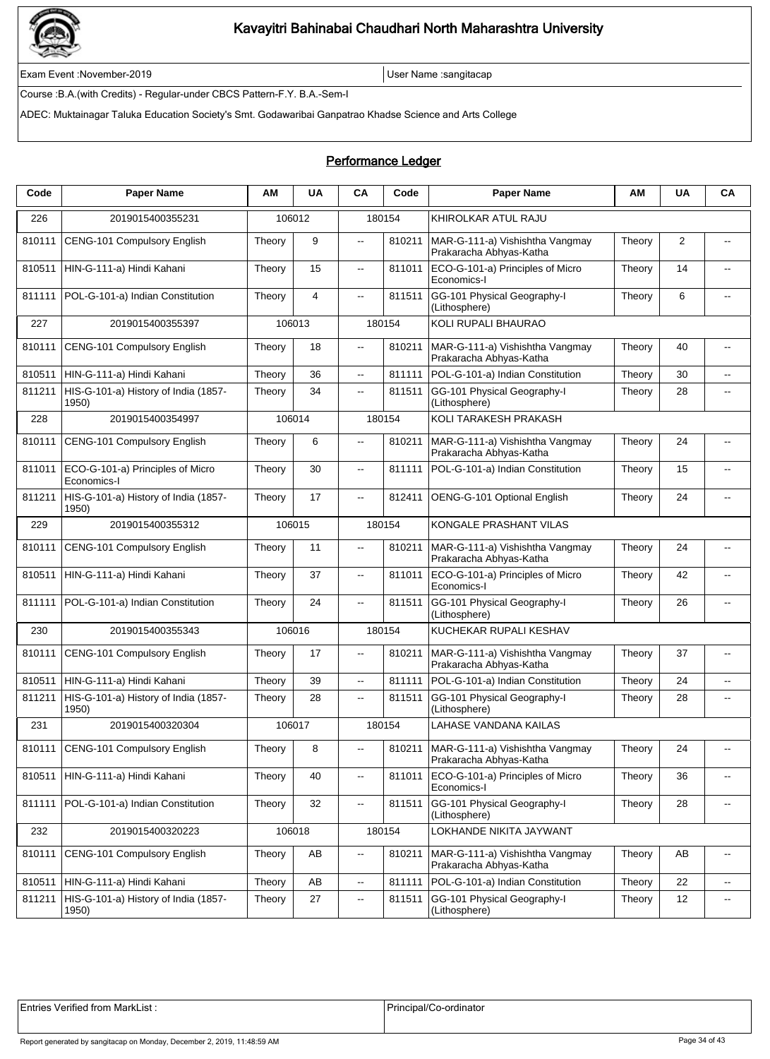

Exam Event :November-2019 User Name :sangitacap

Course :B.A.(with Credits) - Regular-under CBCS Pattern-F.Y. B.A.-Sem-I

ADEC: Muktainagar Taluka Education Society's Smt. Godawaribai Ganpatrao Khadse Science and Arts College

### Performance Ledger

| Code   | <b>Paper Name</b>                               | АM     | <b>UA</b>      | <b>CA</b>                | Code   | <b>Paper Name</b>                                          | ΑМ     | <b>UA</b> | CA                          |
|--------|-------------------------------------------------|--------|----------------|--------------------------|--------|------------------------------------------------------------|--------|-----------|-----------------------------|
| 226    | 2019015400355231                                |        | 106012         |                          | 180154 | KHIROLKAR ATUL RAJU                                        |        |           |                             |
| 810111 | CENG-101 Compulsory English                     | Theory | 9              | $\overline{\phantom{a}}$ | 810211 | MAR-G-111-a) Vishishtha Vangmay<br>Prakaracha Abhyas-Katha | Theory | 2         | $\overline{\phantom{a}}$    |
| 810511 | HIN-G-111-a) Hindi Kahani                       | Theory | 15             | $\overline{\phantom{a}}$ | 811011 | ECO-G-101-a) Principles of Micro<br>Economics-I            | Theory | 14        | $-$                         |
| 811111 | POL-G-101-a) Indian Constitution                | Theory | $\overline{4}$ | щ.                       | 811511 | GG-101 Physical Geography-I<br>(Lithosphere)               | Theory | 6         | $\overline{\phantom{a}}$    |
| 227    | 2019015400355397                                |        | 106013         |                          | 180154 | KOLI RUPALI BHAURAO                                        |        |           |                             |
| 810111 | CENG-101 Compulsory English                     | Theory | 18             | $\overline{\phantom{a}}$ | 810211 | MAR-G-111-a) Vishishtha Vangmay<br>Prakaracha Abhyas-Katha | Theory | 40        | $\overline{\phantom{a}}$    |
| 810511 | HIN-G-111-a) Hindi Kahani                       | Theory | 36             | Ξ.                       | 811111 | POL-G-101-a) Indian Constitution                           | Theory | 30        | --                          |
| 811211 | HIS-G-101-a) History of India (1857-<br>1950)   | Theory | 34             | $\overline{\phantom{a}}$ | 811511 | GG-101 Physical Geography-I<br>(Lithosphere)               | Theory | 28        | --                          |
| 228    | 2019015400354997                                |        | 106014         |                          | 180154 | KOLI TARAKESH PRAKASH                                      |        |           |                             |
| 810111 | CENG-101 Compulsory English                     | Theory | 6              | $\overline{a}$           | 810211 | MAR-G-111-a) Vishishtha Vangmay<br>Prakaracha Abhyas-Katha | Theory | 24        | --                          |
| 811011 | ECO-G-101-a) Principles of Micro<br>Economics-I | Theory | 30             | $\overline{\phantom{a}}$ | 811111 | POL-G-101-a) Indian Constitution                           | Theory | 15        | $\overline{\phantom{a}}$    |
| 811211 | HIS-G-101-a) History of India (1857-<br>1950)   | Theory | 17             | Ξ.                       | 812411 | OENG-G-101 Optional English                                | Theory | 24        | $\overline{\phantom{a}}$    |
| 229    | 2019015400355312                                |        | 106015         |                          | 180154 | KONGALE PRASHANT VILAS                                     |        |           |                             |
| 810111 | CENG-101 Compulsory English                     | Theory | 11             | $\overline{a}$           | 810211 | MAR-G-111-a) Vishishtha Vangmay<br>Prakaracha Abhyas-Katha | Theory | 24        | $\overline{\phantom{a}}$    |
| 810511 | HIN-G-111-a) Hindi Kahani                       | Theory | 37             | 44                       | 811011 | ECO-G-101-a) Principles of Micro<br>Economics-I            | Theory | 42        | $\overline{a}$              |
| 811111 | POL-G-101-a) Indian Constitution                | Theory | 24             | Ξ.                       | 811511 | GG-101 Physical Geography-I<br>(Lithosphere)               | Theory | 26        | $\overline{\phantom{a}}$    |
| 230    | 2019015400355343                                |        | 106016         |                          | 180154 | KUCHEKAR RUPALI KESHAV                                     |        |           |                             |
| 810111 | CENG-101 Compulsory English                     | Theory | 17             | $\overline{\phantom{a}}$ | 810211 | MAR-G-111-a) Vishishtha Vangmay<br>Prakaracha Abhyas-Katha | Theory | 37        | --                          |
| 810511 | HIN-G-111-a) Hindi Kahani                       | Theory | 39             | Ξ.                       | 811111 | POL-G-101-a) Indian Constitution                           | Theory | 24        | $\overline{\phantom{a}}$    |
| 811211 | HIS-G-101-a) History of India (1857-<br>1950)   | Theory | 28             | $\overline{\phantom{a}}$ | 811511 | GG-101 Physical Geography-I<br>(Lithosphere)               | Theory | 28        | $-$                         |
| 231    | 2019015400320304                                |        | 106017         |                          | 180154 | LAHASE VANDANA KAILAS                                      |        |           |                             |
| 810111 | CENG-101 Compulsory English                     | Theory | 8              |                          | 810211 | MAR-G-111-a) Vishishtha Vangmay<br>Prakaracha Abhyas-Katha | Theory | 24        |                             |
| 810511 | HIN-G-111-a) Hindi Kahani                       | Theory | 40             | ц,                       | 811011 | ECO-G-101-a) Principles of Micro<br>Economics-I            | Theory | 36        | ۰.                          |
| 811111 | POL-G-101-a) Indian Constitution                | Theory | 32             | щ.                       | 811511 | GG-101 Physical Geography-I<br>(Lithosphere)               | Theory | 28        | $\overline{\phantom{a}}$    |
| 232    | 2019015400320223                                |        | 106018         |                          | 180154 | LOKHANDE NIKITA JAYWANT                                    |        |           |                             |
| 810111 | CENG-101 Compulsory English                     | Theory | AB             | .,                       | 810211 | MAR-G-111-a) Vishishtha Vangmay<br>Prakaracha Abhyas-Katha | Theory | AB        | $\overline{\phantom{a}}$    |
| 810511 | HIN-G-111-a) Hindi Kahani                       | Theory | AB             | Ξ.                       | 811111 | POL-G-101-a) Indian Constitution                           | Theory | 22        | $\mathcal{L}_{\mathcal{L}}$ |
| 811211 | HIS-G-101-a) History of India (1857-<br>1950)   | Theory | 27             | щ.                       | 811511 | GG-101 Physical Geography-I<br>(Lithosphere)               | Theory | 12        | $\overline{\phantom{a}}$    |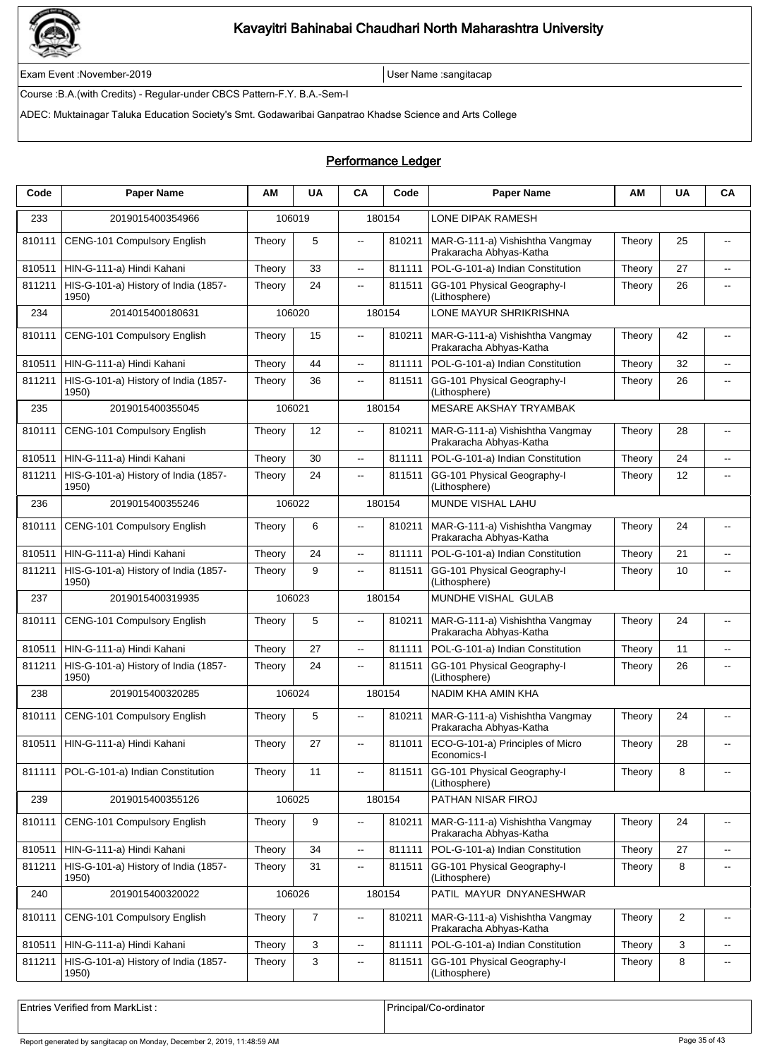

Exam Event :November-2019 User Name :sangitacap

Course :B.A.(with Credits) - Regular-under CBCS Pattern-F.Y. B.A.-Sem-I

ADEC: Muktainagar Taluka Education Society's Smt. Godawaribai Ganpatrao Khadse Science and Arts College

### Performance Ledger

| Code   | <b>Paper Name</b>                             | ΑM     | <b>UA</b>      | CA                       | Code   | <b>Paper Name</b>                                          | ΑM     | <b>UA</b>      | CA                          |
|--------|-----------------------------------------------|--------|----------------|--------------------------|--------|------------------------------------------------------------|--------|----------------|-----------------------------|
| 233    | 2019015400354966                              |        | 106019         |                          | 180154 | LONE DIPAK RAMESH                                          |        |                |                             |
| 810111 | CENG-101 Compulsory English                   | Theory | 5              | $\overline{\phantom{a}}$ | 810211 | MAR-G-111-a) Vishishtha Vangmay<br>Prakaracha Abhyas-Katha | Theory | 25             | $\overline{a}$              |
| 810511 | HIN-G-111-a) Hindi Kahani                     | Theory | 33             | ц.                       | 811111 | POL-G-101-a) Indian Constitution                           | Theory | 27             | $\overline{\phantom{a}}$    |
| 811211 | HIS-G-101-a) History of India (1857-<br>1950) | Theory | 24             | $\overline{\phantom{a}}$ | 811511 | GG-101 Physical Geography-I<br>(Lithosphere)               | Theory | 26             | $\overline{\phantom{a}}$    |
| 234    | 2014015400180631                              |        | 106020         |                          | 180154 | LONE MAYUR SHRIKRISHNA                                     |        |                |                             |
| 810111 | <b>CENG-101 Compulsory English</b>            | Theory | 15             | $\overline{\phantom{a}}$ | 810211 | MAR-G-111-a) Vishishtha Vangmay<br>Prakaracha Abhyas-Katha | Theory | 42             | $\overline{\phantom{a}}$    |
| 810511 | HIN-G-111-a) Hindi Kahani                     | Theory | 44             | $\sim$                   | 811111 | POL-G-101-a) Indian Constitution                           | Theory | 32             | $\overline{\phantom{a}}$    |
| 811211 | HIS-G-101-a) History of India (1857-<br>1950) | Theory | 36             | $\overline{a}$           | 811511 | GG-101 Physical Geography-I<br>(Lithosphere)               | Theory | 26             | $\overline{a}$              |
| 235    | 2019015400355045                              | 106021 |                |                          | 180154 | <b>MESARE AKSHAY TRYAMBAK</b>                              |        |                |                             |
| 810111 | CENG-101 Compulsory English                   | Theory | 12             | $\overline{\phantom{a}}$ | 810211 | MAR-G-111-a) Vishishtha Vangmay<br>Prakaracha Abhyas-Katha | Theory | 28             | $-$                         |
| 810511 | HIN-G-111-a) Hindi Kahani                     | Theory | 30             | цц.                      | 811111 | POL-G-101-a) Indian Constitution                           | Theory | 24             | Ξ.                          |
| 811211 | HIS-G-101-a) History of India (1857-<br>1950) | Theory | 24             | ц.                       | 811511 | GG-101 Physical Geography-I<br>(Lithosphere)               | Theory | 12             | $\overline{\phantom{a}}$    |
| 236    | 2019015400355246                              |        | 106022         |                          | 180154 | MUNDE VISHAL LAHU                                          |        |                |                             |
| 810111 | CENG-101 Compulsory English                   | Theory | 6              | $\overline{a}$           | 810211 | MAR-G-111-a) Vishishtha Vangmay<br>Prakaracha Abhyas-Katha | Theory | 24             | $\overline{\phantom{a}}$    |
| 810511 | HIN-G-111-a) Hindi Kahani                     | Theory | 24             | $\overline{\phantom{a}}$ | 811111 | POL-G-101-a) Indian Constitution                           | Theory | 21             | $\overline{\phantom{a}}$    |
| 811211 | HIS-G-101-a) History of India (1857-<br>1950) | Theory | 9              | $\overline{\phantom{a}}$ | 811511 | GG-101 Physical Geography-I<br>(Lithosphere)               | Theory | 10             | $\overline{\phantom{a}}$    |
| 237    | 2019015400319935                              |        | 106023         |                          | 180154 | MUNDHE VISHAL GULAB                                        |        |                |                             |
| 810111 | CENG-101 Compulsory English                   | Theory | 5              | $\overline{a}$           | 810211 | MAR-G-111-a) Vishishtha Vangmay<br>Prakaracha Abhyas-Katha | Theory | 24             | $\overline{a}$              |
| 810511 | HIN-G-111-a) Hindi Kahani                     | Theory | 27             | $\ddotsc$                | 811111 | POL-G-101-a) Indian Constitution                           | Theory | 11             | $\overline{\phantom{a}}$    |
| 811211 | HIS-G-101-a) History of India (1857-<br>1950) | Theory | 24             | $\overline{a}$           | 811511 | GG-101 Physical Geography-I<br>(Lithosphere)               | Theory | 26             | $\overline{a}$              |
| 238    | 2019015400320285                              |        | 106024         |                          | 180154 | NADIM KHA AMIN KHA                                         |        |                |                             |
| 810111 | CENG-101 Compulsory English                   | Theory | 5              | $\overline{a}$           | 810211 | MAR-G-111-a) Vishishtha Vangmay<br>Prakaracha Abhyas-Katha | Theory | 24             |                             |
|        | 810511   HIN-G-111-a) Hindi Kahani            | Theory | 27             | $\overline{\phantom{a}}$ | 811011 | ECO-G-101-a) Principles of Micro<br>Economics-I            | Theory | 28             |                             |
| 811111 | POL-G-101-a) Indian Constitution              | Theory | 11             | $\ddotsc$                | 811511 | GG-101 Physical Geography-I<br>(Lithosphere)               | Theory | 8              | $\overline{a}$              |
| 239    | 2019015400355126                              |        | 106025         |                          | 180154 | PATHAN NISAR FIROJ                                         |        |                |                             |
| 810111 | CENG-101 Compulsory English                   | Theory | 9              | $\overline{\phantom{a}}$ | 810211 | MAR-G-111-a) Vishishtha Vangmay<br>Prakaracha Abhyas-Katha | Theory | 24             | $\overline{\phantom{a}}$    |
| 810511 | HIN-G-111-a) Hindi Kahani                     | Theory | 34             | $\overline{\phantom{a}}$ | 811111 | POL-G-101-a) Indian Constitution                           | Theory | 27             | $\mathcal{L}_{\mathcal{F}}$ |
| 811211 | HIS-G-101-a) History of India (1857-<br>1950) | Theory | 31             | $\overline{\phantom{a}}$ | 811511 | GG-101 Physical Geography-I<br>(Lithosphere)               | Theory | 8              | $\overline{\phantom{a}}$    |
| 240    | 2019015400320022                              |        | 106026         |                          | 180154 | PATIL MAYUR DNYANESHWAR                                    |        |                |                             |
| 810111 | CENG-101 Compulsory English                   | Theory | $\overline{7}$ | $\overline{\phantom{a}}$ | 810211 | MAR-G-111-a) Vishishtha Vangmay<br>Prakaracha Abhyas-Katha | Theory | $\overline{c}$ | $\overline{\phantom{a}}$    |
| 810511 | HIN-G-111-a) Hindi Kahani                     | Theory | 3              | $\overline{\phantom{a}}$ | 811111 | POL-G-101-a) Indian Constitution                           | Theory | 3              | $\overline{\phantom{a}}$    |
| 811211 | HIS-G-101-a) History of India (1857-<br>1950) | Theory | 3              | $\overline{\phantom{a}}$ | 811511 | GG-101 Physical Geography-I<br>(Lithosphere)               | Theory | 8              | $\overline{\phantom{a}}$    |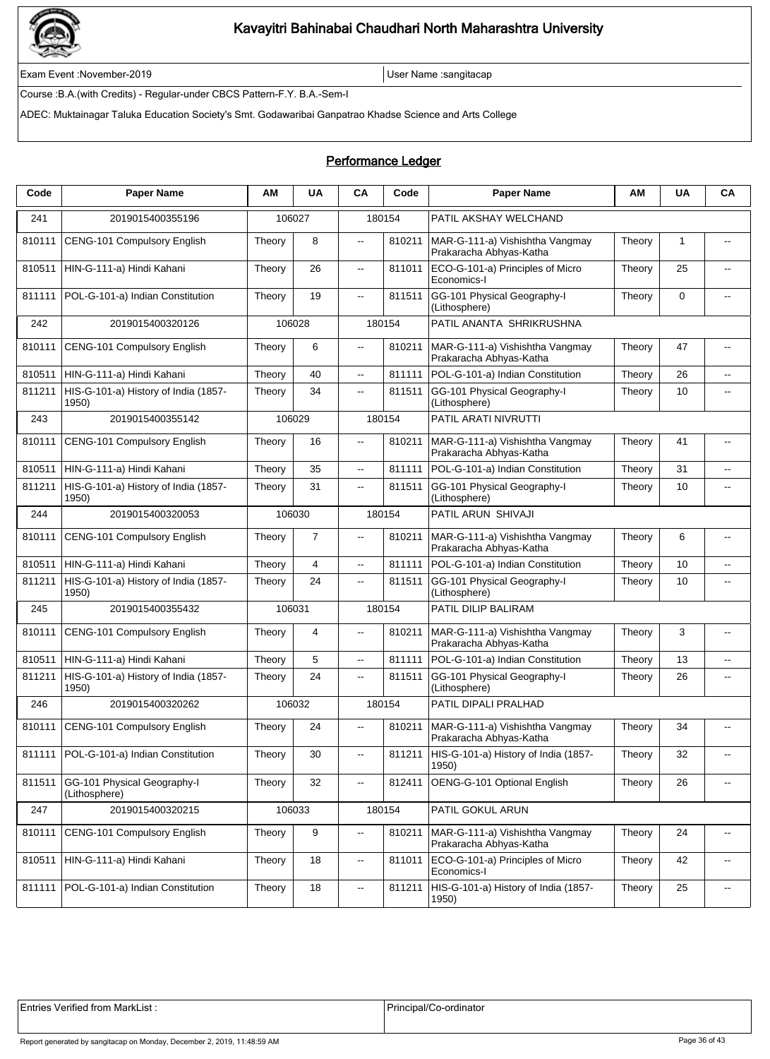

Exam Event :November-2019 User Name :sangitacap

Course :B.A.(with Credits) - Regular-under CBCS Pattern-F.Y. B.A.-Sem-I

ADEC: Muktainagar Taluka Education Society's Smt. Godawaribai Ganpatrao Khadse Science and Arts College

### Performance Ledger

| Code   | <b>Paper Name</b>                             | ΑM     | <b>UA</b>      | CA                       | Code   | <b>Paper Name</b>                                          | ΑМ     | UA           | CA                       |  |  |
|--------|-----------------------------------------------|--------|----------------|--------------------------|--------|------------------------------------------------------------|--------|--------------|--------------------------|--|--|
| 241    | 2019015400355196                              | 106027 |                |                          | 180154 | PATIL AKSHAY WELCHAND                                      |        |              |                          |  |  |
| 810111 | CENG-101 Compulsory English                   | Theory | 8              | $\overline{\phantom{a}}$ | 810211 | MAR-G-111-a) Vishishtha Vangmay<br>Prakaracha Abhyas-Katha | Theory | $\mathbf{1}$ | $\overline{\phantom{a}}$ |  |  |
| 810511 | HIN-G-111-a) Hindi Kahani                     | Theory | 26             | $\overline{\phantom{a}}$ | 811011 | ECO-G-101-a) Principles of Micro<br>Economics-I            | Theory | 25           | $\overline{a}$           |  |  |
| 811111 | POL-G-101-a) Indian Constitution              | Theory | 19             | $\overline{\phantom{a}}$ | 811511 | GG-101 Physical Geography-I<br>(Lithosphere)               | Theory | $\mathbf 0$  |                          |  |  |
| 242    | 2019015400320126                              |        | 106028         |                          | 180154 | PATIL ANANTA SHRIKRUSHNA                                   |        |              |                          |  |  |
| 810111 | CENG-101 Compulsory English                   | Theory | 6              | $\overline{\phantom{a}}$ | 810211 | MAR-G-111-a) Vishishtha Vangmay<br>Prakaracha Abhyas-Katha | Theory | 47           | $\overline{\phantom{a}}$ |  |  |
| 810511 | HIN-G-111-a) Hindi Kahani                     | Theory | 40             | $\overline{\phantom{a}}$ | 811111 | POL-G-101-a) Indian Constitution                           | Theory | 26           | $\overline{\phantom{a}}$ |  |  |
| 811211 | HIS-G-101-a) History of India (1857-<br>1950) | Theory | 34             | 44                       | 811511 | GG-101 Physical Geography-I<br>(Lithosphere)               | Theory | 10           | $\overline{\phantom{a}}$ |  |  |
| 243    | 2019015400355142                              |        | 106029         | 180154                   |        | PATIL ARATI NIVRUTTI                                       |        |              |                          |  |  |
| 810111 | CENG-101 Compulsory English                   | Theory | 16             | Щ.                       | 810211 | MAR-G-111-a) Vishishtha Vangmay<br>Prakaracha Abhyas-Katha | Theory | 41           | $-$                      |  |  |
| 810511 | HIN-G-111-a) Hindi Kahani                     | Theory | 35             | Ξ.                       | 811111 | POL-G-101-a) Indian Constitution                           | Theory | 31           | --                       |  |  |
| 811211 | HIS-G-101-a) History of India (1857-<br>1950) | Theory | 31             | цü.                      | 811511 | GG-101 Physical Geography-I<br>(Lithosphere)               | Theory | 10           | $-$                      |  |  |
| 244    | 2019015400320053                              | 106030 |                |                          | 180154 | PATIL ARUN SHIVAJI                                         |        |              |                          |  |  |
| 810111 | CENG-101 Compulsory English                   | Theory | $\overline{7}$ | --                       | 810211 | MAR-G-111-a) Vishishtha Vangmay<br>Prakaracha Abhyas-Katha | Theory | 6            | --                       |  |  |
| 810511 | HIN-G-111-a) Hindi Kahani                     | Theory | 4              | Ξ.                       | 811111 | POL-G-101-a) Indian Constitution                           | Theory | 10           | $\overline{\phantom{a}}$ |  |  |
| 811211 | HIS-G-101-a) History of India (1857-<br>1950) | Theory | 24             | $\overline{\phantom{a}}$ | 811511 | GG-101 Physical Geography-I<br>(Lithosphere)               | Theory | 10           | $-$                      |  |  |
| 245    | 2019015400355432                              |        | 106031         | 180154                   |        | PATIL DILIP BALIRAM                                        |        |              |                          |  |  |
| 810111 | CENG-101 Compulsory English                   | Theory | 4              | Ξ.                       | 810211 | MAR-G-111-a) Vishishtha Vangmay<br>Prakaracha Abhyas-Katha | Theory | 3            | --                       |  |  |
| 810511 | HIN-G-111-a) Hindi Kahani                     | Theory | 5              | цü.                      | 811111 | POL-G-101-a) Indian Constitution                           | Theory | 13           | $\overline{a}$           |  |  |
| 811211 | HIS-G-101-a) History of India (1857-<br>1950) | Theory | 24             | --                       | 811511 | GG-101 Physical Geography-I<br>(Lithosphere)               | Theory | 26           | --                       |  |  |
| 246    | 2019015400320262                              |        | 106032         |                          | 180154 | PATIL DIPALI PRALHAD                                       |        |              |                          |  |  |
| 810111 | CENG-101 Compulsory English                   | Theory | 24             | $\sim$                   | 810211 | MAR-G-111-a) Vishishtha Vangmay<br>Prakaracha Abhyas-Katha | Theory | 34           | $-$                      |  |  |
| 811111 | POL-G-101-a) Indian Constitution              | Theory | 30             | $\overline{\phantom{a}}$ | 811211 | HIS-G-101-a) History of India (1857-<br>1950)              | Theory | 32           | $\overline{\phantom{a}}$ |  |  |
| 811511 | GG-101 Physical Geography-I<br>(Lithosphere)  | Theory | 32             | ٠.                       | 812411 | OENG-G-101 Optional English                                | Theory | 26           | ۰.                       |  |  |
| 247    | 2019015400320215                              |        | 106033         |                          | 180154 | PATIL GOKUL ARUN                                           |        |              |                          |  |  |
| 810111 | CENG-101 Compulsory English                   | Theory | 9              | $\overline{\phantom{a}}$ | 810211 | MAR-G-111-a) Vishishtha Vangmay<br>Prakaracha Abhyas-Katha | Theory | 24           | $\overline{\phantom{a}}$ |  |  |
| 810511 | HIN-G-111-a) Hindi Kahani                     | Theory | 18             | щ.                       | 811011 | ECO-G-101-a) Principles of Micro<br>Economics-I            | Theory | 42           | $\overline{\phantom{a}}$ |  |  |
| 811111 | POL-G-101-a) Indian Constitution              | Theory | 18             | --                       | 811211 | HIS-G-101-a) History of India (1857-<br>1950)              | Theory | 25           | $\overline{\phantom{a}}$ |  |  |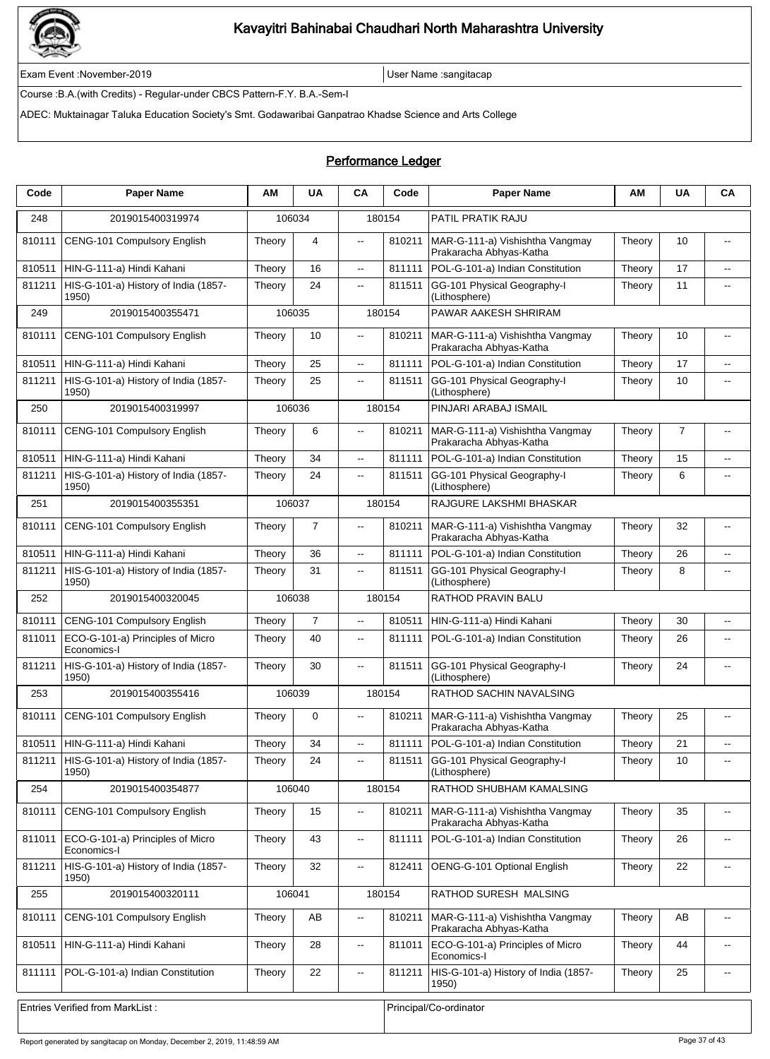

Exam Event :November-2019 User Name :sangitacap

Course :B.A.(with Credits) - Regular-under CBCS Pattern-F.Y. B.A.-Sem-I

ADEC: Muktainagar Taluka Education Society's Smt. Godawaribai Ganpatrao Khadse Science and Arts College

| Code   | <b>Paper Name</b>                               | ΑM                     | <b>UA</b>      | CA                       | Code   | <b>Paper Name</b>                                          | ΑМ     | <b>UA</b>      | CA                       |  |  |
|--------|-------------------------------------------------|------------------------|----------------|--------------------------|--------|------------------------------------------------------------|--------|----------------|--------------------------|--|--|
| 248    | 2019015400319974                                |                        | 106034         |                          | 180154 | PATIL PRATIK RAJU                                          |        |                |                          |  |  |
| 810111 | CENG-101 Compulsory English                     | Theory                 | 4              | $\overline{\phantom{a}}$ | 810211 | MAR-G-111-a) Vishishtha Vangmay<br>Prakaracha Abhyas-Katha | Theory | 10             | --                       |  |  |
| 810511 | HIN-G-111-a) Hindi Kahani                       | Theory                 | 16             | ц.                       | 811111 | POL-G-101-a) Indian Constitution                           | Theory | 17             | $\overline{a}$           |  |  |
| 811211 | HIS-G-101-a) History of India (1857-<br>1950)   | Theory                 | 24             | $\overline{\phantom{a}}$ | 811511 | GG-101 Physical Geography-I<br>(Lithosphere)               | Theory | 11             | $\overline{\phantom{a}}$ |  |  |
| 249    | 2019015400355471                                |                        | 106035         |                          | 180154 | PAWAR AAKESH SHRIRAM                                       |        |                |                          |  |  |
| 810111 | CENG-101 Compulsory English                     | Theory                 | 10             | $\overline{\phantom{a}}$ | 810211 | MAR-G-111-a) Vishishtha Vangmay<br>Prakaracha Abhyas-Katha | Theory | 10             | --                       |  |  |
| 810511 | HIN-G-111-a) Hindi Kahani                       | Theory                 | 25             | $\overline{a}$           | 811111 | POL-G-101-a) Indian Constitution                           | Theory | 17             | $-$                      |  |  |
| 811211 | HIS-G-101-a) History of India (1857-<br>1950)   | Theory                 | 25             | $\overline{\phantom{a}}$ | 811511 | GG-101 Physical Geography-I<br>(Lithosphere)               | Theory | 10             | --                       |  |  |
| 250    | 2019015400319997                                |                        | 106036         |                          | 180154 | PINJARI ARABAJ ISMAIL                                      |        |                |                          |  |  |
| 810111 | CENG-101 Compulsory English                     | Theory                 | 6              | $\ddotsc$                | 810211 | MAR-G-111-a) Vishishtha Vangmay<br>Prakaracha Abhyas-Katha | Theory | $\overline{7}$ | --                       |  |  |
| 810511 | HIN-G-111-a) Hindi Kahani                       | Theory                 | 34             | ц.                       | 811111 | POL-G-101-a) Indian Constitution                           | Theory | 15             | --                       |  |  |
| 811211 | HIS-G-101-a) History of India (1857-<br>1950)   | Theory                 | 24             | $\overline{\phantom{a}}$ | 811511 | GG-101 Physical Geography-I<br>(Lithosphere)               | Theory | 6              | $\overline{\phantom{a}}$ |  |  |
| 251    | 2019015400355351                                | 106037                 |                |                          | 180154 | RAJGURE LAKSHMI BHASKAR                                    |        |                |                          |  |  |
| 810111 | CENG-101 Compulsory English                     | Theory                 | $\overline{7}$ | $\overline{\phantom{a}}$ | 810211 | MAR-G-111-a) Vishishtha Vangmay<br>Prakaracha Abhyas-Katha | Theory | 32             | $\overline{\phantom{a}}$ |  |  |
| 810511 | HIN-G-111-a) Hindi Kahani                       | Theory                 | 36             | $\overline{\phantom{a}}$ | 811111 | POL-G-101-a) Indian Constitution                           | Theory | 26             | $\overline{\phantom{a}}$ |  |  |
| 811211 | HIS-G-101-a) History of India (1857-<br>1950)   | Theory                 | 31             | $\overline{\phantom{a}}$ | 811511 | GG-101 Physical Geography-I<br>(Lithosphere)               | Theory | 8              | $\overline{\phantom{a}}$ |  |  |
| 252    | 2019015400320045                                | 106038                 |                | 180154                   |        | RATHOD PRAVIN BALU                                         |        |                |                          |  |  |
| 810111 | CENG-101 Compulsory English                     | Theory                 | $\overline{7}$ | $\overline{\phantom{a}}$ | 810511 | HIN-G-111-a) Hindi Kahani                                  | Theory | 30             | --                       |  |  |
| 811011 | ECO-G-101-a) Principles of Micro<br>Economics-I | Theory                 | 40             | $\overline{\phantom{a}}$ | 811111 | POL-G-101-a) Indian Constitution                           | Theory | 26             | --                       |  |  |
| 811211 | HIS-G-101-a) History of India (1857-<br>1950)   | Theory                 | 30             | $\overline{a}$           | 811511 | GG-101 Physical Geography-I<br>(Lithosphere)               | Theory | 24             |                          |  |  |
| 253    | 2019015400355416                                | 106039                 |                | 180154                   |        | RATHOD SACHIN NAVALSING                                    |        |                |                          |  |  |
| 810111 | CENG-101 Compulsory English                     | Theory                 | $\mathbf 0$    | $\overline{a}$           | 810211 | MAR-G-111-a) Vishishtha Vangmay<br>Prakaracha Abhyas-Katha | Theory | 25             |                          |  |  |
| 810511 | HIN-G-111-a) Hindi Kahani                       | Theory                 | 34             | $\overline{\phantom{a}}$ | 811111 | POL-G-101-a) Indian Constitution                           | Theory | 21             |                          |  |  |
| 811211 | HIS-G-101-a) History of India (1857-<br>1950)   | Theory                 | 24             | $\overline{\phantom{a}}$ | 811511 | GG-101 Physical Geography-I<br>(Lithosphere)               | Theory | 10             | $\overline{\phantom{a}}$ |  |  |
| 254    | 2019015400354877                                |                        | 106040         |                          | 180154 | RATHOD SHUBHAM KAMALSING                                   |        |                |                          |  |  |
| 810111 | CENG-101 Compulsory English                     | Theory                 | 15             | $\overline{\phantom{a}}$ | 810211 | MAR-G-111-a) Vishishtha Vangmay<br>Prakaracha Abhyas-Katha | Theory | 35             | -−                       |  |  |
| 811011 | ECO-G-101-a) Principles of Micro<br>Economics-I | Theory                 | 43             | ц.                       | 811111 | POL-G-101-a) Indian Constitution                           | Theory | 26             |                          |  |  |
| 811211 | HIS-G-101-a) History of India (1857-<br>1950)   | Theory                 | 32             | $\overline{\phantom{a}}$ | 812411 | OENG-G-101 Optional English                                | Theory | 22             | $\overline{\phantom{a}}$ |  |  |
| 255    | 2019015400320111                                |                        | 106041         |                          | 180154 | RATHOD SURESH MALSING                                      |        |                |                          |  |  |
| 810111 | CENG-101 Compulsory English                     | Theory                 | AB             | $\overline{\phantom{a}}$ | 810211 | MAR-G-111-a) Vishishtha Vangmay<br>Prakaracha Abhyas-Katha | Theory | AB             | $\overline{\phantom{a}}$ |  |  |
| 810511 | HIN-G-111-a) Hindi Kahani                       | Theory                 | 28             | $\overline{\phantom{a}}$ | 811011 | ECO-G-101-a) Principles of Micro<br>Economics-I            | Theory | 44             | --                       |  |  |
| 811111 | POL-G-101-a) Indian Constitution                | Theory                 | 22             | $\overline{\phantom{a}}$ | 811211 | HIS-G-101-a) History of India (1857-<br>1950)              | Theory | 25             | $\overline{\phantom{a}}$ |  |  |
|        | Entries Verified from MarkList:                 | Principal/Co-ordinator |                |                          |        |                                                            |        |                |                          |  |  |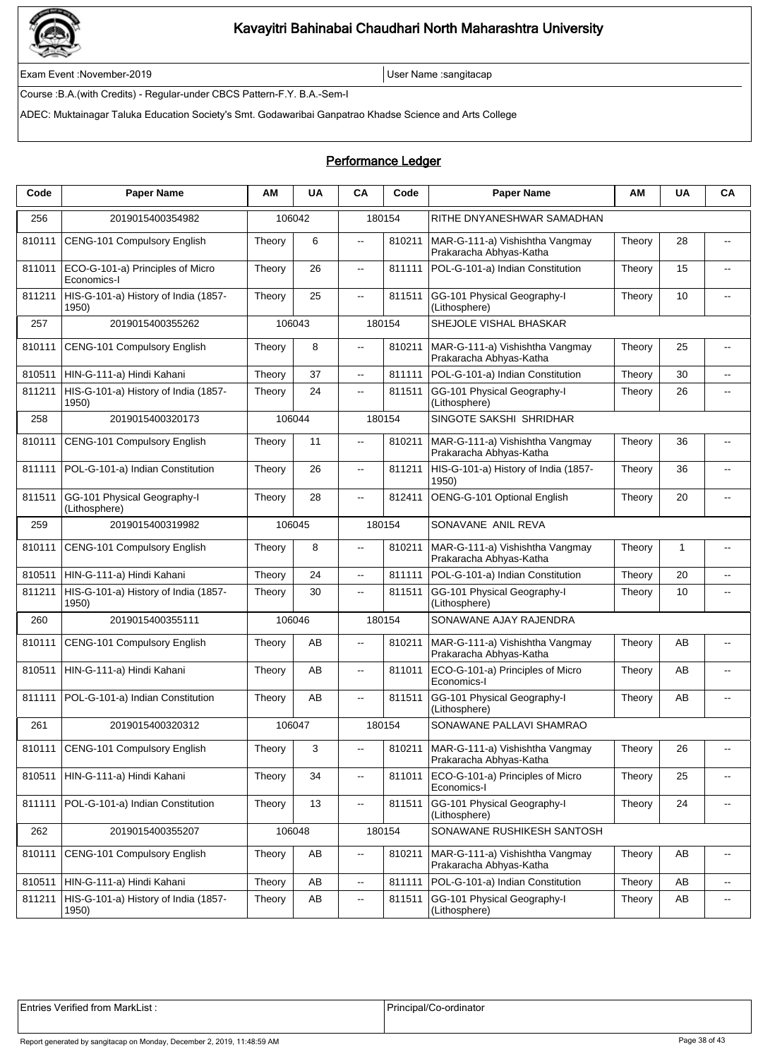

Exam Event :November-2019 User Name :sangitacap

Course :B.A.(with Credits) - Regular-under CBCS Pattern-F.Y. B.A.-Sem-I

ADEC: Muktainagar Taluka Education Society's Smt. Godawaribai Ganpatrao Khadse Science and Arts College

### Performance Ledger

| Code   | <b>Paper Name</b>                               | ΑM     | <b>UA</b> | CA                       | Code   | <b>Paper Name</b>                                                                        | ΑM     | <b>UA</b> | CA                                            |  |
|--------|-------------------------------------------------|--------|-----------|--------------------------|--------|------------------------------------------------------------------------------------------|--------|-----------|-----------------------------------------------|--|
| 256    | 2019015400354982                                |        | 106042    |                          | 180154 | RITHE DNYANESHWAR SAMADHAN                                                               |        |           |                                               |  |
| 810111 | CENG-101 Compulsory English                     | Theory | 6         | $\overline{\phantom{a}}$ | 810211 | MAR-G-111-a) Vishishtha Vangmay<br>Prakaracha Abhyas-Katha                               | Theory | 28        | $\overline{\phantom{a}}$                      |  |
| 811011 | ECO-G-101-a) Principles of Micro<br>Economics-I | Theory | 26        | $\overline{\phantom{a}}$ | 811111 | POL-G-101-a) Indian Constitution                                                         | Theory | 15        |                                               |  |
| 811211 | HIS-G-101-a) History of India (1857-<br>1950)   | Theory | 25        | $\overline{\phantom{a}}$ | 811511 | GG-101 Physical Geography-I<br>(Lithosphere)                                             | Theory | 10        | $\overline{\phantom{a}}$                      |  |
| 257    | 2019015400355262                                |        | 106043    |                          | 180154 | SHEJOLE VISHAL BHASKAR                                                                   |        |           |                                               |  |
| 810111 | CENG-101 Compulsory English                     | Theory | 8         | $\overline{\phantom{a}}$ | 810211 | MAR-G-111-a) Vishishtha Vangmay<br>Prakaracha Abhyas-Katha                               | Theory | 25        | $\overline{\phantom{a}}$                      |  |
| 810511 | HIN-G-111-a) Hindi Kahani                       | Theory | 37        | $\overline{\phantom{a}}$ | 811111 | POL-G-101-a) Indian Constitution                                                         | Theory | 30        | $\overline{\phantom{a}}$                      |  |
| 811211 | HIS-G-101-a) History of India (1857-<br>1950)   | Theory | 24        | $\overline{\phantom{a}}$ | 811511 | GG-101 Physical Geography-I<br>(Lithosphere)                                             | Theory | 26        | $\overline{\phantom{a}}$                      |  |
| 258    | 2019015400320173                                |        | 106044    |                          | 180154 | SINGOTE SAKSHI SHRIDHAR                                                                  |        |           |                                               |  |
| 810111 | CENG-101 Compulsory English                     | Theory | 11        | $\overline{a}$           | 810211 | MAR-G-111-a) Vishishtha Vangmay<br>Prakaracha Abhyas-Katha                               | Theory | 36        | $-$                                           |  |
| 811111 | POL-G-101-a) Indian Constitution                | Theory | 26        | ц.                       | 811211 | HIS-G-101-a) History of India (1857-<br>1950)                                            | Theory | 36        | $\overline{\phantom{a}}$                      |  |
| 811511 | GG-101 Physical Geography-I<br>(Lithosphere)    | Theory | 28        | $\overline{a}$           | 812411 | OENG-G-101 Optional English                                                              | Theory | 20        | $\overline{a}$                                |  |
| 259    | 2019015400319982                                |        | 106045    |                          | 180154 | SONAVANE ANIL REVA                                                                       |        |           |                                               |  |
| 810111 | CENG-101 Compulsory English                     | Theory | 8         | $\overline{\phantom{a}}$ | 810211 | MAR-G-111-a) Vishishtha Vangmay<br>Prakaracha Abhyas-Katha                               | Theory | 1         | --                                            |  |
| 810511 | HIN-G-111-a) Hindi Kahani                       | Theory | 24        | цц.                      | 811111 | POL-G-101-a) Indian Constitution                                                         | Theory | 20        | $\overline{\phantom{a}}$                      |  |
| 811211 | HIS-G-101-a) History of India (1857-<br>1950)   | Theory | 30        | 811511<br>$\mathbf{u}$   |        | GG-101 Physical Geography-I<br>10<br>Theory<br>$\overline{\phantom{a}}$<br>(Lithosphere) |        |           |                                               |  |
| 260    | 2019015400355111                                |        | 106046    | 180154                   |        | SONAWANE AJAY RAJENDRA                                                                   |        |           |                                               |  |
| 810111 | CENG-101 Compulsory English                     | Theory | AB        | $\overline{\phantom{a}}$ | 810211 | MAR-G-111-a) Vishishtha Vangmay<br>Prakaracha Abhyas-Katha                               | Theory | AВ        | $-$                                           |  |
| 810511 | HIN-G-111-a) Hindi Kahani                       | Theory | AB        | $\ddotsc$                | 811011 | ECO-G-101-a) Principles of Micro<br>Economics-I                                          | Theory | AВ        | $\overline{a}$                                |  |
| 811111 | POL-G-101-a) Indian Constitution                | Theory | AB        | $\overline{\phantom{a}}$ | 811511 | GG-101 Physical Geography-I<br>(Lithosphere)                                             | Theory | AB        | $\overline{\phantom{a}}$                      |  |
| 261    | 2019015400320312                                | 106047 |           |                          | 180154 | SONAWANE PALLAVI SHAMRAO                                                                 |        |           |                                               |  |
| 810111 | CENG-101 Compulsory English                     | Theory | 3         |                          | 810211 | MAR-G-111-a) Vishishtha Vangmay<br>Prakaracha Abhyas-Katha                               | Theory | 26        |                                               |  |
| 810511 | HIN-G-111-a) Hindi Kahani                       | Theory | 34        | ц.                       | 811011 | ECO-G-101-a) Principles of Micro<br>Economics-I                                          | Theory | 25        | $\overline{\phantom{a}}$                      |  |
| 811111 | POL-G-101-a) Indian Constitution                | Theory | 13        | $\overline{\phantom{a}}$ | 811511 | GG-101 Physical Geography-I<br>(Lithosphere)                                             | Theory | 24        | $\mathord{\hspace{1pt}\text{--}\hspace{1pt}}$ |  |
| 262    | 2019015400355207                                |        | 106048    |                          | 180154 | SONAWANE RUSHIKESH SANTOSH                                                               |        |           |                                               |  |
| 810111 | <b>CENG-101 Compulsory English</b>              | Theory | AB        | $\overline{\phantom{a}}$ | 810211 | MAR-G-111-a) Vishishtha Vangmay<br>Prakaracha Abhyas-Katha                               | Theory | AВ        | $\overline{\phantom{a}}$                      |  |
| 810511 | HIN-G-111-a) Hindi Kahani                       | Theory | AB        | ц.                       | 811111 | POL-G-101-a) Indian Constitution                                                         | Theory | AB        | $\mathcal{L}_{\mathcal{F}}$                   |  |
| 811211 | HIS-G-101-a) History of India (1857-<br>1950)   | Theory | AB        | $\overline{\phantom{a}}$ | 811511 | GG-101 Physical Geography-I<br>(Lithosphere)                                             | Theory | AB        | $\overline{\phantom{a}}$                      |  |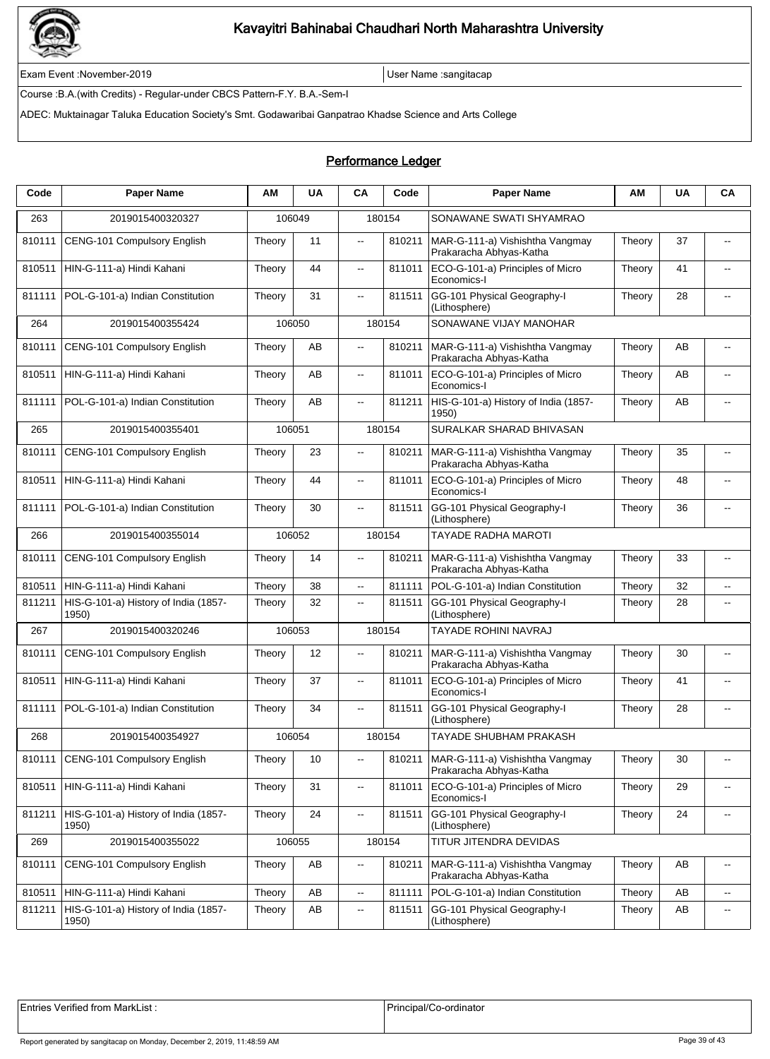

Exam Event :November-2019 User Name :sangitacap

Course :B.A.(with Credits) - Regular-under CBCS Pattern-F.Y. B.A.-Sem-I

ADEC: Muktainagar Taluka Education Society's Smt. Godawaribai Ganpatrao Khadse Science and Arts College

### Performance Ledger

| Code   | <b>Paper Name</b>                             | ΑM     | <b>UA</b> | <b>CA</b>                | Code   | <b>Paper Name</b>                                          | ΑM     | <b>UA</b> | CA                       |  |
|--------|-----------------------------------------------|--------|-----------|--------------------------|--------|------------------------------------------------------------|--------|-----------|--------------------------|--|
| 263    | 2019015400320327                              |        | 106049    |                          | 180154 | SONAWANE SWATI SHYAMRAO                                    |        |           |                          |  |
| 810111 | CENG-101 Compulsory English                   | Theory | 11        | $\ddotsc$                | 810211 | MAR-G-111-a) Vishishtha Vangmay<br>Prakaracha Abhyas-Katha | Theory | 37        | $\overline{\phantom{a}}$ |  |
| 810511 | HIN-G-111-a) Hindi Kahani                     | Theory | 44        | $\overline{\phantom{a}}$ | 811011 | ECO-G-101-a) Principles of Micro<br>Economics-I            | Theory | 41        | $-$                      |  |
| 811111 | POL-G-101-a) Indian Constitution              | Theory | 31        | $\overline{\phantom{a}}$ | 811511 | GG-101 Physical Geography-I<br>(Lithosphere)               | Theory | 28        |                          |  |
| 264    | 2019015400355424                              |        | 106050    |                          | 180154 | SONAWANE VIJAY MANOHAR                                     |        |           |                          |  |
| 810111 | CENG-101 Compulsory English                   | Theory | AB        | $\overline{\phantom{a}}$ | 810211 | MAR-G-111-a) Vishishtha Vangmay<br>Prakaracha Abhyas-Katha | Theory | AB        | $\overline{a}$           |  |
| 810511 | HIN-G-111-a) Hindi Kahani                     | Theory | AB        | $\overline{\phantom{a}}$ | 811011 | ECO-G-101-a) Principles of Micro<br>Economics-I            | Theory | AВ        | $\overline{a}$           |  |
| 811111 | POL-G-101-a) Indian Constitution              | Theory | AB        | $\overline{\phantom{a}}$ | 811211 | HIS-G-101-a) History of India (1857-<br>1950)              | Theory | AB        | $\overline{\phantom{a}}$ |  |
| 265    | 2019015400355401                              |        | 106051    |                          | 180154 | SURALKAR SHARAD BHIVASAN                                   |        |           |                          |  |
| 810111 | CENG-101 Compulsory English                   | Theory | 23        | $\ddotsc$                | 810211 | MAR-G-111-a) Vishishtha Vangmay<br>Prakaracha Abhyas-Katha | Theory | 35        | $\overline{\phantom{a}}$ |  |
| 810511 | HIN-G-111-a) Hindi Kahani                     | Theory | 44        | $\overline{\phantom{a}}$ | 811011 | ECO-G-101-a) Principles of Micro<br>Economics-I            | Theory | 48        | $\overline{a}$           |  |
| 811111 | POL-G-101-a) Indian Constitution              | Theory | 30        | $\overline{\phantom{a}}$ | 811511 | GG-101 Physical Geography-I<br>(Lithosphere)               | Theory | 36        |                          |  |
| 266    | 2019015400355014                              | 106052 |           |                          | 180154 | <b>TAYADE RADHA MAROTI</b>                                 |        |           |                          |  |
| 810111 | CENG-101 Compulsory English                   | Theory | 14        | $\ddotsc$                | 810211 | MAR-G-111-a) Vishishtha Vangmay<br>Prakaracha Abhyas-Katha | Theory | 33        | $\overline{\phantom{a}}$ |  |
| 810511 | HIN-G-111-a) Hindi Kahani                     | Theory | 38        | ц.                       | 811111 | POL-G-101-a) Indian Constitution                           | Theory | 32        | ۰.                       |  |
| 811211 | HIS-G-101-a) History of India (1857-<br>1950) | Theory | 32        | $\overline{\phantom{a}}$ | 811511 | GG-101 Physical Geography-I<br>(Lithosphere)               | Theory | 28        | $\overline{\phantom{a}}$ |  |
| 267    | 2019015400320246                              |        | 106053    |                          | 180154 | <b>TAYADE ROHINI NAVRAJ</b>                                |        |           |                          |  |
| 810111 | CENG-101 Compulsory English                   | Theory | 12        | $\overline{a}$           | 810211 | MAR-G-111-a) Vishishtha Vangmay<br>Prakaracha Abhyas-Katha | Theory | 30        | $-$                      |  |
| 810511 | HIN-G-111-a) Hindi Kahani                     | Theory | 37        | $\ddotsc$                | 811011 | ECO-G-101-a) Principles of Micro<br>Economics-I            | Theory | 41        | $\overline{a}$           |  |
| 811111 | POL-G-101-a) Indian Constitution              | Theory | 34        | $\overline{\phantom{a}}$ | 811511 | GG-101 Physical Geography-I<br>(Lithosphere)               | Theory | 28        | $\overline{\phantom{a}}$ |  |
| 268    | 2019015400354927                              |        | 106054    |                          | 180154 | <b>TAYADE SHUBHAM PRAKASH</b>                              |        |           |                          |  |
| 810111 | CENG-101 Compulsory English                   | Theory | 10        | $\overline{\phantom{a}}$ | 810211 | MAR-G-111-a) Vishishtha Vangmay<br>Prakaracha Abhyas-Katha | Theory | 30        | $\overline{\phantom{a}}$ |  |
| 810511 | HIN-G-111-a) Hindi Kahani                     | Theory | 31        | ц,                       | 811011 | ECO-G-101-a) Principles of Micro<br>Economics-I            | Theory | 29        | $\overline{\phantom{a}}$ |  |
| 811211 | HIS-G-101-a) History of India (1857-<br>1950) | Theory | 24        | $\overline{\phantom{a}}$ | 811511 | GG-101 Physical Geography-I<br>(Lithosphere)               | Theory | 24        | $\overline{\phantom{a}}$ |  |
| 269    | 2019015400355022                              |        | 106055    |                          | 180154 | TITUR JITENDRA DEVIDAS                                     |        |           |                          |  |
| 810111 | CENG-101 Compulsory English                   | Theory | AB        | $\overline{\phantom{a}}$ | 810211 | MAR-G-111-a) Vishishtha Vangmay<br>Prakaracha Abhyas-Katha | Theory | AB        | $\overline{\phantom{a}}$ |  |
| 810511 | HIN-G-111-a) Hindi Kahani                     | Theory | AB        | ц,                       | 811111 | POL-G-101-a) Indian Constitution                           | Theory | AB        | $\overline{\phantom{a}}$ |  |
| 811211 | HIS-G-101-a) History of India (1857-<br>1950) | Theory | AB        | $\overline{\phantom{a}}$ | 811511 | GG-101 Physical Geography-I<br>(Lithosphere)               | Theory | AB        | $\overline{\phantom{a}}$ |  |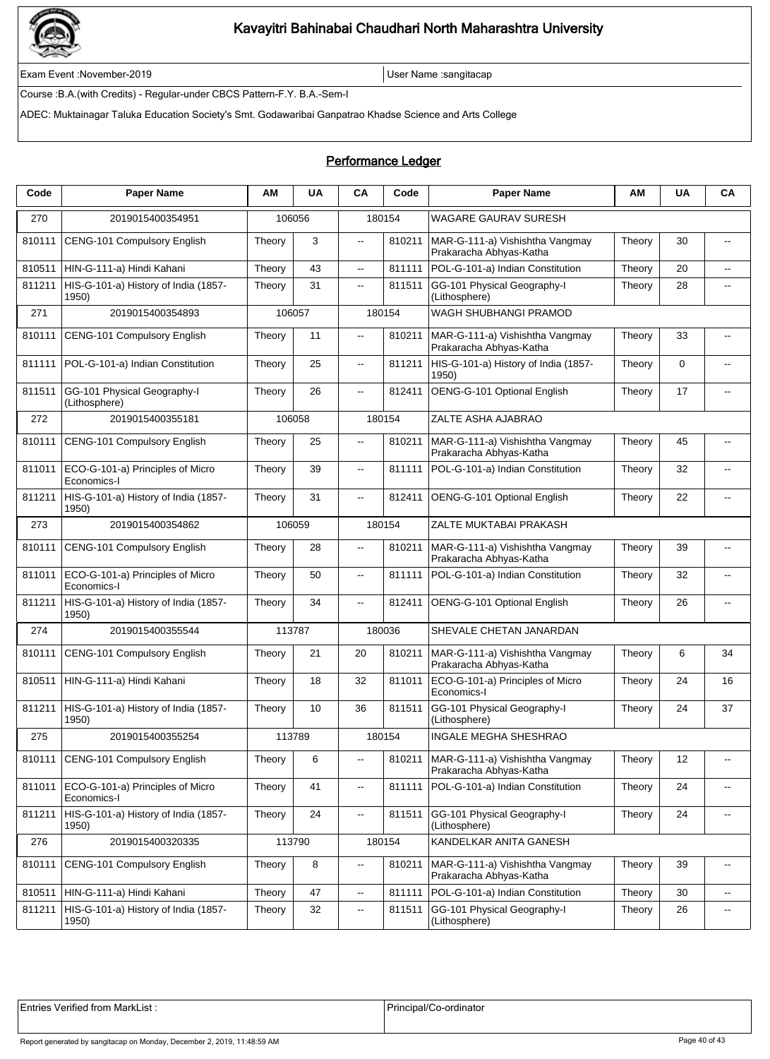

Exam Event :November-2019 User Name :sangitacap

Course :B.A.(with Credits) - Regular-under CBCS Pattern-F.Y. B.A.-Sem-I

ADEC: Muktainagar Taluka Education Society's Smt. Godawaribai Ganpatrao Khadse Science and Arts College

### Performance Ledger

| Code   | <b>Paper Name</b>                               | АM     | <b>UA</b> | CA                       | Code   | <b>Paper Name</b>                                          | ΑМ     | UA          | CA                       |  |
|--------|-------------------------------------------------|--------|-----------|--------------------------|--------|------------------------------------------------------------|--------|-------------|--------------------------|--|
| 270    | 2019015400354951                                |        | 106056    |                          | 180154 | <b>WAGARE GAURAV SURESH</b>                                |        |             |                          |  |
| 810111 | CENG-101 Compulsory English                     | Theory | 3         | --                       | 810211 | MAR-G-111-a) Vishishtha Vangmay<br>Prakaracha Abhyas-Katha | Theory | 30          | $\overline{\phantom{a}}$ |  |
| 810511 | HIN-G-111-a) Hindi Kahani                       | Theory | 43        | $\overline{\phantom{a}}$ | 811111 | POL-G-101-a) Indian Constitution                           | Theory | 20          | $\overline{a}$           |  |
| 811211 | HIS-G-101-a) History of India (1857-<br>1950)   | Theory | 31        | 44                       | 811511 | GG-101 Physical Geography-I<br>(Lithosphere)               | Theory | 28          | $\overline{\phantom{a}}$ |  |
| 271    | 2019015400354893                                |        | 106057    |                          | 180154 | WAGH SHUBHANGI PRAMOD                                      |        |             |                          |  |
| 810111 | CENG-101 Compulsory English                     | Theory | 11        | $\overline{a}$           | 810211 | MAR-G-111-a) Vishishtha Vangmay<br>Prakaracha Abhyas-Katha | Theory | 33          | $-$                      |  |
| 811111 | POL-G-101-a) Indian Constitution                | Theory | 25        | Ξ.                       | 811211 | HIS-G-101-a) History of India (1857-<br>1950)              | Theory | $\mathbf 0$ | --                       |  |
| 811511 | GG-101 Physical Geography-I<br>(Lithosphere)    | Theory | 26        | 44                       | 812411 | OENG-G-101 Optional English                                | Theory | 17          | $\overline{\phantom{a}}$ |  |
| 272    | 2019015400355181                                |        | 106058    |                          | 180154 | ZALTE ASHA AJABRAO                                         |        |             |                          |  |
| 810111 | CENG-101 Compulsory English                     | Theory | 25        | Щ.                       | 810211 | MAR-G-111-a) Vishishtha Vangmay<br>Prakaracha Abhyas-Katha | Theory | 45          | --                       |  |
| 811011 | ECO-G-101-a) Principles of Micro<br>Economics-I | Theory | 39        | Ξ.                       | 811111 | POL-G-101-a) Indian Constitution                           | Theory | 32          | --                       |  |
| 811211 | HIS-G-101-a) History of India (1857-<br>1950)   | Theory | 31        | щ.                       | 812411 | OENG-G-101 Optional English                                | Theory | 22          | $\overline{\phantom{a}}$ |  |
| 273    | 2019015400354862                                |        | 106059    |                          | 180154 | ZALTE MUKTABAI PRAKASH                                     |        |             |                          |  |
| 810111 | CENG-101 Compulsory English                     | Theory | 28        | $-$                      | 810211 | MAR-G-111-a) Vishishtha Vangmay<br>Prakaracha Abhyas-Katha | Theory | 39          | $\overline{\phantom{a}}$ |  |
| 811011 | ECO-G-101-a) Principles of Micro<br>Economics-I | Theory | 50        | Ξ.                       | 811111 | POL-G-101-a) Indian Constitution                           | Theory | 32          | --                       |  |
| 811211 | HIS-G-101-a) History of India (1857-<br>1950)   | Theory | 34        | щ.                       | 812411 | OENG-G-101 Optional English                                | Theory | 26          | $\overline{\phantom{a}}$ |  |
| 274    | 2019015400355544                                |        | 113787    |                          | 180036 | SHEVALE CHETAN JANARDAN                                    |        |             |                          |  |
| 810111 | CENG-101 Compulsory English                     | Theory | 21        | 20                       | 810211 | MAR-G-111-a) Vishishtha Vangmay<br>Prakaracha Abhyas-Katha | Theory | 6           | 34                       |  |
| 810511 | HIN-G-111-a) Hindi Kahani                       | Theory | 18        | 32                       | 811011 | ECO-G-101-a) Principles of Micro<br>Economics-I            | Theory | 24          | 16                       |  |
| 811211 | HIS-G-101-a) History of India (1857-<br>1950)   | Theory | 10        | 36                       | 811511 | GG-101 Physical Geography-I<br>(Lithosphere)               | Theory | 24          | 37                       |  |
| 275    | 2019015400355254                                |        | 113789    |                          | 180154 | <b>INGALE MEGHA SHESHRAO</b>                               |        |             |                          |  |
| 810111 | CENG-101 Compulsory English                     | Theory | 6         | $\overline{\phantom{a}}$ | 810211 | MAR-G-111-a) Vishishtha Vangmay<br>Prakaracha Abhyas-Katha | Theory | 12          | $\overline{\phantom{a}}$ |  |
| 811011 | ECO-G-101-a) Principles of Micro<br>Economics-I | Theory | 41        | Ξ.                       | 811111 | POL-G-101-a) Indian Constitution                           | Theory | 24          | $\overline{\phantom{a}}$ |  |
| 811211 | HIS-G-101-a) History of India (1857-<br>1950)   | Theory | 24        | ٠.                       | 811511 | GG-101 Physical Geography-I<br>(Lithosphere)               | Theory | 24          | ۰.                       |  |
| 276    | 2019015400320335                                |        | 113790    |                          | 180154 | KANDELKAR ANITA GANESH                                     |        |             |                          |  |
| 810111 | CENG-101 Compulsory English                     | Theory | 8         | $\overline{\phantom{a}}$ | 810211 | MAR-G-111-a) Vishishtha Vangmay<br>Prakaracha Abhyas-Katha | Theory | 39          | $\overline{\phantom{a}}$ |  |
| 810511 | HIN-G-111-a) Hindi Kahani                       | Theory | 47        | --                       | 811111 | POL-G-101-a) Indian Constitution                           | Theory | 30          | --                       |  |
| 811211 | HIS-G-101-a) History of India (1857-<br>1950)   | Theory | 32        | ۰.                       | 811511 | GG-101 Physical Geography-I<br>(Lithosphere)               | Theory | 26          | ۰.                       |  |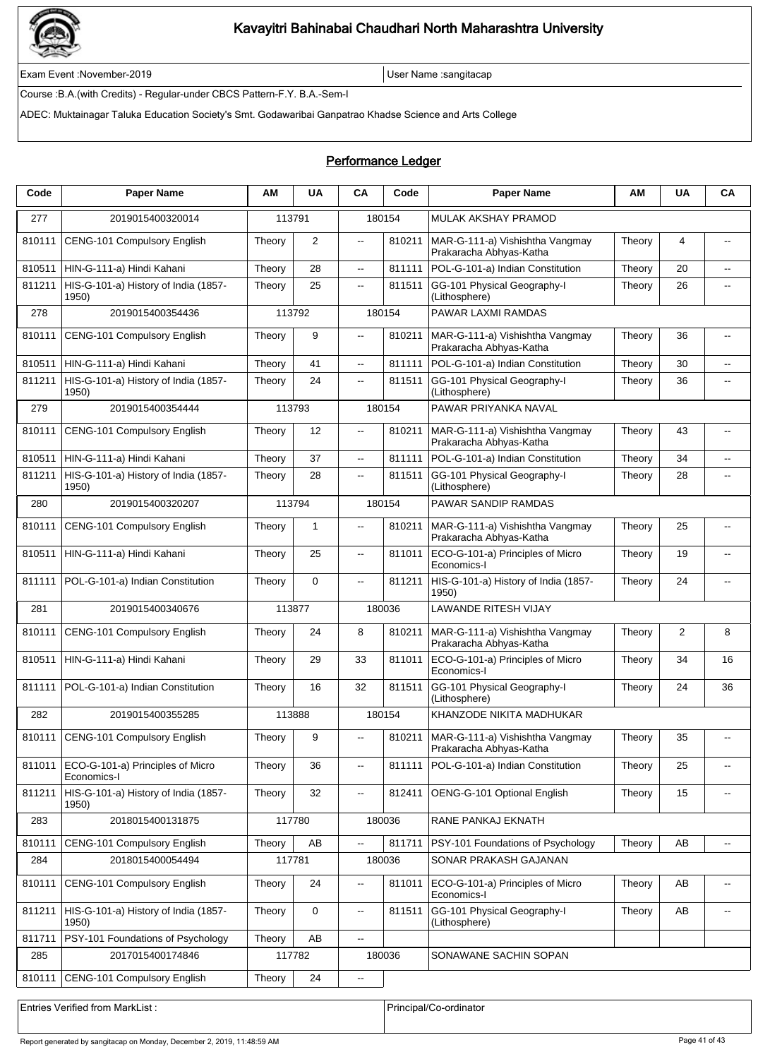

Exam Event :November-2019 User Name :sangitacap

Course :B.A.(with Credits) - Regular-under CBCS Pattern-F.Y. B.A.-Sem-I

ADEC: Muktainagar Taluka Education Society's Smt. Godawaribai Ganpatrao Khadse Science and Arts College

### Performance Ledger

| Code   | <b>Paper Name</b>                               | ΑM     | <b>UA</b>    | <b>CA</b>                | Code   | <b>Paper Name</b>                                          | ΑM     | <b>UA</b> | <b>CA</b>                                     |  |  |
|--------|-------------------------------------------------|--------|--------------|--------------------------|--------|------------------------------------------------------------|--------|-----------|-----------------------------------------------|--|--|
| 277    | 2019015400320014                                | 113791 |              |                          | 180154 | <b>MULAK AKSHAY PRAMOD</b>                                 |        |           |                                               |  |  |
| 810111 | CENG-101 Compulsory English                     | Theory | 2            | $\overline{\phantom{a}}$ | 810211 | MAR-G-111-a) Vishishtha Vangmay<br>Prakaracha Abhyas-Katha | Theory | 4         | $\overline{\phantom{a}}$                      |  |  |
| 810511 | HIN-G-111-a) Hindi Kahani                       | Theory | 28           | ц,                       | 811111 | POL-G-101-a) Indian Constitution                           | Theory | 20        | ۰.                                            |  |  |
| 811211 | HIS-G-101-a) History of India (1857-<br>1950)   | Theory | 25           | ц,                       | 811511 | GG-101 Physical Geography-I<br>(Lithosphere)               | Theory | 26        | $\overline{\phantom{a}}$                      |  |  |
| 278    | 2019015400354436                                | 113792 |              |                          | 180154 | PAWAR LAXMI RAMDAS                                         |        |           |                                               |  |  |
| 810111 | <b>CENG-101 Compulsory English</b>              | Theory | 9            | $\sim$                   | 810211 | MAR-G-111-a) Vishishtha Vangmay<br>Prakaracha Abhyas-Katha | Theory | 36        | $-$                                           |  |  |
| 810511 | HIN-G-111-a) Hindi Kahani                       | Theory | 41           | цц.                      | 811111 | POL-G-101-a) Indian Constitution                           | Theory | 30        | $\overline{\phantom{a}}$                      |  |  |
| 811211 | HIS-G-101-a) History of India (1857-<br>1950)   | Theory | 24           | $\overline{a}$           | 811511 | GG-101 Physical Geography-I<br>(Lithosphere)               | Theory | 36        | $\overline{a}$                                |  |  |
| 279    | 2019015400354444                                | 113793 |              |                          | 180154 | PAWAR PRIYANKA NAVAL                                       |        |           |                                               |  |  |
| 810111 | CENG-101 Compulsory English                     | Theory | 12           | $\overline{\phantom{a}}$ | 810211 | MAR-G-111-a) Vishishtha Vangmay<br>Prakaracha Abhyas-Katha | Theory | 43        | $\overline{\phantom{a}}$                      |  |  |
| 810511 | HIN-G-111-a) Hindi Kahani                       | Theory | 37           | $\overline{\phantom{a}}$ | 811111 | POL-G-101-a) Indian Constitution                           | Theory | 34        | $\overline{a}$                                |  |  |
| 811211 | HIS-G-101-a) History of India (1857-<br>1950)   | Theory | 28           | $\overline{\phantom{a}}$ | 811511 | GG-101 Physical Geography-I<br>(Lithosphere)               | Theory | 28        | $\overline{a}$                                |  |  |
| 280    | 2019015400320207                                |        | 113794       |                          | 180154 | PAWAR SANDIP RAMDAS                                        |        |           |                                               |  |  |
| 810111 | CENG-101 Compulsory English                     | Theory | $\mathbf{1}$ | $\overline{\phantom{a}}$ | 810211 | MAR-G-111-a) Vishishtha Vangmay<br>Prakaracha Abhyas-Katha | Theory | 25        | $\overline{\phantom{a}}$                      |  |  |
| 810511 | HIN-G-111-a) Hindi Kahani                       | Theory | 25           | $\overline{\phantom{a}}$ | 811011 | ECO-G-101-a) Principles of Micro<br>Economics-I            | Theory | 19        | $-$                                           |  |  |
| 811111 | POL-G-101-a) Indian Constitution                | Theory | $\mathbf 0$  | $\overline{\phantom{a}}$ | 811211 | HIS-G-101-a) History of India (1857-<br>1950)              | Theory | 24        | $-$                                           |  |  |
| 281    | 2019015400340676                                |        | 113877       |                          | 180036 | <b>LAWANDE RITESH VIJAY</b>                                |        |           |                                               |  |  |
| 810111 | CENG-101 Compulsory English                     | Theory | 24           | 8                        | 810211 | MAR-G-111-a) Vishishtha Vangmay<br>Prakaracha Abhyas-Katha | Theory | 2         | 8                                             |  |  |
| 810511 | HIN-G-111-a) Hindi Kahani                       | Theory | 29           | 33                       | 811011 | ECO-G-101-a) Principles of Micro<br>Economics-I            | Theory | 34        | 16                                            |  |  |
| 811111 | POL-G-101-a) Indian Constitution                | Theory | 16           | 32                       | 811511 | GG-101 Physical Geography-I<br>(Lithosphere)               | Theory | 24        | 36                                            |  |  |
| 282    | 2019015400355285                                | 113888 |              | 180154                   |        | KHANZODE NIKITA MADHUKAR                                   |        |           |                                               |  |  |
| 810111 | CENG-101 Compulsory English                     | Theory | 9            | $\overline{a}$           | 810211 | MAR-G-111-a) Vishishtha Vangmay<br>Prakaracha Abhyas-Katha | Theory | 35        | $\overline{\phantom{a}}$                      |  |  |
| 811011 | ECO-G-101-a) Principles of Micro<br>Economics-I | Theory | 36           | $\overline{\phantom{a}}$ | 811111 | POL-G-101-a) Indian Constitution                           | Theory | 25        |                                               |  |  |
| 811211 | HIS-G-101-a) History of India (1857-<br>1950)   | Theory | 32           | $\overline{\phantom{a}}$ | 812411 | OENG-G-101 Optional English                                | Theory | 15        | ۰.                                            |  |  |
| 283    | 2018015400131875                                | 117780 |              |                          | 180036 | RANE PANKAJ EKNATH                                         |        |           |                                               |  |  |
| 810111 | CENG-101 Compulsory English                     | Theory | AB           | $\overline{\phantom{a}}$ | 811711 | PSY-101 Foundations of Psychology                          | Theory | AВ        | $\mathord{\hspace{1pt}\text{--}\hspace{1pt}}$ |  |  |
| 284    | 2018015400054494                                | 117781 |              |                          | 180036 | SONAR PRAKASH GAJANAN                                      |        |           |                                               |  |  |
| 810111 | CENG-101 Compulsory English                     | Theory | 24           | $\overline{\phantom{a}}$ | 811011 | ECO-G-101-a) Principles of Micro<br>Economics-I            | Theory | AВ        | $\overline{\phantom{a}}$                      |  |  |
| 811211 | HIS-G-101-a) History of India (1857-<br>1950)   | Theory | $\mathbf 0$  | $\overline{\phantom{a}}$ | 811511 | GG-101 Physical Geography-I<br>(Lithosphere)               | Theory | AB        | $\overline{\phantom{a}}$                      |  |  |
| 811711 | PSY-101 Foundations of Psychology               | Theory | AB           | $\overline{\phantom{a}}$ |        |                                                            |        |           |                                               |  |  |
| 285    | 2017015400174846                                |        | 117782       |                          | 180036 | SONAWANE SACHIN SOPAN                                      |        |           |                                               |  |  |
| 810111 | <b>CENG-101 Compulsory English</b>              | Theory | 24           | $\overline{\phantom{a}}$ |        |                                                            |        |           |                                               |  |  |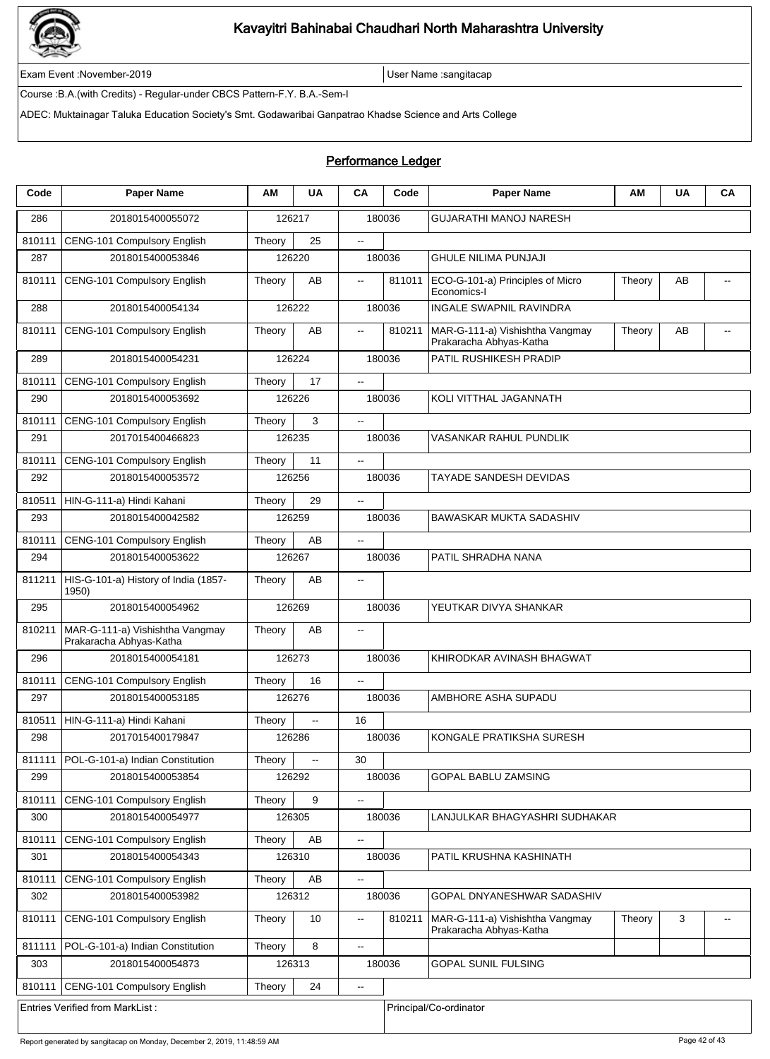

Exam Event :November-2019 User Name :sangitacap

Course :B.A.(with Credits) - Regular-under CBCS Pattern-F.Y. B.A.-Sem-I

ADEC: Muktainagar Taluka Education Society's Smt. Godawaribai Ganpatrao Khadse Science and Arts College

| Code   | <b>Paper Name</b>                                          | ΑM     | <b>UA</b> | CA                                            | Code   | <b>Paper Name</b>                                          | AM     | <b>UA</b> | CA |  |
|--------|------------------------------------------------------------|--------|-----------|-----------------------------------------------|--------|------------------------------------------------------------|--------|-----------|----|--|
| 286    | 2018015400055072                                           |        | 126217    |                                               | 180036 | <b>GUJARATHI MANOJ NARESH</b>                              |        |           |    |  |
| 810111 | CENG-101 Compulsory English                                | Theory | 25        | $\mathbb{Z}^{\mathbb{Z}}$                     |        |                                                            |        |           |    |  |
| 287    | 2018015400053846                                           | 126220 |           |                                               | 180036 | <b>GHULE NILIMA PUNJAJI</b>                                |        |           |    |  |
| 810111 | CENG-101 Compulsory English                                | Theory | AB        | $\mathbf{L}$                                  | 811011 | ECO-G-101-a) Principles of Micro<br>Economics-I            | Theory | AB        |    |  |
| 288    | 2018015400054134                                           | 126222 |           |                                               | 180036 | <b>INGALE SWAPNIL RAVINDRA</b>                             |        |           |    |  |
| 810111 | CENG-101 Compulsory English                                | Theory | AB        | $\overline{\phantom{a}}$                      | 810211 | MAR-G-111-a) Vishishtha Vangmay<br>Prakaracha Abhyas-Katha | Theory | AB        |    |  |
| 289    | 2018015400054231                                           | 126224 |           |                                               | 180036 | PATIL RUSHIKESH PRADIP                                     |        |           |    |  |
| 810111 | CENG-101 Compulsory English                                | Theory | 17        | $\mathbb{Z}^{\mathbb{Z}}$                     |        |                                                            |        |           |    |  |
| 290    | 2018015400053692                                           | 126226 |           |                                               | 180036 | KOLI VITTHAL JAGANNATH                                     |        |           |    |  |
| 810111 | CENG-101 Compulsory English                                | Theory | 3         | $\overline{\phantom{a}}$                      |        |                                                            |        |           |    |  |
| 291    | 2017015400466823                                           | 126235 |           |                                               | 180036 | VASANKAR RAHUL PUNDLIK                                     |        |           |    |  |
| 810111 | CENG-101 Compulsory English                                | Theory | 11        |                                               |        |                                                            |        |           |    |  |
| 292    | 2018015400053572                                           | 126256 |           |                                               | 180036 | TAYADE SANDESH DEVIDAS                                     |        |           |    |  |
| 810511 | HIN-G-111-a) Hindi Kahani                                  | Theory | 29        | $\sim$                                        |        |                                                            |        |           |    |  |
| 293    | 2018015400042582                                           | 126259 |           | 180036                                        |        | BAWASKAR MUKTA SADASHIV                                    |        |           |    |  |
| 810111 | CENG-101 Compulsory English                                | Theory | AB        | $\sim$                                        |        |                                                            |        |           |    |  |
| 294    | 2018015400053622                                           | 126267 |           |                                               | 180036 | PATIL SHRADHA NANA                                         |        |           |    |  |
| 811211 | HIS-G-101-a) History of India (1857-<br>1950)              | Theory | AB        | --                                            |        |                                                            |        |           |    |  |
| 295    | 2018015400054962                                           | 126269 |           |                                               | 180036 | YEUTKAR DIVYA SHANKAR                                      |        |           |    |  |
| 810211 | MAR-G-111-a) Vishishtha Vangmay<br>Prakaracha Abhyas-Katha | Theory | AB        | $\sim$                                        |        |                                                            |        |           |    |  |
| 296    | 2018015400054181                                           | 126273 |           |                                               | 180036 | KHIRODKAR AVINASH BHAGWAT                                  |        |           |    |  |
| 810111 | CENG-101 Compulsory English                                | Theory | 16        | --                                            |        |                                                            |        |           |    |  |
| 297    | 2018015400053185                                           | 126276 |           |                                               | 180036 | AMBHORE ASHA SUPADU                                        |        |           |    |  |
| 810511 | HIN-G-111-a) Hindi Kahani                                  | Theory | Ξ.        | 16                                            |        |                                                            |        |           |    |  |
| 298    | 2017015400179847                                           | 126286 |           |                                               | 180036 | KONGALE PRATIKSHA SURESH                                   |        |           |    |  |
| 811111 | POL-G-101-a) Indian Constitution                           | Theory | Ξ.        | 30                                            |        |                                                            |        |           |    |  |
| 299    | 2018015400053854                                           | 126292 |           |                                               | 180036 | GOPAL BABLU ZAMSING                                        |        |           |    |  |
| 810111 | CENG-101 Compulsory English                                | Theory | 9         | $\mathbb{Z}^2$                                |        |                                                            |        |           |    |  |
| 300    | 2018015400054977                                           | 126305 |           |                                               | 180036 | LANJULKAR BHAGYASHRI SUDHAKAR                              |        |           |    |  |
| 810111 | CENG-101 Compulsory English                                | Theory | AB        | --                                            |        |                                                            |        |           |    |  |
| 301    | 2018015400054343                                           | 126310 |           |                                               | 180036 | PATIL KRUSHNA KASHINATH                                    |        |           |    |  |
| 810111 | CENG-101 Compulsory English                                | Theory | AB        | $\mathbb{Z}^{\mathbb{Z}}$                     |        |                                                            |        |           |    |  |
| 302    | 2018015400053982                                           | 126312 |           |                                               | 180036 | GOPAL DNYANESHWAR SADASHIV                                 |        |           |    |  |
| 810111 | CENG-101 Compulsory English                                | Theory | 10        | $\mathord{\hspace{1pt}\text{--}\hspace{1pt}}$ | 810211 | MAR-G-111-a) Vishishtha Vangmay<br>Prakaracha Abhyas-Katha | Theory | 3         |    |  |
| 811111 | POL-G-101-a) Indian Constitution                           | Theory | 8         | $\overline{\phantom{a}}$                      |        |                                                            |        |           |    |  |
| 303    | 2018015400054873                                           | 126313 |           |                                               | 180036 | GOPAL SUNIL FULSING                                        |        |           |    |  |
| 810111 | CENG-101 Compulsory English                                | Theory | 24        | $\mathord{\hspace{1pt}\text{--}\hspace{1pt}}$ |        |                                                            |        |           |    |  |
|        | <b>Entries Verified from MarkList:</b>                     |        |           |                                               |        | Principal/Co-ordinator                                     |        |           |    |  |